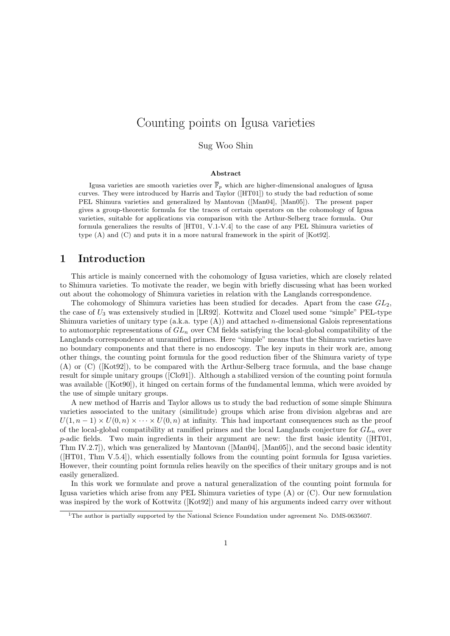## Counting points on Igusa varieties

Sug Woo Shin

#### Abstract

Igusa varieties are smooth varieties over  $\bar{\mathbb{F}}_p$  which are higher-dimensional analogues of Igusa curves. They were introduced by Harris and Taylor ([HT01]) to study the bad reduction of some PEL Shimura varieties and generalized by Mantovan ([Man04], [Man05]). The present paper gives a group-theoretic formula for the traces of certain operators on the cohomology of Igusa varieties, suitable for applications via comparison with the Arthur-Selberg trace formula. Our formula generalizes the results of [HT01, V.1-V.4] to the case of any PEL Shimura varieties of type (A) and (C) and puts it in a more natural framework in the spirit of [Kot92].

## 1 Introduction

This article is mainly concerned with the cohomology of Igusa varieties, which are closely related to Shimura varieties. To motivate the reader, we begin with briefly discussing what has been worked out about the cohomology of Shimura varieties in relation with the Langlands correspondence.

The cohomology of Shimura varieties has been studied for decades. Apart from the case  $GL_2$ , the case of  $U_3$  was extensively studied in [LR92]. Kottwitz and Clozel used some "simple" PEL-type Shimura varieties of unitary type (a.k.a. type (A)) and attached n-dimensional Galois representations to automorphic representations of  $GL_n$  over CM fields satisfying the local-global compatibility of the Langlands correspondence at unramified primes. Here "simple" means that the Shimura varieties have no boundary components and that there is no endoscopy. The key inputs in their work are, among other things, the counting point formula for the good reduction fiber of the Shimura variety of type (A) or (C) ([Kot92]), to be compared with the Arthur-Selberg trace formula, and the base change result for simple unitary groups ([Clo91]). Although a stabilized version of the counting point formula was available ([Kot90]), it hinged on certain forms of the fundamental lemma, which were avoided by the use of simple unitary groups.

A new method of Harris and Taylor allows us to study the bad reduction of some simple Shimura varieties associated to the unitary (similitude) groups which arise from division algebras and are  $U(1, n-1) \times U(0, n) \times \cdots \times U(0, n)$  at infinity. This had important consequences such as the proof of the local-global compatibility at ramified primes and the local Langlands conjecture for  $GL_n$  over  $p$ -adic fields. Two main ingredients in their argument are new: the first basic identity ( $[HT01]$ , Thm IV.2.7]), which was generalized by Mantovan ([Man04], [Man05]), and the second basic identity ([HT01, Thm V.5.4]), which essentially follows from the counting point formula for Igusa varieties. However, their counting point formula relies heavily on the specifics of their unitary groups and is not easily generalized.

In this work we formulate and prove a natural generalization of the counting point formula for Igusa varieties which arise from any PEL Shimura varieties of type (A) or (C). Our new formulation was inspired by the work of Kottwitz ([Kot92]) and many of his arguments indeed carry over without

<sup>&</sup>lt;sup>1</sup>The author is partially supported by the National Science Foundation under agreement No. DMS-0635607.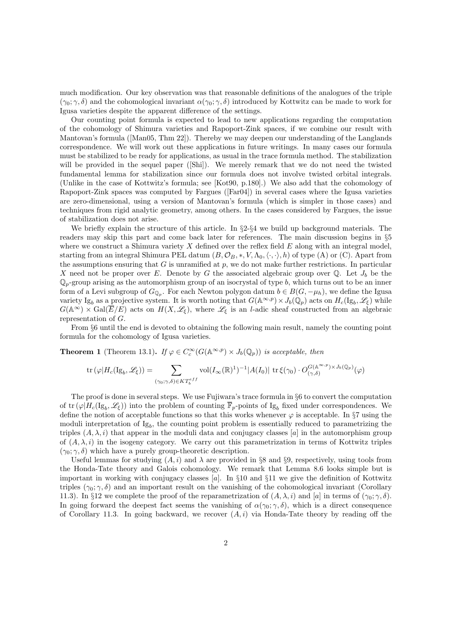much modification. Our key observation was that reasonable definitions of the analogues of the triple  $(\gamma_0; \gamma, \delta)$  and the cohomological invariant  $\alpha(\gamma_0; \gamma, \delta)$  introduced by Kottwitz can be made to work for Igusa varieties despite the apparent difference of the settings.

Our counting point formula is expected to lead to new applications regarding the computation of the cohomology of Shimura varieties and Rapoport-Zink spaces, if we combine our result with Mantovan's formula ([Man05, Thm 22]). Thereby we may deepen our understanding of the Langlands correspondence. We will work out these applications in future writings. In many cases our formula must be stabilized to be ready for applications, as usual in the trace formula method. The stabilization will be provided in the sequel paper ([Shi]). We merely remark that we do not need the twisted fundamental lemma for stabilization since our formula does not involve twisted orbital integrals. (Unlike in the case of Kottwitz's formula; see [Kot90, p.180].) We also add that the cohomology of Rapoport-Zink spaces was computed by Fargues ([Far04]) in several cases where the Igusa varieties are zero-dimensional, using a version of Mantovan's formula (which is simpler in those cases) and techniques from rigid analytic geometry, among others. In the cases considered by Fargues, the issue of stabilization does not arise.

We briefly explain the structure of this article. In  $\S2-\S4$  we build up background materials. The readers may skip this part and come back later for references. The main discussion begins in §5 where we construct a Shimura variety  $X$  defined over the reflex field  $E$  along with an integral model, starting from an integral Shimura PEL datum  $(B, \mathcal{O}_B, *, V, \Lambda_0, \langle \cdot, \cdot \rangle, h)$  of type (A) or (C). Apart from the assumptions ensuring that G is unramified at  $p$ , we do not make further restrictions. In particular X need not be proper over E. Denote by G the associated algebraic group over  $\mathbb{Q}$ . Let  $J_b$  be the  $\mathbb{Q}_p$ -group arising as the automorphism group of an isocrystal of type b, which turns out to be an inner form of a Levi subgroup of  $G_{\mathbb{Q}_p}$ . For each Newton polygon datum  $b \in B(G, -\mu_h)$ , we define the Igusa variety Ig<sub>b</sub> as a projective system. It is worth noting that  $G(\mathbb{A}^{\infty,p}) \times J_b(\mathbb{Q}_p)$  acts on  $H_c(\mathrm{Ig}_b, \mathscr{L}_\xi)$  while  $G(\mathbb{A}^{\infty}) \times \text{Gal}(\overline{E}/E)$  acts on  $H(X,\mathscr{L}_{\xi})$ , where  $\mathscr{L}_{\xi}$  is an *l*-adic sheaf constructed from an algebraic representation of G.

From §6 until the end is devoted to obtaining the following main result, namely the counting point formula for the cohomology of Igusa varieties.

**Theorem 1** (Theorem 13.1). If  $\varphi \in C_c^{\infty}(G(\mathbb{A}^{\infty,p}) \times J_b(\mathbb{Q}_p))$  is acceptable, then

$$
\operatorname{tr}(\varphi|H_c(\operatorname{Ig}_b,\mathscr{L}_\xi))=\sum_{(\gamma_0;\gamma,\delta)\in KT_b^{eff}} \operatorname{vol}(I_\infty(\mathbb{R})^1)^{-1}|A(I_0)|\operatorname{tr}\xi(\gamma_0)\cdot O_{(\gamma,\delta)}^{G(\mathbb{A}^{\infty,p})\times J_b(\mathbb{Q}_p)}(\varphi)
$$

The proof is done in several steps. We use Fujiwara's trace formula in §6 to convert the computation of tr  $(\varphi|H_c(\mathrm{Ig}_b, \mathscr{L}_\xi))$  into the problem of counting  $\overline{\mathbb{F}}_p$ -points of Ig<sub>b</sub> fixed under correspondences. We define the notion of acceptable functions so that this works whenever  $\varphi$  is acceptable. In §7 using the moduli interpretation of  $Ig_b$ , the counting point problem is essentially reduced to parametrizing the triples  $(A, \lambda, i)$  that appear in the moduli data and conjugacy classes [a] in the automorphism group of  $(A, \lambda, i)$  in the isogeny category. We carry out this parametrization in terms of Kottwitz triples  $(\gamma_0; \gamma, \delta)$  which have a purely group-theoretic description.

Useful lemmas for studying  $(A, i)$  and  $\lambda$  are provided in §8 and §9, respectively, using tools from the Honda-Tate theory and Galois cohomology. We remark that Lemma 8.6 looks simple but is important in working with conjugacy classes  $[a]$ . In §10 and §11 we give the definition of Kottwitz triples ( $\gamma_0$ ;  $\gamma$ ,  $\delta$ ) and an important result on the vanishing of the cohomological invariant (Corollary 11.3). In §12 we complete the proof of the reparametrization of  $(A, \lambda, i)$  and  $[a]$  in terms of  $(\gamma_0; \gamma, \delta)$ . In going forward the deepest fact seems the vanishing of  $\alpha(\gamma_0; \gamma, \delta)$ , which is a direct consequence of Corollary 11.3. In going backward, we recover  $(A, i)$  via Honda-Tate theory by reading off the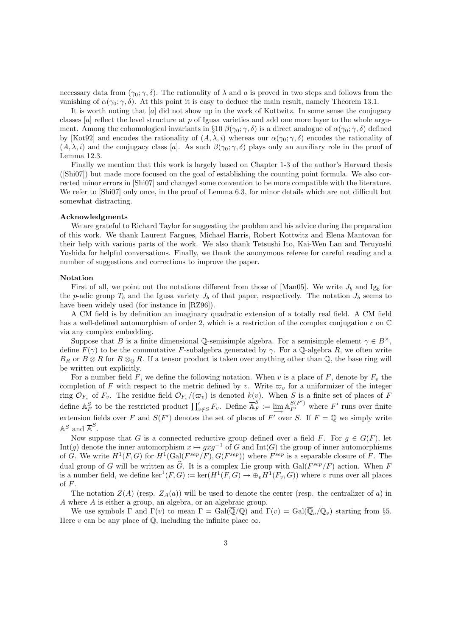necessary data from  $(\gamma_0; \gamma, \delta)$ . The rationality of  $\lambda$  and a is proved in two steps and follows from the vanishing of  $\alpha(\gamma_0; \gamma, \delta)$ . At this point it is easy to deduce the main result, namely Theorem 13.1.

It is worth noting that [a] did not show up in the work of Kottwitz. In some sense the conjugacy classes  $[a]$  reflect the level structure at p of Igusa varieties and add one more layer to the whole argument. Among the cohomological invariants in §10  $\beta(\gamma_0; \gamma, \delta)$  is a direct analogue of  $\alpha(\gamma_0; \gamma, \delta)$  defined by [Kot92] and encodes the rationality of  $(A, \lambda, i)$  whereas our  $\alpha(\gamma_0; \gamma, \delta)$  encodes the rationality of  $(A, \lambda, i)$  and the conjugacy class [a]. As such  $\beta(\gamma_0; \gamma, \delta)$  plays only an auxiliary role in the proof of Lemma 12.3.

Finally we mention that this work is largely based on Chapter 1-3 of the author's Harvard thesis ([Shi07]) but made more focused on the goal of establishing the counting point formula. We also corrected minor errors in [Shi07] and changed some convention to be more compatible with the literature. We refer to [Shi07] only once, in the proof of Lemma 6.3, for minor details which are not difficult but somewhat distracting.

#### Acknowledgments

We are grateful to Richard Taylor for suggesting the problem and his advice during the preparation of this work. We thank Laurent Fargues, Michael Harris, Robert Kottwitz and Elena Mantovan for their help with various parts of the work. We also thank Tetsushi Ito, Kai-Wen Lan and Teruyoshi Yoshida for helpful conversations. Finally, we thank the anonymous referee for careful reading and a number of suggestions and corrections to improve the paper.

#### Notation

First of all, we point out the notations different from those of [Man05]. We write  $J_b$  and Ig<sub>b</sub> for the p-adic group  $T_b$  and the Igusa variety  $J_b$  of that paper, respectively. The notation  $J_b$  seems to have been widely used (for instance in [RZ96]).

A CM field is by definition an imaginary quadratic extension of a totally real field. A CM field has a well-defined automorphism of order 2, which is a restriction of the complex conjugation c on  $\mathbb C$ via any complex embedding.

Suppose that B is a finite dimensional Q-semisimple algebra. For a semisimple element  $\gamma \in B^{\times}$ , define  $F(\gamma)$  to be the commutative F-subalgebra generated by  $\gamma$ . For a Q-algebra R, we often write  $B_R$  or  $B \otimes R$  for  $B \otimes_{\mathbb{Q}} R$ . If a tensor product is taken over anything other than  $\mathbb{Q}$ , the base ring will be written out explicitly.

For a number field F, we define the following notation. When v is a place of F, denote by  $F<sub>v</sub>$ , the completion of F with respect to the metric defined by v. Write  $\varpi_v$  for a uniformizer of the integer ring  $\mathcal{O}_{F_v}$  of  $F_v$ . The residue field  $\mathcal{O}_{F_v}/(\varpi_v)$  is denoted  $k(v)$ . When S is a finite set of places of F define  $\mathbb{A}_F^S$  to be the restricted product  $\prod_{v \notin S}^{\prime} F_v$ . Define  $\overline{\mathbb{A}}_F^S := \lim_{v \to \infty} \mathbb{A}_{F'}^{S(F')}$  where  $F'$  runs over finite extension fields over F and  $S(F')$  denotes the set of places of F' over S. If  $F = \mathbb{Q}$  we simply write  $\mathbb{A}^S$  and  $\overline{\mathbb{A}}^S$ .

Now suppose that G is a connected reductive group defined over a field F. For  $g \in G(F)$ , let Int(g) denote the inner automorphism  $x \mapsto gxg^{-1}$  of G and Int(G) the group of inner automorphisms of G. We write  $H^1(F, G)$  for  $H^1(\text{Gal}(F^{sep}/F), G(F^{sep}))$  where  $F^{sep}$  is a separable closure of F. The dual group of G will be written as  $\hat{G}$ . It is a complex Lie group with  $Gal(F^{sep}/F)$  action. When F is a number field, we define  $\ker^1(F, G) := \ker(H^1(F, G) \to \bigoplus_v H^1(F_v, G))$  where v runs over all places of F.

The notation  $Z(A)$  (resp.  $Z_A(a)$ ) will be used to denote the center (resp. the centralizer of a) in A where A is either a group, an algebra, or an algebraic group.

We use symbols  $\Gamma$  and  $\Gamma(v)$  to mean  $\Gamma = \text{Gal}(\overline{\mathbb{Q}}/\mathbb{Q})$  and  $\Gamma(v) = \text{Gal}(\overline{\mathbb{Q}}_v/\mathbb{Q}_v)$  starting from §5. Here v can be any place of  $\mathbb{Q}$ , including the infinite place  $\infty$ .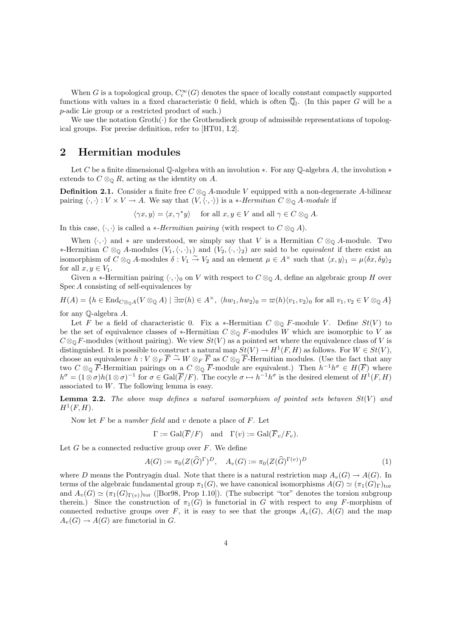When G is a topological group,  $C_c^{\infty}(G)$  denotes the space of locally constant compactly supported functions with values in a fixed characteristic 0 field, which is often  $\overline{\mathbb{Q}}_l$ . (In this paper G will be a p-adic Lie group or a restricted product of such.)

We use the notation  $Groth(\cdot)$  for the Grothendieck group of admissible representations of topological groups. For precise definition, refer to [HT01, I.2].

## 2 Hermitian modules

Let C be a finite dimensional Q-algebra with an involution  $*$ . For any Q-algebra A, the involution  $*$ extends to  $C \otimes_{\mathbb{Q}} R$ , acting as the identity on A.

**Definition 2.1.** Consider a finite free  $C \otimes_{\mathbb{Q}} A$ -module V equipped with a non-degenerate A-bilinear pairing  $\langle \cdot, \cdot \rangle : V \times V \to A$ . We say that  $(V, \langle \cdot, \cdot \rangle)$  is a \*-Hermitian  $C \otimes_{\mathbb{Q}} A$ -module if

 $\langle \gamma x, y \rangle = \langle x, \gamma^* y \rangle$  for all  $x, y \in V$  and all  $\gamma \in C \otimes_{\mathbb{Q}} A$ .

In this case,  $\langle \cdot, \cdot \rangle$  is called a *\*-Hermitian pairing* (with respect to  $C \otimes_{\mathbb{Q}} A$ ).

When  $\langle \cdot, \cdot \rangle$  and  $*$  are understood, we simply say that V is a Hermitian  $C \otimes_{\mathbb{Q}} A$ -module. Two ∗-Hermitian  $C \otimes_{\mathbb{Q}} A$ -modules  $(V_1,\langle\cdot,\cdot\rangle_1)$  and  $(V_2,\langle\cdot,\cdot\rangle_2)$  are said to be *equivalent* if there exist an isomorphism of  $C \otimes_{\mathbb{Q}} A$ -modules  $\delta : V_1 \stackrel{\sim}{\to} V_2$  and an element  $\mu \in A^{\times}$  such that  $\langle x, y \rangle_1 = \mu \langle \delta x, \delta y \rangle_2$ for all  $x, y \in V_1$ .

Given a ∗-Hermitian pairing  $\langle \cdot, \cdot \rangle_0$  on V with respect to  $C \otimes_{\mathbb{Q}} A$ , define an algebraic group H over Spec A consisting of self-equivalences by

 $H(A) = \{h \in \text{End}_{C\otimes_0 A}(V \otimes_{\mathbb{Q}} A) \mid \exists \varpi(h) \in A^{\times}, \langle hw_1, hw_2 \rangle_0 = \varpi(h)\langle v_1, v_2 \rangle_0 \text{ for all } v_1, v_2 \in V \otimes_{\mathbb{Q}} A\}$ for any Q-algebra A.

Let F be a field of characteristic 0. Fix a \*-Hermitian  $C \otimes_{\mathbb{Q}} F$ -module V. Define  $St(V)$  to be the set of equivalence classes of \*-Hermitian  $C \otimes_{\mathbb{Q}} F$ -modules W which are isomorphic to V as  $C \otimes_{\mathbb{Q}} F$ -modules (without pairing). We view  $St(V)$  as a pointed set where the equivalence class of V is distinguished. It is possible to construct a natural map  $St(V) \to H^1(F, H)$  as follows. For  $W \in St(V)$ , choose an equivalence  $h: V \otimes_F \overline{F} \stackrel{\sim}{\to} W \otimes_F \overline{F}$  as  $C \otimes_{\mathbb{Q}} \overline{F}$ -Hermitian modules. (Use the fact that any two  $C \otimes_{\mathbb{Q}} \overline{F}$ -Hermitian pairings on a  $C \otimes_{\mathbb{Q}} \overline{F}$ -module are equivalent.) Then  $h^{-1}h^{\sigma} \in H(\overline{F})$  where  $h^{\sigma} = (1 \otimes \sigma)h(1 \otimes \sigma)^{-1}$  for  $\sigma \in \text{Gal}(\overline{F}/F)$ . The cocyle  $\sigma \mapsto h^{-1}h^{\sigma}$  is the desired element of  $H^1(F, H)$ associated to W. The following lemma is easy.

**Lemma 2.2.** The above map defines a natural isomorphism of pointed sets between  $St(V)$  and  $H^1(F,H)$ .

Now let  $F$  be a number field and  $v$  denote a place of  $F$ . Let

$$
\Gamma := \operatorname{Gal}(\overline{F}/F) \quad \text{and} \quad \Gamma(v) := \operatorname{Gal}(\overline{F}_v/F_v).
$$

Let  $G$  be a connected reductive group over  $F$ . We define

$$
A(G) := \pi_0(Z(\widehat{G})^{\Gamma})^D, \quad A_v(G) := \pi_0(Z(\widehat{G})^{\Gamma(v)})^D
$$
\n<sup>(1)</sup>

where D means the Pontryagin dual. Note that there is a natural restriction map  $A_n(G) \to A(G)$ . In terms of the algebraic fundamental group  $\pi_1(G)$ , we have canonical isomorphisms  $A(G) \simeq (\pi_1(G)_{\Gamma})_{\text{tor}}$ and  $A_v(G) \simeq (\pi_1(G)_{\Gamma(v)})_{\text{tor}}$  ([Bor98, Prop 1.10]). (The subscript "tor" denotes the torsion subgroup therein.) Since the construction of  $\pi_1(G)$  is functorial in G with respect to any F-morphism of connected reductive groups over F, it is easy to see that the groups  $A_v(G)$ ,  $A(G)$  and the map  $A_v(G) \to A(G)$  are functorial in G.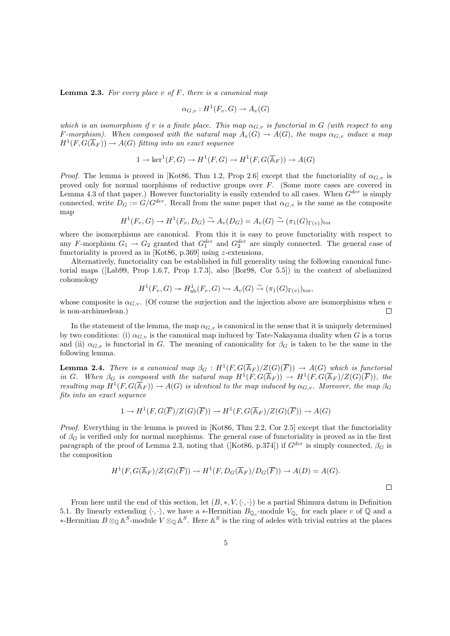**Lemma 2.3.** For every place v of  $F$ , there is a canonical map

$$
\alpha_{G,v}: H^1(F_v, G) \to A_v(G)
$$

which is an isomorphism if v is a finite place. This map  $\alpha_{G,v}$  is functorial in G (with respect to any F-morphism). When composed with the natural map  $A_v(G) \to A(G)$ , the maps  $\alpha_{G,v}$  induce a map  $H^1(F,G(\overline{\mathbb{A}}_F))\to A(G)$  fitting into an exact sequence

$$
1 \to \ker^1(F, G) \to H^1(F, G) \to H^1(F, G(\overline{\mathbb{A}}_F)) \to A(G)
$$

*Proof.* The lemma is proved in [Kot86, Thm 1.2, Prop 2.6] except that the functoriality of  $\alpha_{G,v}$  is proved only for normal morphisms of reductive groups over F. (Some more cases are covered in Lemma 4.3 of that paper.) However functoriality is easily extended to all cases. When  $G^{der}$  is simply connected, write  $D_G := G/G^{der}$ . Recall from the same paper that  $\alpha_{G,v}$  is the same as the composite map

$$
H^1(F_v, G) \to H^1(F_v, D_G) \xrightarrow{\sim} A_v(D_G) = A_v(G) \xrightarrow{\sim} (\pi_1(G)_{\Gamma(v)})_{\text{tor}}
$$

where the isomorphisms are canonical. From this it is easy to prove functoriality with respect to any F-morphism  $G_1 \to G_2$  granted that  $G_1^{der}$  and  $G_2^{der}$  are simply connected. The general case of functoriality is proved as in [Kot86, p.369] using z-extensions.

Alternatively, functoriality can be established in full generality using the following canonical functorial maps ([Lab99, Prop 1.6.7, Prop 1.7.3], also [Bor98, Cor 5.5]) in the context of abelianized cohomology

$$
H^1(F_v, G) \twoheadrightarrow H^1_{\text{ab}}(F_v, G) \hookrightarrow A_v(G) \xrightarrow{\sim} (\pi_1(G)_{\Gamma(v)})_{\text{tor}},
$$

whose composite is  $\alpha_{G,v}$ . (Of course the surjection and the injection above are isomorphisms when v is non-archimedean.)  $\Box$ 

In the statement of the lemma, the map  $\alpha_{G,v}$  is canonical in the sense that it is uniquely determined by two conditions: (i)  $\alpha_{G,v}$  is the canonical map induced by Tate-Nakayama duality when G is a torus and (ii)  $\alpha_{G,v}$  is functorial in G. The meaning of canonicality for  $\beta_G$  is taken to be the same in the following lemma.

**Lemma 2.4.** There is a canonical map  $\beta_G : H^1(F, G(\overline{\mathbb{A}}_F)/Z(G)(\overline{F})) \to A(G)$  which is functorial in G. When  $\beta_G$  is composed with the natural map  $H^1(F, G(\overline{\mathbb{A}}_F)) \to H^1(F, G(\overline{\mathbb{A}}_F)/Z(G)(\overline{F}))$ , the resulting map  $H^1(F, G(\overline{\mathbb{A}}_F)) \to A(G)$  is identical to the map induced by  $\alpha_{G,v}$ . Moreover, the map  $\beta_G$ fits into an exact sequence

$$
1 \to H^1(F, G(\overline{F})/Z(G)(\overline{F})) \to H^1(F, G(\overline{\mathbb{A}}_F)/Z(G)(\overline{F})) \to A(G)
$$

Proof. Everything in the lemma is proved in [Kot86, Thm 2.2, Cor 2.5] except that the functoriality of  $\beta_G$  is verified only for normal morphisms. The general case of functoriality is proved as in the first paragraph of the proof of Lemma 2.3, noting that ([Kot86, p.374]) if  $G^{der}$  is simply connected,  $\beta_G$  is the composition

$$
H^1(F, G(\overline{\mathbb{A}}_F)/Z(G)(\overline{F})) \to H^1(F, D_G(\overline{\mathbb{A}}_F)/D_G(\overline{F})) \to A(D) = A(G).
$$

 $\Box$ 

From here until the end of this section, let  $(B, *, V, \langle \cdot, \cdot \rangle)$  be a partial Shimura datum in Definition 5.1. By linearly extending  $\langle \cdot, \cdot \rangle$ , we have a ∗-Hermitian  $B_{\mathbb{Q}_v}$ -module  $V_{\mathbb{Q}_v}$  for each place v of  $\mathbb{Q}$  and a ∗-Hermitian  $B \otimes_{\mathbb{Q}} \mathbb{A}^S$ -module  $V \otimes_{\mathbb{Q}} \mathbb{A}^S$ . Here  $\mathbb{A}^S$  is the ring of adeles with trivial entries at the places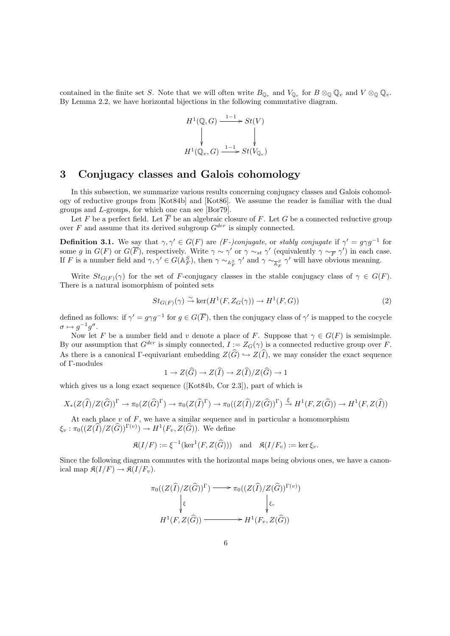contained in the finite set S. Note that we will often write  $B_{\mathbb{Q}_v}$  and  $V_{\mathbb{Q}_v}$  for  $B \otimes_{\mathbb{Q}} \mathbb{Q}_v$  and  $V \otimes_{\mathbb{Q}} \mathbb{Q}_v$ . By Lemma 2.2, we have horizontal bijections in the following commutative diagram.

$$
H^{1}(\mathbb{Q}, G) \xrightarrow{1-1} St(V)
$$
  
\n
$$
\downarrow \qquad \qquad \downarrow
$$
  
\n
$$
H^{1}(\mathbb{Q}_{v}, G) \xrightarrow{1-1} St(V_{\mathbb{Q}_{v}})
$$

### 3 Conjugacy classes and Galois cohomology

In this subsection, we summarize various results concerning conjugacy classes and Galois cohomology of reductive groups from [Kot84b] and [Kot86]. We assume the reader is familiar with the dual groups and L-groups, for which one can see [Bor79].

Let F be a perfect field. Let  $\overline{F}$  be an algebraic closure of F. Let G be a connected reductive group over  $F$  and assume that its derived subgroup  $G^{der}$  is simply connected.

**Definition 3.1.** We say that  $\gamma, \gamma' \in G(F)$  are (F-)conjugate, or stably conjugate if  $\gamma' = g \gamma g^{-1}$  for some g in  $G(F)$  or  $G(\overline{F})$ , respectively. Write  $\gamma \sim \gamma'$  or  $\gamma \sim_{st} \gamma'$  (equivalently  $\gamma \sim_{\overline{F}} \gamma'$ ) in each case. If F is a number field and  $\gamma, \gamma' \in G(\mathbb{A}_F^S)$ , then  $\gamma \sim_{\mathbb{A}_F^S} \gamma'$  and  $\gamma \sim_{\overline{\mathbb{A}_F}^S} \gamma'$  will have obvious meaning.

Write  $St_{G(F)}(\gamma)$  for the set of F-conjugacy classes in the stable conjugacy class of  $\gamma \in G(F)$ . There is a natural isomorphism of pointed sets

$$
St_{G(F)}(\gamma) \xrightarrow{\sim} \ker(H^1(F, Z_G(\gamma)) \to H^1(F, G))
$$
\n(2)

defined as follows: if  $\gamma' = g \gamma g^{-1}$  for  $g \in G(\overline{F})$ , then the conjugacy class of  $\gamma'$  is mapped to the cocycle  $\sigma \mapsto g^{-1}g^{\sigma}.$ 

Now let F be a number field and v denote a place of F. Suppose that  $\gamma \in G(F)$  is semisimple. By our assumption that  $G^{der}$  is simply connected,  $I := Z_G(\gamma)$  is a connected reductive group over F. As there is a canonical Γ-equivariant embedding  $Z(\widehat{G}) \hookrightarrow Z(\widehat{I})$ , we may consider the exact sequence of Γ-modules

$$
1 \to Z(\widehat{G}) \to Z(\widehat{I}) \to Z(\widehat{I})/Z(\widehat{G}) \to 1
$$

which gives us a long exact sequence ( $[Kot84b, Cor 2.3]$ ), part of which is

$$
X_*(Z(\widehat{I})/Z(\widehat{G}))^{\Gamma} \to \pi_0(Z(\widehat{G})^{\Gamma}) \to \pi_0(Z(\widehat{I})^{\Gamma}) \to \pi_0((Z(\widehat{I})/Z(\widehat{G}))^{\Gamma}) \stackrel{\xi}{\to} H^1(F, Z(\widehat{G})) \to H^1(F, Z(\widehat{I}))
$$

At each place  $v$  of  $F$ , we have a similar sequence and in particular a homomorphism  $\xi_v : \pi_0((Z(\widehat{I})/Z(\widehat{G}))^{\Gamma(v)}) \to H^1(F_v, Z(\widehat{G}))$ . We define

$$
\mathfrak{K}(I/F) := \xi^{-1}(\ker^1(F, Z(\widehat{G}))) \quad \text{and} \quad \mathfrak{K}(I/F_v) := \ker \xi_v.
$$

Since the following diagram commutes with the horizontal maps being obvious ones, we have a canonical map  $\mathfrak{K}(I/F) \to \mathfrak{K}(I/F_v)$ .

$$
\pi_0((Z(\widehat{I})/Z(\widehat{G}))^{\Gamma}) \longrightarrow \pi_0((Z(\widehat{I})/Z(\widehat{G}))^{\Gamma(v)})
$$
\n
$$
\downarrow \xi
$$
\n
$$
H^1(F, Z(\widehat{G})) \longrightarrow H^1(F_v, Z(\widehat{G}))
$$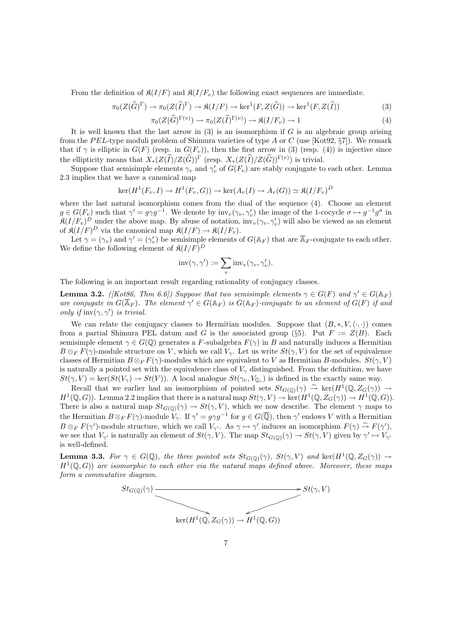From the definition of  $\mathfrak{K}(I/F)$  and  $\mathfrak{K}(I/F_v)$  the following exact sequences are immediate.

$$
\pi_0(Z(\widehat{G})^{\Gamma}) \to \pi_0(Z(\widehat{I})^{\Gamma}) \to \mathfrak{K}(I/F) \to \ker^1(F, Z(\widehat{G})) \to \ker^1(F, Z(\widehat{I}))
$$
\n(3)

$$
\pi_0(Z(\widehat{G})^{\Gamma(v)}) \to \pi_0(Z(\widehat{I})^{\Gamma(v)}) \to \mathfrak{K}(I/F_v) \to 1
$$
\n(4)

It is well known that the last arrow in  $(3)$  is an isomorphism if G is an algebraic group arising from the PEL-type moduli problem of Shimura varieties of type A or C (use [Kot92,  $\S7$ ]). We remark that if  $\gamma$  is elliptic in  $G(F)$  (resp. in  $G(F_v)$ ), then the first arrow in (3) (resp. (4)) is injective since the ellipticity means that  $X_*(Z(\widehat{I})/Z(\widehat{G}))^{\Gamma}$  (resp.  $X_*(Z(\widehat{I})/Z(\widehat{G}))^{\Gamma(v)}$ ) is trivial.

Suppose that semisimple elements  $\gamma_v$  and  $\gamma'_v$  of  $G(F_v)$  are stably conjugate to each other. Lemma 2.3 implies that we have a canonical map

$$
\ker(H^1(F_v, I) \to H^1(F_v, G)) \to \ker(A_v(I) \to A_v(G)) \simeq \mathfrak{K}(I/F_v)^D
$$

where the last natural isomorphism comes from the dual of the sequence (4). Choose an element  $g \in G(F_v)$  such that  $\gamma' = g \gamma g^{-1}$ . We denote by  $\text{inv}_v(\gamma_v, \gamma'_v)$  the image of the 1-cocycle  $\sigma \mapsto g^{-1} g^{\sigma}$  in  $\mathfrak{K}(I/F_v)^D$  under the above map. By abuse of notation,  $\text{inv}_v(\gamma_v, \gamma'_v)$  will also be viewed as an element of  $\mathfrak{K}(I/F)^D$  via the canonical map  $\mathfrak{K}(I/F) \to \mathfrak{K}(I/F_v)$ .

Let  $\gamma = (\gamma_v)$  and  $\gamma' = (\gamma'_v)$  be semisimple elements of  $G(\mathbb{A}_F)$  that are  $\overline{\mathbb{A}}_F$ -conjugate to each other. We define the following element of  $\mathfrak{K}(I/F)^D$ 

$$
inv(\gamma, \gamma') := \sum_{v} inv_{v}(\gamma_{v}, \gamma'_{v}).
$$

The following is an important result regarding rationality of conjugacy classes.

**Lemma 3.2.** ([Kot86, Thm 6.6]) Suppose that two semisimple elements  $\gamma \in G(F)$  and  $\gamma' \in G(\mathbb{A}_F)$ are conjugate in  $G(\overline{\mathbb{A}}_F)$ . The element  $\gamma' \in G(\mathbb{A}_F)$  is  $G(\mathbb{A}_F)$ -conjugate to an element of  $G(F)$  if and only if  $inv(\gamma, \gamma')$  is trivial.

We can relate the conjugacy classes to Hermitian modules. Suppose that  $(B, *, V, \langle \cdot, \cdot \rangle)$  comes from a partial Shimura PEL datum and G is the associated group (§5). Put  $F := Z(B)$ . Each semisimple element  $\gamma \in G(\mathbb{Q})$  generates a F-subalgebra  $F(\gamma)$  in B and naturally induces a Hermitian  $B \otimes_F F(\gamma)$ -module structure on V, which we call  $V_\gamma$ . Let us write  $St(\gamma, V)$  for the set of equivalence classes of Hermitian  $B \otimes_F F(\gamma)$ -modules which are equivalent to V as Hermitian B-modules.  $St(\gamma, V)$ is naturally a pointed set with the equivalence class of  $V_{\gamma}$  distinguished. From the definition, we have  $St(\gamma, V) = \ker(St(V_\gamma) \to St(V))$ . A local analogue  $St(\gamma_v, V_{\mathbb{Q}_v})$  is defined in the exactly same way.

Recall that we earlier had an isomorphism of pointed sets  $St_{G(\mathbb{Q})}(\gamma) \stackrel{\sim}{\rightarrow} \ker(H^1(\mathbb{Q}, Z_G(\gamma)) \rightarrow$  $H^1(\mathbb{Q}, G)$ . Lemma 2.2 implies that there is a natural map  $St(\gamma, V) \to \ker(H^1(\mathbb{Q}, Z_G(\gamma)) \to H^1(\mathbb{Q}, G)$ . There is also a natural map  $St_{G(\mathbb{Q})}(\gamma) \to St(\gamma, V)$ , which we now describe. The element  $\gamma$  maps to the Hermitian  $B \otimes_F F(\gamma)$ -module  $V_\gamma$ . If  $\gamma' = g \gamma g^{-1}$  for  $g \in G(\overline{\mathbb{Q}})$ , then  $\gamma'$  endows V with a Hermitian  $B \otimes_F F(\gamma')$ -module structure, which we call  $V_{\gamma'}$ . As  $\gamma \mapsto \gamma'$  induces an isomorphism  $F(\gamma) \stackrel{\sim}{\rightarrow} F(\gamma')$ , we see that  $V_{\gamma'}$  is naturally an element of  $St(\gamma, V)$ . The map  $St_{G(\mathbb{Q})}(\gamma) \to St(\gamma, V)$  given by  $\gamma' \mapsto V_{\gamma'}$ is well-defined.

**Lemma 3.3.** For  $\gamma \in G(\mathbb{Q})$ , the three pointed sets  $St_{G(\mathbb{Q})}(\gamma)$ ,  $St(\gamma, V)$  and  $\ker(H^1(\mathbb{Q}, Z_G(\gamma)) \to$  $H^1(\mathbb{Q}, G)$  are isomorphic to each other via the natural maps defined above. Moreover, these maps form a commutative diagram.

$$
St_{G(\mathbb{Q})}(\gamma)
$$
 
$$
St(\gamma, V)
$$
 
$$
ker(H^1(\mathbb{Q}, Z_G(\gamma)) \to H^1(\mathbb{Q}, G))
$$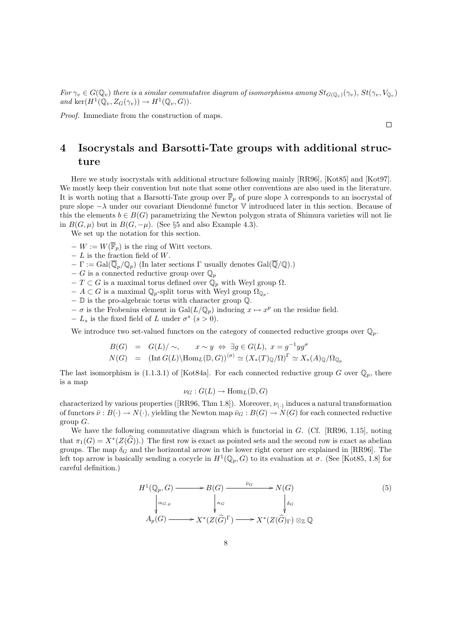For  $\gamma_v \in G(\mathbb{Q}_v)$  there is a similar commutative diagram of isomorphisms among  $St_{G(\mathbb{Q}_v)}(\gamma_v)$ ,  $St(\gamma_v, V_{\mathbb{Q}_v})$ and ker $(H^1(\mathbb{Q}_v, Z_G(\gamma_v)) \to H^1(\mathbb{Q}_v, G)).$ 

Proof. Immediate from the construction of maps.

## 4 Isocrystals and Barsotti-Tate groups with additional structure

Here we study isocrystals with additional structure following mainly [RR96], [Kot85] and [Kot97]. We mostly keep their convention but note that some other conventions are also used in the literature. It is worth noting that a Barsotti-Tate group over  $\overline{\mathbb{F}}_p$  of pure slope  $\lambda$  corresponds to an isocrystal of pure slope  $-\lambda$  under our covariant Dieudonné functor V introduced later in this section. Because of this the elements  $b \in B(G)$  parametrizing the Newton polygon strata of Shimura varieties will not lie in  $B(G, \mu)$  but in  $B(G, -\mu)$ . (See §5 and also Example 4.3).

We set up the notation for this section.

- $W := W(\overline{\mathbb{F}}_p)$  is the ring of Witt vectors.
- $L$  is the fraction field of W.
- $-\Gamma := \text{Gal}(\overline{\mathbb{Q}}_p/\mathbb{Q}_p)$  (In later sections  $\Gamma$  usually denotes  $\text{Gal}(\overline{\mathbb{Q}}/\mathbb{Q})$ .)
- $-G$  is a connected reductive group over  $\mathbb{Q}_p$
- −  $T \subset G$  is a maximal torus defined over  $\dot{\mathbb{Q}}_p$  with Weyl group  $\Omega$ .
- $A \subset G$  is a maximal  $\mathbb{Q}_p$ -split torus with Weyl group  $\Omega_{\mathbb{Q}_p}$ .
- − D is the pro-algebraic torus with character group Q.
- $-\sigma$  is the Frobenius element in Gal $(L/\mathbb{Q}_p)$  inducing  $x \mapsto x^p$  on the residue field.
- $-L_s$  is the fixed field of L under  $\sigma^s$  ( $s > 0$ ).

We introduce two set-valued functors on the category of connected reductive groups over  $\mathbb{Q}_p$ .

$$
B(G) = G(L)/\sim, \qquad x \sim y \iff \exists g \in G(L), \ x = g^{-1}yg^{\sigma}
$$
  

$$
N(G) = (\text{Int } G(L) \setminus \text{Hom}_{L}(\mathbb{D}, G))^{(\sigma)} \simeq (X_*(T)_{\mathbb{Q}}/\Omega)^{\Gamma} \simeq X_*(A)_{\mathbb{Q}}/\Omega_{\mathbb{Q}_p}
$$

The last isomorphism is (1.1.3.1) of [Kot84a]. For each connected reductive group G over  $\mathbb{Q}_p$ , there is a map

 $\nu_G: G(L) \to \text{Hom}_L(\mathbb{D}, G)$ 

characterized by various properties ([RR96, Thm 1.8]). Moreover,  $\nu_{(.)}$  induces a natural transformation of functors  $\bar{\nu}: B(\cdot) \to N(\cdot)$ , yielding the Newton map  $\bar{\nu}_G: B(G) \to N(G)$  for each connected reductive group  $G$ .

We have the following commutative diagram which is functorial in G. (Cf. [RR96, 1.15], noting that  $\pi_1(G) = X^*(Z(\widehat{G}))$ .) The first row is exact as pointed sets and the second row is exact as abelian groups. The map  $\delta_G$  and the horizontal arrow in the lower right corner are explained in [RR96]. The left top arrow is basically sending a cocycle in  $H^1(\mathbb{Q}_p, G)$  to its evaluation at  $\sigma$ . (See [Kot85, 1.8] for careful definition.)

$$
H^{1}(\mathbb{Q}_{p}, G) \longrightarrow B(G) \longrightarrow \widetilde{P}_{G} \longrightarrow N(G)
$$
\n
$$
\downarrow \alpha_{G, p} \qquad \downarrow \kappa_{G} \qquad \downarrow \delta_{G}
$$
\n
$$
A_{p}(G) \longrightarrow X^{*}(Z(\widehat{G})^{\Gamma}) \longrightarrow X^{*}(Z(\widehat{G})_{\Gamma}) \otimes_{\mathbb{Z}} \mathbb{Q}
$$
\n
$$
(5)
$$

 $\Box$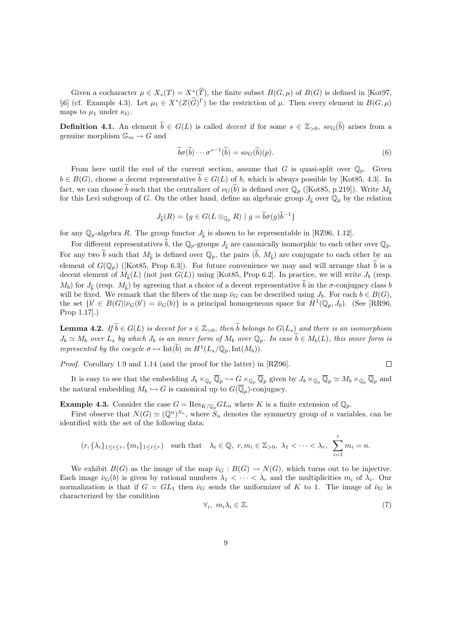Given a cocharacter  $\mu \in X_*(T) = X^*(T)$ , the finite subset  $B(G, \mu)$  of  $B(G)$  is defined in [Kot97, §6] (cf. Example 4.3). Let  $\mu_1 \in X^*(Z(\widehat{G})^{\Gamma})$  be the restriction of  $\mu$ . Then every element in  $B(G, \mu)$ maps to  $\mu_1$  under  $\kappa_G$ .

**Definition 4.1.** An element  $\tilde{b} \in G(L)$  is called *decent* if for some  $s \in \mathbb{Z}_{>0}$ ,  $s\nu_G(\tilde{b})$  arises from a genuine morphism  $\mathbb{G}_m \to G$  and

$$
\widetilde{b}\sigma(\widetilde{b})\cdots\sigma^{s-1}(\widetilde{b})=s\nu_G(\widetilde{b})(p). \tag{6}
$$

From here until the end of the current section, assume that G is quasi-split over  $\mathbb{Q}_p$ . Given  $b \in B(G)$ , choose a decent representative  $\widetilde{b} \in G(L)$  of b, which is always possible by [Kot85, 4.3]. In fact, we can choose  $\widetilde{b}$  such that the centralizer of  $\nu_G(\widetilde{b})$  is defined over  $\mathbb{Q}_p$  ([Kot85, p.219]). Write  $M_{\widetilde{b}}$ for this Levi subgroup of G. On the other hand, define an algebraic group  $J_{\tilde{b}}$  over  $\mathbb{Q}_p$  by the relation

$$
J_{\widetilde{b}}(R) = \{ g \in G(L \otimes_{\mathbb{Q}_p} R) \mid g = \widetilde{b}\sigma(g)\widetilde{b}^{-1} \}
$$

for any  $\mathbb{Q}_p$ -algebra R. The group functor  $J_{\tilde{b}}$  is shown to be representable in [RZ96, 1.12].

For different representatives  $\widetilde{b}$ , the  $\mathbb{Q}_p$ -groups  $J_{\widetilde{b}}$  are canonically isomorphic to each other over  $\mathbb{Q}_p$ . For any two  $\tilde{b}$  such that  $M_{\tilde{b}}$  is defined over  $\mathbb{Q}_p$ , the pairs  $(\tilde{b}, M_{\tilde{b}})$  are conjugate to each other by an element of  $G(\mathbb{Q}_p)$  ([Kot85, Prop 6.3]). For future convenience we may and will arrange that  $\tilde{b}$  is a decent element of  $M_{\tilde{b}}(L)$  (not just  $G(L)$ ) using [Kot85, Prop 6.2]. In practice, we will write  $J_b$  (resp.  $M_b$ ) for  $J_{\tilde{b}}$  (resp.  $M_{\tilde{b}}$ ) by agreeing that a choice of a decent representative b in the  $\sigma$ -conjugacy class b<br>will be fixed. We remark that the fibers of the map  $\bar{b}$  associated with Len as h  $\bar{b} \in B(G)$ will be fixed. We remark that the fibers of the map  $\bar{\nu}_G$  can be described using  $J_b$ . For each  $b \in B(G)$ , the set  $\{b' \in B(G)|\bar{\nu}_G(b') = \bar{\nu}_G(b)\}\$ is a principal homogeneous space for  $H^1(\mathbb{Q}_p, J_b)$ . (See [RR96, Prop 1.17].)

**Lemma 4.2.** If  $\widetilde{b} \in G(L)$  is decent for  $s \in \mathbb{Z}_{>0}$ , then  $\widetilde{b}$  belongs to  $G(L_s)$  and there is an isomorphism  $J_b \simeq M_b$  over  $L_s$  by which  $J_b$  is an inner form of  $M_b$  over  $\mathbb{Q}_p$ . In case  $\widetilde{b} \in M_b(L)$ , this inner form is represented by the cocycle  $\sigma \mapsto \text{Int}(\widetilde{b})$  in  $H^1(L_s/\mathbb{Q}_p, \text{Int}(M_b)).$ 

Proof. Corollary 1.9 and 1.14 (and the proof for the latter) in [RZ96].

It is easy to see that the embedding  $J_b \times_{\mathbb{Q}_p} \overline{\mathbb{Q}}_p \hookrightarrow G \times_{\mathbb{Q}_p} \overline{\mathbb{Q}}_p$  given by  $J_b \times_{\mathbb{Q}_p} \overline{\mathbb{Q}}_p \simeq M_b \times_{\mathbb{Q}_p} \overline{\mathbb{Q}}_p$  and the natural embedding  $M_b \hookrightarrow G$  is canonical up to  $G(\overline{\mathbb{Q}}_p)$ -conjugacy.

**Example 4.3.** Consider the case  $G = \text{Res}_{K/\mathbb{Q}_p} GL_n$  where K is a finite extension of  $\mathbb{Q}_p$ .

First observe that  $N(G) \simeq (\mathbb{Q}^n)^{S_n}$ , where  $S_n$  denotes the symmetry group of n variables, can be identified with the set of the following data:

$$
(r, \{\lambda_i\}_{1\leq i\leq r}, \{m_i\}_{1\leq i\leq r})
$$
 such that  $\lambda_i \in \mathbb{Q}, r, m_i \in \mathbb{Z}_{>0}, \lambda_1 < \cdots < \lambda_r, \sum_{i=1}^r m_i = n$ .

We exhibit  $B(G)$  as the image of the map  $\bar{\nu}_G : B(G) \to N(G)$ , which turns out to be injective. Each image  $\bar{\nu}_G(b)$  is given by rational numbers  $\lambda_1 < \cdots < \lambda_r$  and the multiplicities  $m_i$  of  $\lambda_i$ . Our normalization is that if  $G = GL_1$  then  $\bar{\nu}_G$  sends the uniformizer of K to 1. The image of  $\bar{\nu}_G$  is characterized by the condition

$$
\forall_i, \ m_i \lambda_i \in \mathbb{Z}.\tag{7}
$$

 $\Box$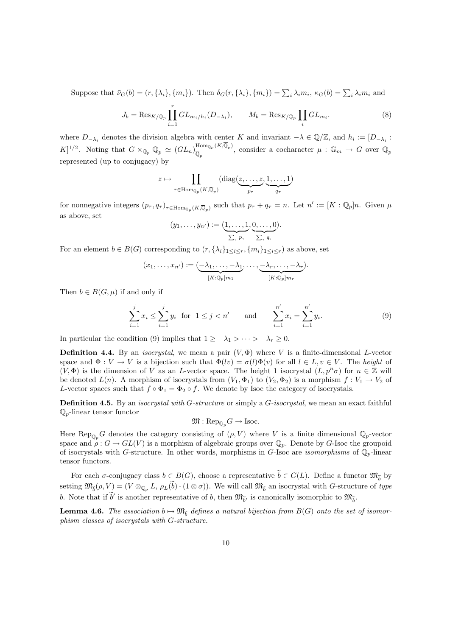Suppose that  $\bar{\nu}_G(b) = (r, \{\lambda_i\}, \{m_i\})$ . Then  $\delta_G(r, \{\lambda_i\}, \{m_i\}) = \sum_i \lambda_i m_i$ ,  $\kappa_G(b) = \sum_i \lambda_i m_i$  and

$$
J_b = \text{Res}_{K/\mathbb{Q}_p} \prod_{i=1}^r GL_{m_i/h_i}(D_{-\lambda_i}), \qquad M_b = \text{Res}_{K/\mathbb{Q}_p} \prod_i GL_{m_i}.
$$
 (8)

where  $D_{-\lambda_i}$  denotes the division algebra with center K and invariant  $-\lambda \in \mathbb{Q}/\mathbb{Z}$ , and  $h_i := [D_{-\lambda_i} :$  $[K]^{1/2}$ . Noting that  $G \times_{\mathbb{Q}_p} \overline{\mathbb{Q}}_p \simeq (GL_n)_{\overline{\mathbb{Q}}}^{\text{Hom}_{\mathbb{Q}_p}(K,\overline{\mathbb{Q}}_p)}$  $\frac{\text{Hom}_{\mathbb{Q}_p}(K,\mathbb{Q}_p)}{\overline{\mathbb{Q}}_p}$ , consider a cocharacter  $\mu: \mathbb{G}_m \to G$  over  $\overline{\mathbb{Q}}_p$ represented (up to conjugacy) by

$$
z \mapsto \prod_{\tau \in \text{Hom}_{\mathbb{Q}_p}(K,\overline{\mathbb{Q}}_p)} (\text{diag}(\underbrace{z,\ldots,z}_{p_{\tau}},\underbrace{1,\ldots,1}_{q_{\tau}})
$$

for nonnegative integers  $(p_\tau, q_\tau)_{\tau \in \text{Hom}_{\mathbb{Q}_p}(K,\overline{\mathbb{Q}}_p)}$  such that  $p_\tau + q_\tau = n$ . Let  $n' := [K : \mathbb{Q}_p]n$ . Given  $\mu$ as above, set

$$
(y_1,\ldots,y_{n'}) := (\underbrace{1,\ldots,1}_{\sum_{\tau} p_{\tau}},\underbrace{0,\ldots,0}_{\sum_{\tau} q_{\tau}}).
$$

For an element  $b \in B(G)$  corresponding to  $(r, {\{\lambda_i\}}_{1 \le i \le r}, {m_i\}}_{1 \le i \le r})$  as above, set

$$
(x_1,\ldots,x_{n'}) := \underbrace{(-\lambda_1,\ldots,-\lambda_1}_{[K:\mathbb{Q}_p]m_1},\ldots,\underbrace{-\lambda_r,\ldots,-\lambda_r}_{[K:\mathbb{Q}_p]m_r}).
$$

Then  $b \in B(G, \mu)$  if and only if

$$
\sum_{i=1}^{j} x_i \le \sum_{i=1}^{j} y_i \text{ for } 1 \le j < n' \quad \text{and} \quad \sum_{i=1}^{n'} x_i = \sum_{i=1}^{n'} y_i. \tag{9}
$$

In particular the condition (9) implies that  $1 \geq -\lambda_1 > \cdots > -\lambda_r \geq 0$ .

**Definition 4.4.** By an *isocrystal*, we mean a pair  $(V, \Phi)$  where V is a finite-dimensional L-vector space and  $\Phi: V \to V$  is a bijection such that  $\Phi(lv) = \sigma(l)\Phi(v)$  for all  $l \in L, v \in V$ . The height of  $(V, \Phi)$  is the dimension of V as an L-vector space. The height 1 isocrystal  $(L, p^n \sigma)$  for  $n \in \mathbb{Z}$  will be denoted  $L(n)$ . A morphism of isocrystals from  $(V_1, \Phi_1)$  to  $(V_2, \Phi_2)$  is a morphism  $f: V_1 \to V_2$  of L-vector spaces such that  $f \circ \Phi_1 = \Phi_2 \circ f$ . We denote by Isoc the category of isocrystals.

**Definition 4.5.** By an *isocrystal with G-structure* or simply a  $G$ -isocrystal, we mean an exact faithful  $\mathbb{Q}_p$ -linear tensor functor

 $\mathfrak{M}: \mathrm{Rep}_{\mathbb{Q}_p} G \to \mathrm{Isoc}.$ 

Here Rep<sub> $_{\mathbb{Q}_p}G$ </sub> denotes the category consisting of  $(\rho, V)$  where V is a finite dimensional  $\mathbb{Q}_p$ -vector space and  $\rho: G \to GL(V)$  is a morphism of algebraic groups over  $\mathbb{Q}_p$ . Denote by G-Isoc the groupoid of isocrystals with G-structure. In other words, morphisms in G-Isoc are *isomorphisms* of  $\mathbb{Q}_p$ -linear tensor functors.

For each  $\sigma$ -conjugacy class  $b \in B(G)$ , choose a representative  $b \in G(L)$ . Define a functor  $\mathfrak{M}_{\widetilde{b}}$  by setting  $\mathfrak{M}_{\widetilde{b}}(\rho, V) = (V \otimes_{\mathbb{Q}_p} L, \rho_L(b) \cdot (1 \otimes \sigma)).$  We will call  $\mathfrak{M}_{\widetilde{b}}$  an isocrystal with G-structure of type b. Note that if  $b'$  is another representative of b, then  $\mathfrak{M}_{\tilde{b}'}$  is canonically isomorphic to  $\mathfrak{M}_{\tilde{b}}$ .

**Lemma 4.6.** The association  $b \mapsto \mathfrak{M}_{\widetilde{b}}$  defines a natural bijection from  $B(G)$  onto the set of isomor-<br>which also as figureated with  $G$  denoting phism classes of isocrystals with G-structure.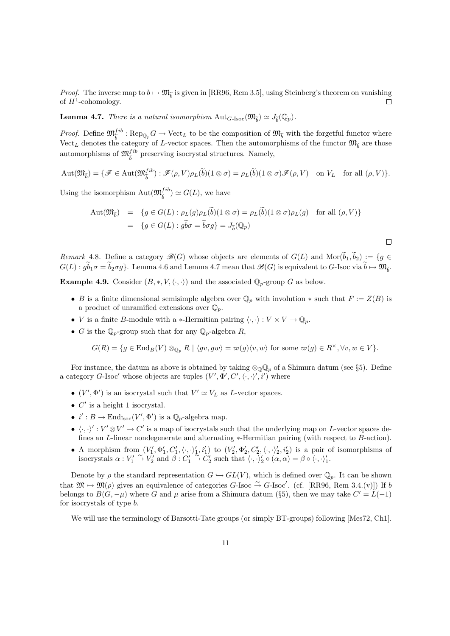*Proof.* The inverse map to  $b \mapsto \mathfrak{M}_{\widetilde{b}}$  is given in [RR96, Rem 3.5], using Steinberg's theorem on vanishing of  $H^1$ -cohomology.  $\Box$ 

**Lemma 4.7.** There is a natural isomorphism  $\text{Aut}_{G\text{-}Isoc}(\mathfrak{M}_{\widetilde{b}}) \simeq J_{\widetilde{b}}(\mathbb{Q}_p)$ .

*Proof.* Define  $\mathfrak{M}_{\tilde{b}}^{fib}$ :  $\text{Rep}_{\mathbb{Q}_p} G \to \text{Vect}_L$  to be the composition of  $\mathfrak{M}_{\tilde{b}}$  with the forgetful functor where  $\text{Vect}_p$  denotes the extensive of Luctual constants of Luctual functor  $\mathfrak{M}_{\tilde{b}}$ Vect<sub>L</sub> denotes the category of L-vector spaces. Then the automorphisms of the functor  $\mathfrak{M}_{\tilde{b}}$  are those automorphisms of  $\mathfrak{M}^{fib}_{\widetilde{b}}$  preserving isocrystal structures. Namely,

$$
\operatorname{Aut}(\mathfrak{M}_{\widetilde{b}}) = \{ \mathscr{F} \in \operatorname{Aut}(\mathfrak{M}_{\widetilde{b}}^{fib}) : \mathscr{F}(\rho, V)\rho_L(\widetilde{b})(1 \otimes \sigma) = \rho_L(\widetilde{b})(1 \otimes \sigma)\mathscr{F}(\rho, V) \text{ on } V_L \text{ for all } (\rho, V) \}.
$$

Using the isomorphism  $\text{Aut}(\mathfrak{M}_{\tilde{b}}^{fib}) \simeq G(L)$ , we have

$$
\begin{array}{rcl}\n\text{Aut}(\mathfrak{M}_{\widetilde{b}}) & = & \{g \in G(L) : \rho_L(g)\rho_L(\widetilde{b})(1 \otimes \sigma) = \rho_L(\widetilde{b})(1 \otimes \sigma)\rho_L(g) \quad \text{for all } (\rho, V)\} \\
& = & \{g \in G(L) : g\widetilde{b}\sigma = \widetilde{b}\sigma g\} = J_{\widetilde{b}}(\mathbb{Q}_p)\n\end{array}
$$

 $\Box$ 

Remark 4.8. Define a category  $\mathscr{B}(G)$  whose objects are elements of  $G(L)$  and  $\text{Mor}(\widetilde{b}_1,\widetilde{b}_2) := \{g \in$  $G(L): gb_1\sigma = b_2\sigma g$ . Lemma 4.6 and Lemma 4.7 mean that  $\mathscr{B}(G)$  is equivalent to G-Isoc via  $b \mapsto \mathfrak{M}_{\widetilde{b}}$ .

**Example 4.9.** Consider  $(B, *, V, \langle \cdot, \cdot \rangle)$  and the associated  $\mathbb{Q}_p$ -group G as below.

- B is a finite dimensional semisimple algebra over  $\mathbb{Q}_p$  with involution  $*$  such that  $F := Z(B)$  is a product of unramified extensions over  $\mathbb{Q}_p$ .
- *V* is a finite *B*-module with a ∗-Hermitian pairing  $\langle \cdot, \cdot \rangle : V \times V \to \mathbb{Q}_p$ .
- G is the  $\mathbb{Q}_p$ -group such that for any  $\mathbb{Q}_p$ -algebra R,

$$
G(R) = \{ g \in \text{End}_B(V) \otimes_{\mathbb{Q}_p} R \mid \langle gv, gw \rangle = \varpi(g) \langle v, w \rangle \text{ for some } \varpi(g) \in R^\times, \forall v, w \in V \}.
$$

For instance, the datum as above is obtained by taking  $\otimes_{\mathbb{Q}} \mathbb{Q}_p$  of a Shimura datum (see §5). Define a category G-Isoc' whose objects are tuples  $(V', \Phi', C', \langle \cdot, \cdot \rangle', i')$  where

- $(V', \Phi')$  is an isocrystal such that  $V' \simeq V_L$  as L-vector spaces.
- $\bullet$  C' is a height 1 isocrystal.
- $i' : B \to \text{End}_{\text{Isoc}}(V', \Phi')$  is a  $\mathbb{Q}_p$ -algebra map.
- $\bullet \langle \cdot, \cdot \rangle': V' \otimes V' \to C'$  is a map of isocrystals such that the underlying map on L-vector spaces defines an L-linear nondegenerate and alternating ∗-Hermitian pairing (with respect to B-action).
- A morphism from  $(V'_1, \Phi'_1, C'_1, \langle \cdot, \cdot \rangle'_1, i'_1)$  to  $(V'_2, \Phi'_2, C'_2, \langle \cdot, \cdot \rangle'_2, i'_2)$  is a pair of isomorphisms of isocrystals  $\alpha: V'_1 \stackrel{\sim}{\rightarrow} V'_2$  and  $\beta: C'_1 \stackrel{\sim}{\rightarrow} C'_2$  such that  $\langle \cdot, \cdot \rangle'_2 \circ (\alpha, \alpha) = \beta \circ \langle \cdot, \cdot \rangle'_1$ .

Denote by  $\rho$  the standard representation  $G \hookrightarrow GL(V)$ , which is defined over  $\mathbb{Q}_p$ . It can be shown that  $\mathfrak{M} \mapsto \mathfrak{M}(\rho)$  gives an equivalence of categories  $G$ -Isoc  $\stackrel{\sim}{\to} G$ -Isoc'. (cf. [RR96, Rem 3.4.(v)]) If b belongs to  $B(G, -\mu)$  where G and  $\mu$  arise from a Shimura datum (§5), then we may take  $C' = L(-1)$ for isocrystals of type b.

We will use the terminology of Barsotti-Tate groups (or simply BT-groups) following [Mes72, Ch1].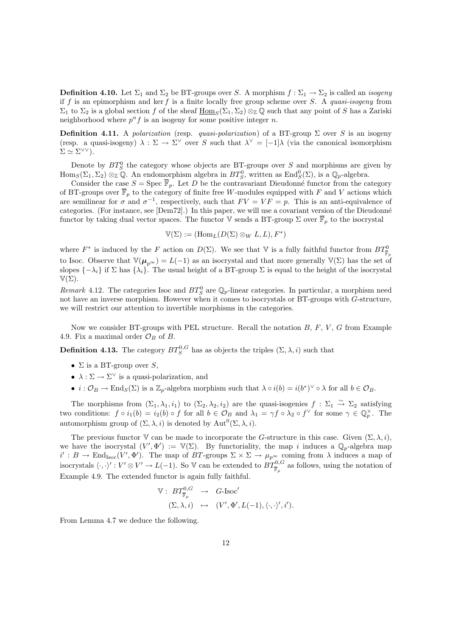**Definition 4.10.** Let  $\Sigma_1$  and  $\Sigma_2$  be BT-groups over S. A morphism  $f : \Sigma_1 \to \Sigma_2$  is called an *isogeny* if f is an epimorphism and ker f is a finite locally free group scheme over S. A quasi-isogeny from  $\Sigma_1$  to  $\Sigma_2$  is a global section f of the sheaf  $\underline{\text{Hom}}_S(\Sigma_1, \Sigma_2) \otimes_{\mathbb{Z}} \mathbb{Q}$  such that any point of S has a Zariski neighborhood where  $p^n f$  is an isogeny for some positive integer n.

**Definition 4.11.** A polarization (resp. quasi-polarization) of a BT-group  $\Sigma$  over S is an isogeny (resp. a quasi-isogeny)  $\lambda : \Sigma \to \Sigma^{\vee}$  over S such that  $\lambda^{\vee} = [-1]\lambda$  (via the canonical isomorphism  $\Sigma \simeq \Sigma^{\vee \vee}$ ).

Denote by  $BT^0_S$  the category whose objects are BT-groups over S and morphisms are given by  $\text{Hom}_S(\Sigma_1, \Sigma_2) \otimes_{\mathbb{Z}} \mathbb{Q}$ . An endomorphism algebra in  $BT^0_S$ , written as  $\text{End}_S^0(\Sigma)$ , is a  $\mathbb{Q}_p$ -algebra.

Consider the case  $S = \text{Spec } \overline{\mathbb{F}}_p$ . Let D be the contravariant Dieudonné functor from the category of BT-groups over  $\overline{\mathbb{F}}_p$  to the category of finite free W-modules equipped with F and V actions which are semilinear for  $\sigma$  and  $\sigma^{-1}$ , respectively, such that  $FV = VF = p$ . This is an anti-equivalence of categories. (For instance, see [Dem72].) In this paper, we will use a covariant version of the Dieudonné functor by taking dual vector spaces. The functor V sends a BT-group  $\Sigma$  over  $\overline{\mathbb{F}}_p$  to the isocrystal

$$
\mathbb{V}(\Sigma) := (\mathrm{Hom}_L(D(\Sigma) \otimes_W L, L), F^*)
$$

where  $F^*$  is induced by the F action on  $D(\Sigma)$ . We see that V is a fully faithful functor from  $BT^0_{\bar{\mathbb{F}}_p}$ to Isoc. Observe that  $\mathbb{V}(\mu_{p^{\infty}}) = L(-1)$  as an isocrystal and that more generally  $\mathbb{V}(\Sigma)$  has the set of slopes  $\{-\lambda_i\}$  if  $\Sigma$  has  $\{\lambda_i\}$ . The usual height of a BT-group  $\Sigma$  is equal to the height of the isocrystal  $\mathbb{V}(\Sigma)$ .

Remark 4.12. The categories Isoc and  $BT^0_S$  are  $\mathbb{Q}_p$ -linear categories. In particular, a morphism need not have an inverse morphism. However when it comes to isocrystals or BT-groups with G-structure, we will restrict our attention to invertible morphisms in the categories.

Now we consider BT-groups with PEL structure. Recall the notation  $B, F, V, G$  from Example 4.9. Fix a maximal order  $\mathcal{O}_B$  of B.

**Definition 4.13.** The category  $BT^{0,G}_S$  has as objects the triples  $(\Sigma, \lambda, i)$  such that

- $\Sigma$  is a BT-group over S,
- $\lambda : \Sigma \to \Sigma^{\vee}$  is a quasi-polarization, and
- $i: \mathcal{O}_B \to \text{End}_S(\Sigma)$  is a  $\mathbb{Z}_p$ -algebra morphism such that  $\lambda \circ i(b) = i(b^*)^\vee \circ \lambda$  for all  $b \in \mathcal{O}_B$ .

The morphisms from  $(\Sigma_1, \lambda_1, i_1)$  to  $(\Sigma_2, \lambda_2, i_2)$  are the quasi-isogenies  $f : \Sigma_1 \stackrel{\sim}{\to} \Sigma_2$  satisfying two conditions:  $f \circ i_1(b) = i_2(b) \circ f$  for all  $b \in \mathcal{O}_B$  and  $\lambda_1 = \gamma f \circ \lambda_2 \circ f^{\vee}$  for some  $\gamma \in \mathbb{Q}_p^{\times}$ . The automorphism group of  $(\Sigma, \lambda, i)$  is denoted by  $\text{Aut}^0(\Sigma, \lambda, i)$ .

The previous functor V can be made to incorporate the G-structure in this case. Given  $(\Sigma, \lambda, i)$ , we have the isocrystal  $(V', \Phi') := V(\Sigma)$ . By functoriality, the map i induces a  $\mathbb{Q}_p$ -algebra map  $i': B \to \text{End}_{\text{Isoc}}(V', \Phi').$  The map of BT-groups  $\Sigma \times \Sigma \to \mu_{p^{\infty}}$  coming from  $\lambda$  induces a map of isocrystals  $\langle \cdot, \cdot \rangle' : V' \otimes V' \to L(-1)$ . So V can be extended to  $BT^{0,G}_{\overline{\mathbb{F}}_p}$  as follows, using the notation of Example 4.9. The extended functor is again fully faithful.

$$
\begin{array}{rcl}\n\mathbb{V}: & BT^{0,G}_{\overline{\mathbb{F}}_p} & \to & G\text{-Isoc}' \\
(\Sigma, \lambda, i) & \mapsto & (V', \Phi', L(-1), \langle \cdot, \cdot \rangle', i').\n\end{array}
$$

From Lemma 4.7 we deduce the following.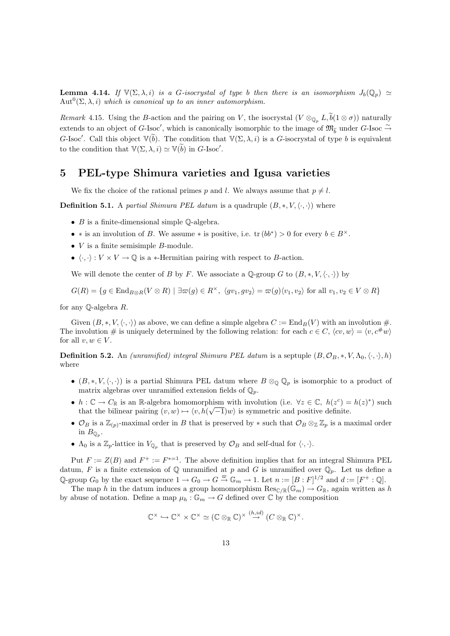**Lemma 4.14.** If  $\mathbb{V}(\Sigma, \lambda, i)$  is a G-isocrystal of type b then there is an isomorphism  $J_b(\mathbb{Q}_p) \simeq$  $\mathrm{Aut}^0(\Sigma, \lambda, i)$  which is canonical up to an inner automorphism.

Remark 4.15. Using the B-action and the pairing on V, the isocrystal  $(V \otimes_{\mathbb{Q}_p} L, \widetilde{b}(1 \otimes \sigma))$  naturally extends to an object of G-Isoc', which is canonically isomorphic to the image of  $\mathfrak{M}_{\tilde{b}}$  under G-Isoc  $\tilde{\rightarrow}$ G-Isoc'. Call this object  $\mathbb{V}(\widetilde{b})$ . The condition that  $\mathbb{V}(\Sigma, \lambda, i)$  is a G-isocrystal of type b is equivalent to the condition that  $\mathbb{V}(\Sigma, \lambda, i) \simeq \mathbb{V}(\widetilde{b})$  in G-Isoc'.

## 5 PEL-type Shimura varieties and Igusa varieties

We fix the choice of the rational primes p and l. We always assume that  $p \neq l$ .

**Definition 5.1.** A partial Shimura PEL datum is a quadruple  $(B, *, V, \langle \cdot, \cdot \rangle)$  where

- $B$  is a finite-dimensional simple  $\mathbb{Q}$ -algebra.
- \* is an involution of B. We assume \* is positive, i.e.  $\text{tr}(bb^*) > 0$  for every  $b \in B^{\times}$ .
- $V$  is a finite semisimple  $B$ -module.
- $\langle \cdot, \cdot \rangle : V \times V \to \mathbb{Q}$  is a  $*$ -Hermitian pairing with respect to B-action.

We will denote the center of B by F. We associate a Q-group G to  $(B,*,V,\langle \cdot,\cdot \rangle)$  by

 $G(R) = \{g \in \text{End}_{B\otimes R}(V\otimes R) \mid \exists \varpi(g) \in R^{\times}, \langle gv_1, gv_2 \rangle = \varpi(g)\langle v_1, v_2 \rangle \text{ for all } v_1, v_2 \in V \otimes R\}$ 

for any Q-algebra R.

Given  $(B, *, V, \langle \cdot, \cdot \rangle)$  as above, we can define a simple algebra  $C := \text{End}_B(V)$  with an involution #. The involution # is uniquely determined by the following relation: for each  $c \in C$ ,  $\langle cv, w \rangle = \langle v, c \# w \rangle$ for all  $v, w \in V$ .

**Definition 5.2.** An *(unramified) integral Shimura PEL datum* is a septuple  $(B, \mathcal{O}_B, *, V, \Lambda_0, \langle \cdot, \cdot \rangle, h)$ where

- $(B,*,V,\langle\cdot,\cdot\rangle)$  is a partial Shimura PEL datum where  $B \otimes_{\mathbb{Q}} \mathbb{Q}_p$  is isomorphic to a product of matrix algebras over unramified extension fields of  $\mathbb{Q}_p$ .
- $h: \mathbb{C} \to C_{\mathbb{R}}$  is an  $\mathbb{R}$ -algebra homomorphism with involution (i.e.  $\forall z \in \mathbb{C}, h(z^c) = h(z)^*$ ) such that the bilinear pairing  $(v, w) \mapsto \langle v, h(\sqrt{-1})w \rangle$  is symmetric and positive definite.
- $\mathcal{O}_B$  is a  $\mathbb{Z}_{(p)}$ -maximal order in B that is preserved by  $*$  such that  $\mathcal{O}_B \otimes_{\mathbb{Z}} \mathbb{Z}_p$  is a maximal order in  $B_{\mathbb{Q}_p}$ .
- $\Lambda_0$  is a  $\mathbb{Z}_p$ -lattice in  $V_{\mathbb{Q}_p}$  that is preserved by  $\mathcal{O}_B$  and self-dual for  $\langle \cdot, \cdot \rangle$ .

Put  $F := Z(B)$  and  $F^+ := F^{*-1}$ . The above definition implies that for an integral Shimura PEL datum, F is a finite extension of Q unramified at p and G is unramified over  $\mathbb{Q}_p$ . Let us define a Q-group  $G_0$  by the exact sequence  $1 \to G_0 \to G \stackrel{\varpi}{\to} \mathbb{G}_m \to 1$ . Let  $n := [B : F]^{1/2}$  and  $d := [F^+ : \mathbb{Q}]$ .

The map h in the datum induces a group homomorphism  $\text{Res}_{\mathbb{C}/\mathbb{R}}(\mathbb{G}_m) \to G_{\mathbb{R}}$ , again written as h by abuse of notation. Define a map  $\mu_h : \mathbb{G}_m \to G$  defined over  $\mathbb C$  by the composition

$$
\mathbb{C}^\times \hookrightarrow \mathbb{C}^\times \times \mathbb{C}^\times \simeq (\mathbb{C} \otimes_\mathbb{R} \mathbb{C})^\times \stackrel{(h,id)}{\to} (C \otimes_\mathbb{R} \mathbb{C})^\times.
$$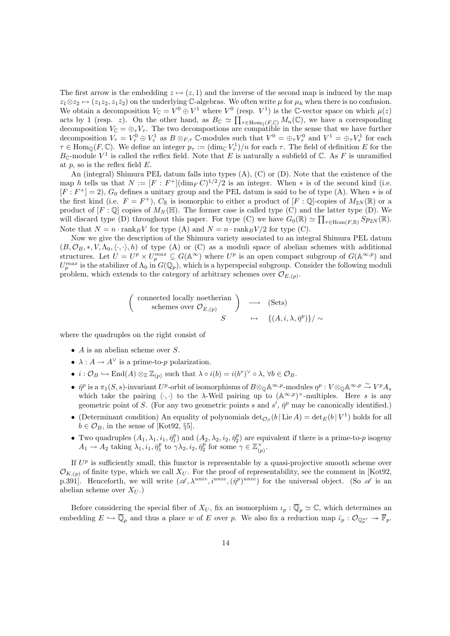The first arrow is the embedding  $z \mapsto (z, 1)$  and the inverse of the second map is induced by the map  $z_1 \otimes z_2 \mapsto (z_1z_2, z_1\overline{z}_2)$  on the underlying C-algebras. We often write  $\mu$  for  $\mu_h$  when there is no confusion. We obtain a decomposition  $V_{\mathbb{C}} = V^0 \oplus V^1$  where  $V^0$  (resp.  $V^1$ ) is the C-vector space on which  $\mu(z)$ acts by 1 (resp. z). On the other hand, as  $B_{\mathbb{C}} \simeq \prod_{\tau \in \text{Hom}_{\mathbb{O}}(F,\mathbb{C})} M_n(\mathbb{C})$ , we have a corresponding decomposition  $V_{\mathbb{C}} = \bigoplus_{\tau} V_{\tau}$ . The two decompositions are compatible in the sense that we have further decomposition  $V_{\tau} = V_{\tau}^0 \oplus V_{\tau}^1$  as  $B \otimes_{F,\tau} \mathbb{C}$ -modules such that  $V^0 = \oplus_{\tau} V_{\tau}^0$  and  $V^1 = \oplus_{\tau} V_{\tau}^1$  for each  $\tau \in \text{Hom}_{\mathbb{Q}}(F, \mathbb{C})$ . We define an integer  $p_{\tau} := (\dim_{\mathbb{C}} V_{\tau}^1)/n$  for each  $\tau$ . The field of definition E for the  $B_{\mathbb{C}}$ -module  $V^1$  is called the reflex field. Note that E is naturally a subfield of  $\mathbb{C}$ . As F is unramified at  $p$ , so is the reflex field  $E$ .

An (integral) Shimura PEL datum falls into types (A), (C) or (D). Note that the existence of the map h tells us that  $N := [F : F^+] (\dim_F C)^{1/2}/2$  is an integer. When \* is of the second kind (i.e.  $[F : F^+] = 2$ ,  $G_0$  defines a unitary group and the PEL datum is said to be of type (A). When  $*$  is of the first kind (i.e.  $F = F^+$ ),  $C_{\mathbb{R}}$  is isomorphic to either a product of  $[F: \mathbb{Q}]$ -copies of  $M_{2N}(\mathbb{R})$  or a product of  $[F:\mathbb{Q}]$  copies of  $M_N(\mathbb{H})$ . The former case is called type (C) and the latter type (D). We will discard type (D) throughout this paper. For type (C) we have  $G_0(\mathbb{R}) \simeq \prod_{\tau \in \text{Hom}(F,\mathbb{R})} Sp_{2N}(\mathbb{R})$ . Note that  $N = n \cdot \text{rank}_B V$  for type (A) and  $N = n \cdot \text{rank}_B V / 2$  for type (C).

Now we give the description of the Shimura variety associated to an integral Shimura PEL datum  $(B, \mathcal{O}_B, *, V, \Lambda_0, \langle \cdot, \cdot \rangle, h)$  of type (A) or (C) as a moduli space of abelian schemes with additional structures. Let  $U = U^p \times U_p^{max} \subseteq G(\mathbb{A}^{\infty})$  where  $U^p$  is an open compact subgroup of  $G(\mathbb{A}^{\infty,p})$  and  $U_p^{max}$  is the stabilizer of  $\Lambda_0$  in  $G(\mathbb{Q}_p)$ , which is a hyperspecial subgroup. Consider the following moduli problem, which extends to the category of arbitrary schemes over  $\mathcal{O}_{E,(p)}$ .

$$
\begin{pmatrix}\n\text{connected locally noetherian} \\
\text{ schemes over } \mathcal{O}_{E,(p)} \\
\downarrow \quad S\n\end{pmatrix}\n\longrightarrow\n\begin{pmatrix}\n\text{Sets} \\
\downarrow \quad (\text{Sets})\n\end{pmatrix}
$$

where the quadruples on the right consist of

- $A$  is an abelian scheme over  $S$ .
- $\lambda: A \to A^{\vee}$  is a prime-to-p polarization.
- $i: \mathcal{O}_B \hookrightarrow \text{End}(A) \otimes_{\mathbb{Z}} \mathbb{Z}_{(p)}$  such that  $\lambda \circ i(b) = i(b^*)^{\vee} \circ \lambda, \forall b \in \mathcal{O}_B$ .
- $\bar{\eta}^p$  is a  $\pi_1(S, s)$ -invariant U<sup>p</sup>-orbit of isomorphisms of  $B \otimes_{\mathbb{Q}} \mathbb{A}^{\infty, p}$ -modules  $\eta^p : V \otimes_{\mathbb{Q}} \mathbb{A}^{\infty, p} \stackrel{\sim}{\to} V^p A_s$ which take the pairing  $\langle \cdot, \cdot \rangle$  to the  $\lambda$ -Weil pairing up to  $(\mathbb{A}^{\infty, p})^{\times}$ -multiples. Here s is any geometric point of S. (For any two geometric points s and s',  $\bar{\eta}^p$  may be canonically identified.)
- (Determinant condition) An equality of polynomials  $\det_{\mathcal{O}_S}(b | \operatorname{Lie} A) = \det_E(b | V^1)$  holds for all  $b \in \mathcal{O}_B$ , in the sense of [Kot92, §5].
- Two quadruples  $(A_1, \lambda_1, i_1, \bar{\eta}_1^p)$  and  $(A_2, \lambda_2, i_2, \bar{\eta}_2^p)$  are equivalent if there is a prime-to-p isogeny  $A_1 \rightarrow A_2$  taking  $\lambda_1, i_1, \bar{\eta}_1^p$  to  $\gamma \lambda_2, i_2, \bar{\eta}_2^p$  for some  $\gamma \in \mathbb{Z}_{(p)}^{\times}$ .

If  $U^p$  is sufficiently small, this functor is representable by a quasi-projective smooth scheme over  $\mathcal{O}_{K,(p)}$  of finite type, which we call  $X_U$ . For the proof of representability, see the comment in [Kot92, p.391]. Henceforth, we will write  $(\mathscr{A}, \lambda^{univ}, i^{univ}, (\bar{\eta}^p)^{univ})$  for the universal object. (So  $\mathscr{A}$  is an abelian scheme over  $X_U$ .)

Before considering the special fiber of  $X_U$ , fix an isomorphism  $\iota_p : \overline{\mathbb{Q}}_p \simeq \mathbb{C}$ , which determines an embedding  $E \hookrightarrow \overline{\mathbb{Q}}_p$  and thus a place w of E over p. We also fix a reduction map  $\overline{\iota}_p : \mathcal{O}_{\mathbb{Q}_p^{ur}} \twoheadrightarrow \overline{\mathbb{F}}_p$ .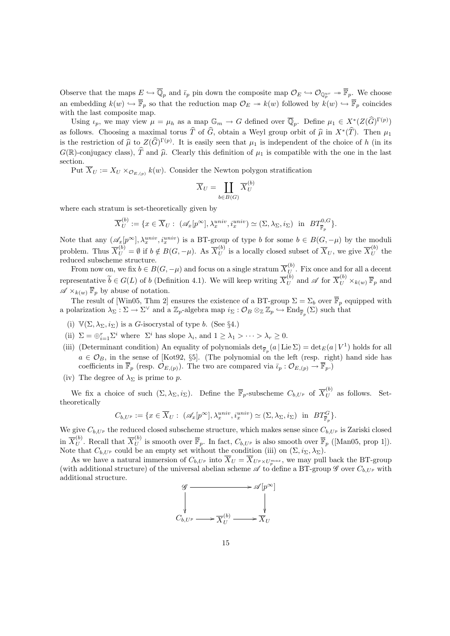Observe that the maps  $E \hookrightarrow \overline{\mathbb{Q}}_p$  and  $\overline{\iota}_p$  pin down the composite map  $\mathcal{O}_E \hookrightarrow \mathcal{O}_{\mathbb{Q}_p^{ur}} \twoheadrightarrow \overline{\mathbb{F}}_p$ . We choose an embedding  $k(w) \hookrightarrow \overline{\mathbb{F}}_p$  so that the reduction map  $\mathcal{O}_E \to k(w)$  followed by  $k(w) \hookrightarrow \overline{\mathbb{F}}_p$  coincides with the last composite map.

Using  $\iota_p$ , we may view  $\mu = \mu_h$  as a map  $\mathbb{G}_m \to G$  defined over  $\overline{\mathbb{Q}}_p$ . Define  $\mu_1 \in X^*(Z(\widehat{G})^{\Gamma(p)})$ as follows. Choosing a maximal torus  $\hat{T}$  of  $\hat{G}$ , obtain a Weyl group orbit of  $\hat{\mu}$  in  $X^*(\hat{T})$ . Then  $\mu_1$ <br>is the position of  $\hat{\mu}$  is  $Z(\hat{G})\Gamma(p)$ . It is easily seen that  $\mu_1$  is independent of the choice is the restriction of  $\hat{\mu}$  to  $Z(\hat{G})^{\Gamma(p)}$ . It is easily seen that  $\mu_1$  is independent of the choice of h (in its  $G(\mathbb{R})$  conjugates the  $\hat{\mathbb{R}}$  can be  $\hat{\mathbb{R}}$ .  $G(\mathbb{R})$ -conjugacy class),  $\hat{T}$  and  $\hat{\mu}$ . Clearly this definition of  $\mu_1$  is compatible with the one in the last section.

Put  $X_U := X_U \times_{\mathcal{O}_{E,(p)}} k(w)$ . Consider the Newton polygon stratification

$$
\overline{X}_U = \coprod_{b \in B(G)} \overline{X}_U^{(b)}
$$

where each stratum is set-theoretically given by

$$
\overline{X}_{U}^{(b)} := \{ x \in \overline{X}_{U} : \ (\mathscr{A}_{x}[p^{\infty}], \lambda_{x}^{univ}, i_{x}^{univ}) \simeq (\Sigma, \lambda_{\Sigma}, i_{\Sigma}) \text{ in } BT^{\{0, G\}}_{\overline{\mathbb{F}}_{p}} \}.
$$

Note that any  $(\mathscr{A}_x[p^\infty], \lambda_x^{univ}, i_x^{univ})$  is a BT-group of type b for some  $b \in B(G, -\mu)$  by the moduli problem. Thus  $\overline{X}_U^{(b)} = \emptyset$  if  $b \notin B(G, -\mu)$ . As  $\overline{X}_U^{(b)}$  is a locally closed subset of  $\overline{X}_U$ , we give  $\overline{X}_U^{(b)}$  the reduced subscheme structure.

From now on, we fix  $b \in B(G, -\mu)$  and focus on a single stratum  $\overline{X}_{U}^{(b)}$ . Fix once and for all a decent representative  $\widetilde{b} \in G(L)$  of b (Definition 4.1). We will keep writing  $\overline{X}_{U}^{(b)}$  and  $\mathscr{A}$  for  $\overline{X}_{U}^{(b)} \times_{k(w)} \overline{\mathbb{F}}_{p}$  and  $\mathscr{A} \times_{k(w)} \overline{\mathbb{F}}_p$  by abuse of notation.

The result of [Win05, Thm 2] ensures the existence of a BT-group  $\Sigma = \Sigma_b$  over  $\overline{\mathbb{F}}_p$  equipped with a polarization  $\lambda_{\Sigma}: \Sigma \to \Sigma^{\vee}$  and a  $\mathbb{Z}_p$ -algebra map  $i_{\Sigma}: \mathcal{O}_B \otimes_{\mathbb{Z}} \mathbb{Z}_p \hookrightarrow \text{End}_{\overline{\mathbb{F}}_p}(\Sigma)$  such that

- (i)  $\mathbb{V}(\Sigma, \lambda_{\Sigma}, i_{\Sigma})$  is a G-isocrystal of type b. (See §4.)
- (ii)  $\Sigma = \bigoplus_{i=1}^r \Sigma^i$  where  $\Sigma^i$  has slope  $\lambda_i$ , and  $1 \geq \lambda_1 > \cdots > \lambda_r \geq 0$ .
- (iii) (Determinant condition) An equality of polynomials  $\det_{\overline{\mathbb{F}}_p}(a | \operatorname{Lie} \Sigma) = \det_E(a | V^1)$  holds for all  $a \in \mathcal{O}_B$ , in the sense of [Kot92, §5]. (The polynomial on the left (resp. right) hand side has coefficients in  $\overline{\mathbb{F}}_p$  (resp.  $\mathcal{O}_{E,(p)}$ ). The two are compared via  $\overline{\iota}_p : \mathcal{O}_{E,(p)} \to \overline{\mathbb{F}}_p$ .)
- (iv) The degree of  $\lambda_{\Sigma}$  is prime to p.

We fix a choice of such  $(\Sigma, \lambda_{\Sigma}, i_{\Sigma})$ . Define the  $\overline{\mathbb{F}}_p$ -subscheme  $C_{b,U^p}$  of  $\overline{X}_U^{(b)}$  as follows. Settheoretically

$$
C_{b,U^p} := \{ x \in \overline{X}_U : \ (\mathscr{A}_x[p^\infty], \lambda_x^{univ}, i_x^{univ}) \simeq (\Sigma, \lambda_\Sigma, i_\Sigma) \text{ in } BT_{\overline{\mathbb{F}}_p}^G \}.
$$

We give  $C_{b, U^p}$  the reduced closed subscheme structure, which makes sense since  $C_{b, U^p}$  is Zariski closed in  $\overline{X}_{U}^{(b)}$ . Recall that  $\overline{X}_{U}^{(b)}$  is smooth over  $\overline{\mathbb{F}}_{p}$ . In fact,  $C_{b, U^{p}}$  is also smooth over  $\overline{\mathbb{F}}_{p}$  ([Man05, prop 1]). Note that  $C_{b, U^p}$  could be an empty set without the condition (iii) on  $(\Sigma, i_{\Sigma}, \lambda_{\Sigma})$ .

As we have a natural immersion of  $C_{b, U^p}$  into  $X_U = X_{U^p \times U_p^{max}}$ , we may pull back the BT-group (with additional structure) of the universal abelian scheme  $\mathscr A$  to define a BT-group  $\mathscr G$  over  $C_{b, U^p}$  with additional structure.

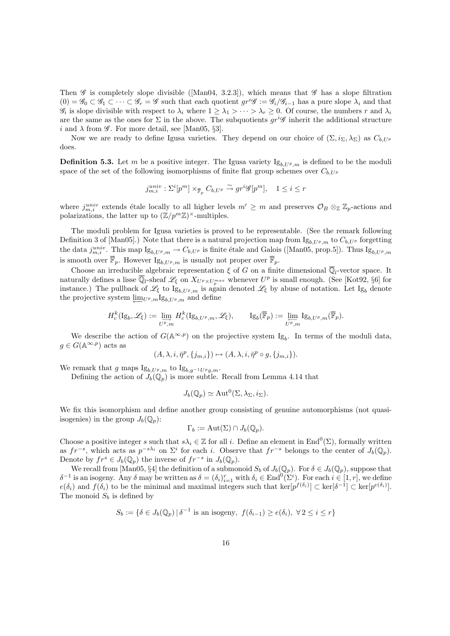Then  $\mathscr G$  is completely slope divisible ([Man04, 3.2.3]), which means that  $\mathscr G$  has a slope filtration  $(0) = \mathscr{G}_0 \subset \mathscr{G}_1 \subset \cdots \subset \mathscr{G}_r = \mathscr{G}$  such that each quotient  $gr^i\mathscr{G} := \mathscr{G}_i/\mathscr{G}_{i-1}$  has a pure slope  $\lambda_i$  and that  $\mathscr{G}_i$  is slope divisible with respect to  $\lambda_i$  where  $1 \geq \lambda_1 > \cdots > \lambda_r \geq 0$ . Of course, the numbers r and  $\lambda_i$ are the same as the ones for  $\Sigma$  in the above. The subquotients  $gr^{i}\mathscr{G}$  inherit the additional structure i and  $\lambda$  from  $\mathscr G$ . For more detail, see [Man05, §3].

Now we are ready to define Igusa varieties. They depend on our choice of  $(\Sigma, i_{\Sigma}, \lambda_{\Sigma})$  as  $C_{b,UP}$ does.

**Definition 5.3.** Let m be a positive integer. The Igusa variety  $I_{g_b I / p_m}$  is defined to be the moduli space of the set of the following isomorphisms of finite flat group schemes over  $C_{b,UP}$ 

$$
j_{m,i}^{univ}:\Sigma^{i}[p^{m}]\times_{\overline{\mathbb{F}}_{p}}C_{b,U^{p}}\xrightarrow{\sim}gr^{i}\mathscr{G}[p^{m}],\quad 1\leq i\leq r
$$

where  $j_{m,i}^{univ}$  extends étale locally to all higher levels  $m' \geq m$  and preserves  $\mathcal{O}_B \otimes_{\mathbb{Z}} \mathbb{Z}_p$ -actions and polarizations, the latter up to  $(\mathbb{Z}/p^m\mathbb{Z})^{\times}$ -multiples.

The moduli problem for Igusa varieties is proved to be representable. (See the remark following Definition 3 of [Man05].) Note that there is a natural projection map from  $I_{g_{b,U_p,m}}$  to  $C_{b,U_p}$  forgetting the data  $j_{m,i}^{univ}$ . This map  $I_{g_{b,U^p,m}} \to C_{b,U^p}$  is finite étale and Galois ([Man05, prop.5]). Thus  $I_{g_{b,U^p,m}}$ is smooth over  $\overline{\mathbb{F}}_p$ . However  $\text{I}_{\mathcal{B}_b,U_p,m}$  is usually not proper over  $\overline{\mathbb{F}}_p$ .

Choose an irreducible algebraic representation  $\xi$  of G on a finite dimensional  $\overline{\mathbb{Q}}_l$ -vector space. It naturally defines a lisse  $\overline{\mathbb{Q}}_l$ -sheaf  $\mathscr{L}_\xi$  on  $X_{U^p \times U_p^{max}}$  whenever  $U^p$  is small enough. (See [Kot92, §6] for instance.) The pullback of  $\mathscr{L}_{\xi}$  to  $\mathrm{Ig}_{b, U^{p}, m}$  is again denoted  $\mathscr{L}_{\xi}$  by abuse of notation. Let  $\mathrm{Ig}_{b}$  denote the projective system  $\lim_{U_p,m}I_{g_{b,U_p,m}}$  and define

$$
H_c^k(\mathrm{Ig}_b, \mathscr{L}_\xi) := \varinjlim_{U^p, m} H_c^k(\mathrm{Ig}_{b, U^p, m}, \mathscr{L}_\xi), \qquad \mathrm{Ig}_b(\overline{\mathbb{F}}_p) := \varprojlim_{U^p, m} \mathrm{Ig}_{b, U^p, m}(\overline{\mathbb{F}}_p).
$$

We describe the action of  $G(\mathbb{A}^{\infty,p})$  on the projective system Ig<sub>b</sub>. In terms of the moduli data,  $g \in G(\mathbb{A}^{\infty,p})$  acts as

$$
(A, \lambda, i, \bar{\eta}^p, \{j_{m,i}\}) \mapsto (A, \lambda, i, \bar{\eta}^p \circ g, \{j_{m,i}\}).
$$

We remark that g maps  $\text{Ig}_{b, U^p, m}$  to  $\text{Ig}_{b, g^{-1}U^p g, m}$ .

Defining the action of  $J_b(\mathbb{Q}_p)$  is more subtle. Recall from Lemma 4.14 that

$$
J_b(\mathbb{Q}_p) \simeq \mathrm{Aut}^0(\Sigma, \lambda_\Sigma, i_\Sigma).
$$

We fix this isomorphism and define another group consisting of genuine automorphisms (not quasiisogenies) in the group  $J_b(\mathbb{Q}_n)$ :

$$
\Gamma_b := \mathrm{Aut}(\Sigma) \cap J_b(\mathbb{Q}_p).
$$

Choose a positive integer s such that  $s\lambda_i \in \mathbb{Z}$  for all i. Define an element in End<sup>0</sup>( $\Sigma$ ), formally written as  $fr^{-s}$ , which acts as  $p^{-s\lambda_i}$  on  $\Sigma^i$  for each i. Observe that  $fr^{-s}$  belongs to the center of  $J_b(\mathbb{Q}_p)$ . Denote by  $fr^s \in J_b(\mathbb{Q}_p)$  the inverse of  $fr^{-s}$  in  $J_b(\mathbb{Q}_p)$ .

We recall from [Man05, §4] the definition of a submonoid  $S_b$  of  $J_b(\mathbb{Q}_p)$ . For  $\delta \in J_b(\mathbb{Q}_p)$ , suppose that  $\delta^{-1}$  is an isogeny. Any  $\delta$  may be written as  $\delta = (\delta_i)_{i=1}^r$  with  $\delta_i \in \text{End}^0(\Sigma^i)$ . For each  $i \in [1, r]$ , we define  $e(\delta_i)$  and  $f(\delta_i)$  to be the minimal and maximal integers such that ker $[p^{f(\delta_i)}] \subset \text{ker}[\delta^{-1}] \subset \text{ker}[p^{e(\delta_i)}]$ . The monoid  $S_b$  is defined by

$$
S_b := \{ \delta \in J_b(\mathbb{Q}_p) \, | \, \delta^{-1} \text{ is an isogeny, } f(\delta_{i-1}) \ge e(\delta_i), \ \forall \, 2 \le i \le r \}
$$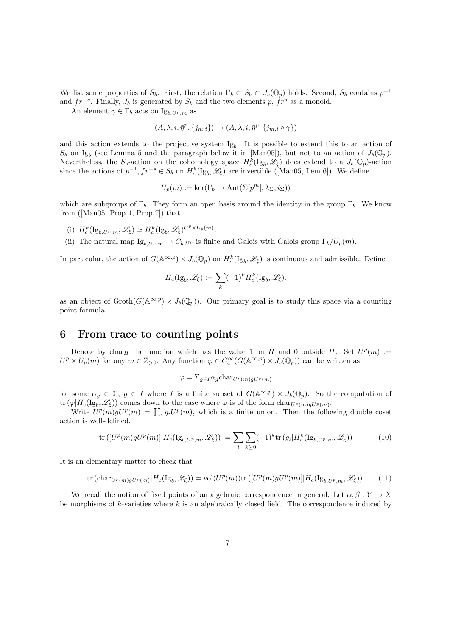We list some properties of  $S_b$ . First, the relation  $\Gamma_b \subset S_b \subset J_b(\mathbb{Q}_p)$  holds. Second,  $S_b$  contains  $p^{-1}$ and  $fr^{-s}$ . Finally,  $J_b$  is generated by  $S_b$  and the two elements p,  $fr^s$  as a monoid.

An element  $\gamma \in \Gamma_b$  acts on  $\mathrm{Ig}_{b, U^p, m}$  as

$$
(A, \lambda, i, \bar{\eta}^p, \{j_{m,i}\}) \mapsto (A, \lambda, i, \bar{\eta}^p, \{j_{m,i} \circ \gamma\})
$$

and this action extends to the projective system  $Ig_b$ . It is possible to extend this to an action of  $S_b$  on Ig<sub>b</sub> (see Lemma 5 and the paragraph below it in [Man05]), but not to an action of  $J_b(\mathbb{Q}_p)$ . Nevertheless, the  $S_b$ -action on the cohomology space  $H_c^k(\mathrm{Ig}_b, \mathscr{L}_\xi)$  does extend to a  $J_b(\mathbb{Q}_p)$ -action since the actions of  $p^{-1}, fr^{-s} \in S_b$  on  $H_c^k(\mathrm{Ig}_b, \mathscr{L}_\xi)$  are invertible ([Man05, Lem 6]). We define

$$
U_p(m) := \ker(\Gamma_b \to \text{Aut}(\Sigma[p^m], \lambda_{\Sigma}, i_{\Sigma}))
$$

which are subgroups of  $\Gamma_b$ . They form an open basis around the identity in the group  $\Gamma_b$ . We know from ([Man05, Prop 4, Prop 7]) that

- (i)  $H_c^k(\mathrm{Ig}_{b,U^p,m},\mathscr{L}_\xi) \simeq H_c^k(\mathrm{Ig}_b,\mathscr{L}_\xi)^{U^p \times U_p(m)}.$
- (ii) The natural map  $I_{g_{b, U^p, m}} \to C_{b, U^p}$  is finite and Galois with Galois group  $\Gamma_b/U_p(m)$ .

In particular, the action of  $G(\mathbb{A}^{\infty,p}) \times J_b(\mathbb{Q}_p)$  on  $H_c^k(\mathrm{Ig}_b, \mathscr{L}_\xi)$  is continuous and admissible. Define

$$
H_c(\mathrm{Ig}_b, \mathscr{L}_\xi) := \sum_k (-1)^k H_c^k(\mathrm{Ig}_b, \mathscr{L}_\xi).
$$

as an object of  $\operatorname{Groth}(G(\mathbb{A}^{\infty,p}) \times J_b(\mathbb{Q}_p))$ . Our primary goal is to study this space via a counting point formula.

### 6 From trace to counting points

Denote by char<sub>H</sub> the function which has the value 1 on H and 0 outside H. Set  $U^p(m)$  :=  $U^p \times U_p(m)$  for any  $m \in \mathbb{Z}_{>0}$ . Any function  $\varphi \in C_c^{\infty}(G(\mathbb{A}^{\infty,p}) \times J_b(\mathbb{Q}_p))$  can be written as

$$
\varphi = \Sigma_{g \in I} \alpha_g \text{char}_{U^p(m)gU^p(m)}
$$

for some  $\alpha_g \in \mathbb{C}$ ,  $g \in I$  where I is a finite subset of  $G(\mathbb{A}^{\infty,p}) \times J_b(\mathbb{Q}_p)$ . So the computation of tr  $(\varphi|H_c(\mathrm{Ig}_b, \mathscr{L}_\xi))$  comes down to the case where  $\varphi$  is of the form  $\mathrm{char}_{U^p(m)gU^p(m)}$ .

Write  $U^p(m)gU^p(m) = \coprod_i g_i U^p(m)$ , which is a finite union. Then the following double coset action is well-defined.

$$
\operatorname{tr}\left([U^p(m)gU^p(m)]|H_c(\operatorname{Ig}_{b,U^p,m},\mathscr{L}_\xi)\right):=\sum_i\sum_{k\geq 0}(-1)^k\operatorname{tr}\left(g_i|H_c^k(\operatorname{Ig}_{b,U^p,m},\mathscr{L}_\xi)\right)\tag{10}
$$

It is an elementary matter to check that

$$
\text{tr}\left(\text{char}_{U^p(m)gU^p(m)}|H_c(\text{Ig}_b,\mathscr{L}_\xi)\right) = \text{vol}(U^p(m))\text{tr}\left([U^p(m)gU^p(m)]|H_c(\text{Ig}_{b,U^p,m},\mathscr{L}_\xi)\right). \tag{11}
$$

We recall the notion of fixed points of an algebraic correspondence in general. Let  $\alpha, \beta : Y \to X$ be morphisms of  $k$ -varieties where  $k$  is an algebraically closed field. The correspondence induced by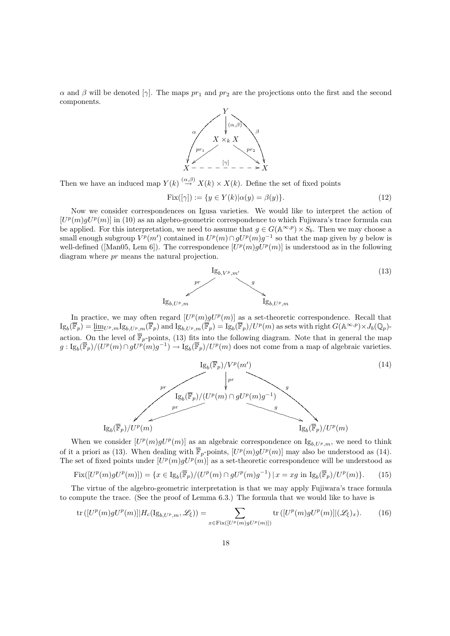$\alpha$  and  $\beta$  will be denoted  $[\gamma]$ . The maps  $pr_1$  and  $pr_2$  are the projections onto the first and the second components.



Then we have an induced map  $Y(k) \stackrel{(\alpha,\beta)}{\rightarrow} X(k) \times X(k)$ . Define the set of fixed points

$$
\text{Fix}([\gamma]) := \{ y \in Y(k) | \alpha(y) = \beta(y) \}. \tag{12}
$$

Now we consider correspondences on Igusa varieties. We would like to interpret the action of  $[U^p(m)gU^p(m)]$  in (10) as an algebro-geometric correspondence to which Fujiwara's trace formula can be applied. For this interpretation, we need to assume that  $g \in G(\mathbb{A}^{\infty,p}) \times S_b$ . Then we may choose a small enough subgroup  $V^p(m')$  contained in  $U^p(m) \cap gU^p(m)g^{-1}$  so that the map given by g below is well-defined ([Man05, Lem 6]). The correspondence  $[U^p(m)gU^p(m)]$  is understood as in the following diagram where pr means the natural projection.



In practice, we may often regard  $[U^p(m)gU^p(m)]$  as a set-theoretic correspondence. Recall that  $\mathrm{Ig}_b(\overline{\mathbb{F}}_p) = \underleftarrow{\lim}_{U^p,m} \mathrm{Ig}_{b, U^p,m}(\overline{\mathbb{F}}_p)$  and  $\mathrm{Ig}_{b, U^p,m}(\overline{\mathbb{F}}_p) = \mathrm{Ig}_b(\overline{\mathbb{F}}_p)/U^p(m)$  as sets with right  $G(\mathbb{A}^{\infty, p}) \times J_b(\mathbb{Q}_p)$ action. On the level of  $\overline{\mathbb{F}}_p$ -points, (13) fits into the following diagram. Note that in general the map  $g: \mathrm{Ig}_b(\overline{\mathbb{F}}_p)/(U^p(m) \cap gU^p(m)g^{-1}) \to \mathrm{Ig}_b(\overline{\mathbb{F}}_p)/U^p(m)$  does not come from a map of algebraic varieties.



When we consider  $[U^p(m)gU^p(m)]$  as an algebraic correspondence on  $I_{g_{b,U^p,m}}$ , we need to think of it a priori as (13). When dealing with  $\overline{\mathbb{F}}_p$ -points,  $[U^p(m)gU^p(m)]$  may also be understood as (14). The set of fixed points under  $[U^p(m)gU^p(m)]$  as a set-theoretic correspondence will be understood as

$$
\operatorname{Fix}([U^p(m)gU^p(m)]) = \{ x \in \operatorname{Ig}_b(\overline{\mathbb{F}}_p) / (U^p(m) \cap gU^p(m)g^{-1}) \mid x = xg \text{ in } \operatorname{Ig}_b(\overline{\mathbb{F}}_p) / U^p(m) \}. \tag{15}
$$

The virtue of the algebro-geometric interpretation is that we may apply Fujiwara's trace formula to compute the trace. (See the proof of Lemma 6.3.) The formula that we would like to have is

$$
\operatorname{tr}\left([U^p(m)gU^p(m)]|H_c(\operatorname{Ig}_{b,U^p,m},\mathscr{L}_{\xi})\right) = \sum_{x \in \operatorname{Fix}([U^p(m)gU^p(m)])} \operatorname{tr}\left([U^p(m)gU^p(m)]|(\mathscr{L}_{\xi})_x\right). \tag{16}
$$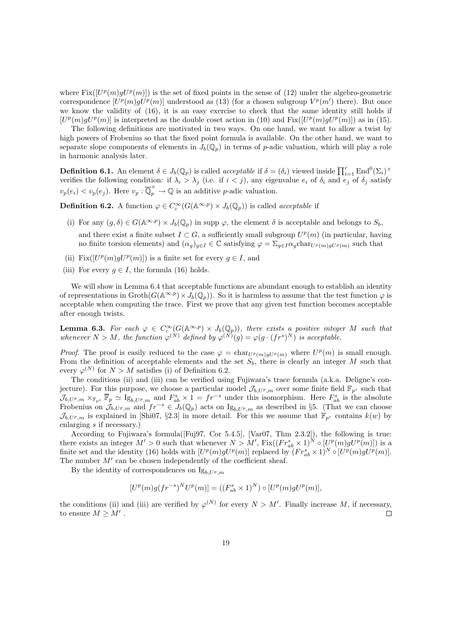where  $Fix([U^p(m)gU^p(m)])$  is the set of fixed points in the sense of (12) under the algebro-geometric correspondence  $[U^p(m)gU^p(m)]$  understood as (13) (for a chosen subgroup  $V^p(m')$  there). But once we know the validity of (16), it is an easy exercise to check that the same identity still holds if  $[U^p(m)gU^p(m)]$  is interpreted as the double coset action in (10) and  $Fix([U^p(m)gU^p(m)])$  as in (15).

The following definitions are motivated in two ways. On one hand, we want to allow a twist by high powers of Frobenius so that the fixed point formula is available. On the other hand, we want to separate slope components of elements in  $J_b(\mathbb{Q}_p)$  in terms of p-adic valuation, which will play a role in harmonic analysis later.

**Definition 6.1.** An element  $\delta \in J_b(\mathbb{Q}_p)$  is called *acceptable* if  $\delta = (\delta_i)$  viewed inside  $\prod_{i=1}^r \text{End}^0(\Sigma_i)^\times$ verifies the following condition: if  $\lambda_i > \lambda_j$  (i.e. if  $i < j$ ), any eigenvalue  $e_i$  of  $\delta_i$  and  $e_j$  of  $\delta_j$  satisfy  $v_p(e_i) < v_p(e_j)$ . Here  $v_p : \overline{\mathbb{Q}}_p^{\times} \to \mathbb{Q}$  is an additive *p*-adic valuation.

**Definition 6.2.** A function  $\varphi \in C_c^{\infty}(G(\mathbb{A}^{\infty,p}) \times J_b(\mathbb{Q}_p))$  is called *acceptable* if

- (i) For any  $(q, \delta) \in G(\mathbb{A}^{\infty, p}) \times J_b(\mathbb{Q}_n)$  in supp  $\varphi$ , the element  $\delta$  is acceptable and belongs to  $S_b$ , and there exist a finite subset  $I \subset G$ , a sufficiently small subgroup  $U^p(m)$  (in particular, having no finite torsion elements) and  $(\alpha_g)_{g\in I} \in \mathbb{C}$  satisfying  $\varphi = \sum_{g\in I} \alpha_g \text{char}_{U^p(m)gU^p(m)}$  such that
- (ii) Fix( $[U^p(m)gU^p(m)]$ ) is a finite set for every  $g \in I$ , and
- (iii) For every  $g \in I$ , the formula (16) holds.

We will show in Lemma 6.4 that acceptable functions are abundant enough to establish an identity of representations in  $\mathrm{Groth}(G(\mathbb{A}^{\infty,p}) \times J_b(\mathbb{Q}_p))$ . So it is harmless to assume that the test function  $\varphi$  is acceptable when computing the trace. First we prove that any given test function becomes acceptable after enough twists.

**Lemma 6.3.** For each  $\varphi \in C_c^{\infty}(G(\mathbb{A}^{\infty,p}) \times J_b(\mathbb{Q}_p))$ , there exists a positive integer M such that whenever  $N > M$ , the function  $\varphi^{(N)}$  defined by  $\varphi^{(N)}(g) = \varphi(g \cdot (fr^s)^N)$  is acceptable.

*Proof.* The proof is easily reduced to the case  $\varphi = \text{char}_{U^p(m)gU^p(m)}$  where  $U^p(m)$  is small enough. From the definition of acceptable elements and the set  $S_b$ , there is clearly an integer M such that every  $\varphi^{(N)}$  for  $N > M$  satisfies (i) of Definition 6.2.

The conditions (ii) and (iii) can be verified using Fujiwara's trace formula (a.k.a. Deligne's conjecture). For this purpose, we choose a particular model  $\mathcal{J}_{b, U^p,m}$  over some finite field  $\mathbb{F}_{p^s}$  such that  $\mathcal{J}_{b, U^p, m} \times_{\mathbb{F}_{p^s}} \overline{\mathbb{F}}_p \simeq \mathrm{Ig}_{b, U^p, m}$  and  $F_{ab}^s \times 1 = fr^{-s}$  under this isomorphism. Here  $F_{ab}^s$  is the absolute Frobenius on  $\mathcal{J}_{b,U^p,m}$  and  $fr^{-s} \in \mathcal{J}_b(\mathbb{Q}_p)$  acts on  $I_{\mathcal{S}_{b,U^p,m}}$  as described in §5. (That we can choose  $\mathcal{J}_{b, U^p,m}$  is explained in [Shi07, §2.3] in more detail. For this we assume that  $\mathbb{F}_{p^s}$  contains  $k(w)$  by enlarging s if necessary.)

According to Fujiwara's formula([Fuj97, Cor 5.4.5], [Var07, Thm 2.3.2]), the following is true: there exists an integer  $M' > 0$  such that whenever  $N > M'$ ,  $Fix((Fr_{ab}^s \times 1)^N \circ [U^p(m)gU^p(m)])$  is a finite set and the identity (16) holds with  $[U^p(m)gU^p(m)]$  replaced by  $(Fr_{ab}^s \times 1)^N \circ [U^p(m)gU^p(m)]$ . The number  $M'$  can be chosen independently of the coefficient sheaf.

By the identity of correspondences on  $I_{g_{b}U_{p,m}}$ 

$$
[U^p(m)g(fr^{-s})^N U^p(m)] = ((F^s_{ab} \times 1)^N) \circ [U^p(m)gU^p(m)],
$$

the conditions (ii) and (iii) are verified by  $\varphi^{(N)}$  for every  $N > M'$ . Finally increase M, if necessary, to ensure  $M \geq M'$ .  $\Box$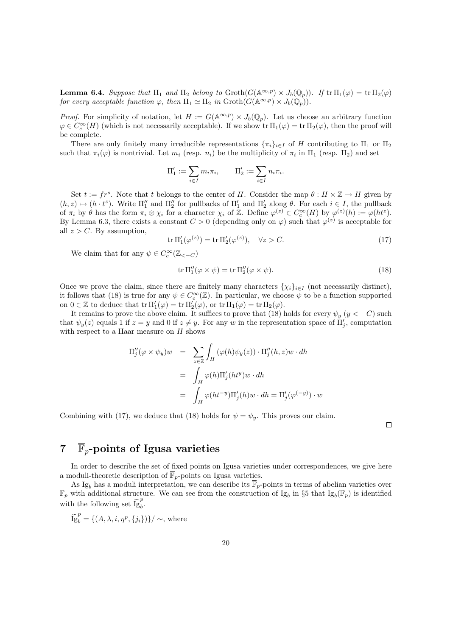**Lemma 6.4.** Suppose that  $\Pi_1$  and  $\Pi_2$  belong to  $\operatorname{Groth}(G(\mathbb{A}^{\infty,p}) \times J_b(\mathbb{Q}_p))$ . If  $\operatorname{tr} \Pi_1(\varphi) = \operatorname{tr} \Pi_2(\varphi)$ for every acceptable function  $\varphi$ , then  $\Pi_1 \simeq \Pi_2$  in  $\text{Groth}(G(\mathbb{A}^{\infty,p}) \times J_b(\mathbb{Q}_p)).$ 

*Proof.* For simplicity of notation, let  $H := G(\mathbb{A}^{\infty,p}) \times J_b(\mathbb{Q}_p)$ . Let us choose an arbitrary function  $\varphi \in C_c^{\infty}(H)$  (which is not necessarily acceptable). If we show  $\operatorname{tr} \Pi_1(\varphi) = \operatorname{tr} \Pi_2(\varphi)$ , then the proof will be complete.

There are only finitely many irreducible representations  $\{\pi_i\}_{i\in I}$  of H contributing to  $\Pi_1$  or  $\Pi_2$ such that  $\pi_i(\varphi)$  is nontrivial. Let  $m_i$  (resp.  $n_i$ ) be the multiplicity of  $\pi_i$  in  $\Pi_1$  (resp.  $\Pi_2$ ) and set

$$
\Pi_1' := \sum_{i \in I} m_i \pi_i, \qquad \Pi_2' := \sum_{i \in I} n_i \pi_i.
$$

Set  $t := fr^s$ . Note that t belongs to the center of H. Consider the map  $\theta : H \times \mathbb{Z} \to H$  given by  $(h, z) \mapsto (h \cdot t^z)$ . Write  $\Pi''_1$  and  $\Pi''_2$  for pullbacks of  $\Pi'_1$  and  $\Pi'_2$  along  $\theta$ . For each  $i \in I$ , the pullback of  $\pi_i$  by  $\theta$  has the form  $\pi_i \otimes \chi_i$  for a character  $\chi_i$  of  $\mathbb{Z}$ . Define  $\varphi^{(z)} \in C_c^{\infty}(H)$  by  $\varphi^{(z)}(h) := \varphi(ht^z)$ . By Lemma 6.3, there exists a constant  $C > 0$  (depending only on  $\varphi$ ) such that  $\varphi^{(z)}$  is acceptable for all  $z > C$ . By assumption,

$$
\operatorname{tr} \Pi_1'(\varphi^{(z)}) = \operatorname{tr} \Pi_2'(\varphi^{(z)}), \quad \forall z > C. \tag{17}
$$

We claim that for any  $\psi \in C_c^{\infty}(\mathbb{Z}_{<-C})$ 

$$
\operatorname{tr} \Pi_1''(\varphi \times \psi) = \operatorname{tr} \Pi_2''(\varphi \times \psi). \tag{18}
$$

Once we prove the claim, since there are finitely many characters  $\{\chi_i\}_{i\in I}$  (not necessarily distinct), it follows that (18) is true for any  $\psi \in C_c^{\infty}(\mathbb{Z})$ . In particular, we choose  $\psi$  to be a function supported on  $0 \in \mathbb{Z}$  to deduce that  $tr \Pi'_1(\varphi) = tr \Pi'_2(\varphi)$ , or  $tr \Pi_1(\varphi) = tr \Pi_2(\varphi)$ .

It remains to prove the above claim. It suffices to prove that (18) holds for every  $\psi_y$  ( $y < -C$ ) such that  $\psi_y(z)$  equals 1 if  $z = y$  and 0 if  $z \neq y$ . For any w in the representation space of  $\Pi'_j$ , computation with respect to a Haar measure on  $H$  shows

$$
\Pi''_j(\varphi \times \psi_y)w = \sum_{z \in \mathbb{Z}} \int_H (\varphi(h)\psi_y(z)) \cdot \Pi''_j(h, z)w \cdot dh
$$
  
= 
$$
\int_H \varphi(h)\Pi'_j(ht^y)w \cdot dh
$$
  
= 
$$
\int_H \varphi(ht^{-y})\Pi'_j(h)w \cdot dh = \Pi'_j(\varphi^{(-y)}) \cdot w
$$

Combining with (17), we deduce that (18) holds for  $\psi = \psi_y$ . This proves our claim.

 $\Box$ 

# 7  $\overline{\mathbb{F}}_p$ -points of Igusa varieties

In order to describe the set of fixed points on Igusa varieties under correspondences, we give here a moduli-theoretic description of  $\overline{\mathbb{F}}_p$ -points on Igusa varieties.

As Ig<sub>b</sub> has a moduli interpretation, we can describe its  $\overline{\mathbb{F}}_p$ -points in terms of abelian varieties over  $\overline{\mathbb{F}}_p$  with additional structure. We can see from the construction of Ig<sub>b</sub> in §5 that Ig<sub>b</sub>( $\overline{\mathbb{F}}_p$ ) is identified with the following set  $\widetilde{\lg}_b^p$  $\frac{F}{b}$ .

$$
\widetilde{\lg}_b^p = \{ (A, \lambda, i, \eta^p, \{j_i\}) \} / \sim, \text{ where}
$$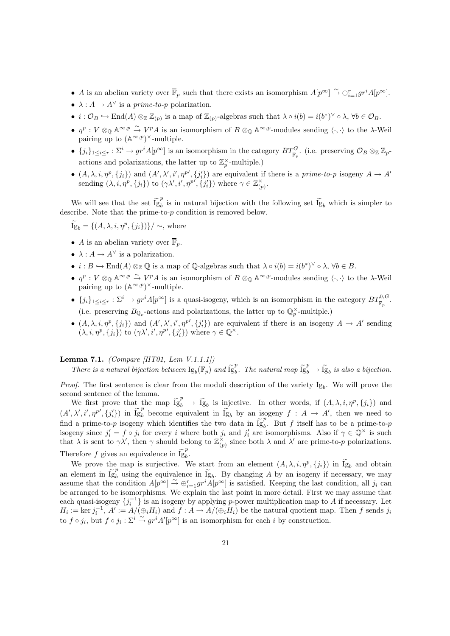- A is an abelian variety over  $\overline{\mathbb{F}}_p$  such that there exists an isomorphism  $A[p^{\infty}] \stackrel{\sim}{\to} \bigoplus_{i=1}^r gr^i A[p^{\infty}]$ .
- $\lambda: A \rightarrow A^{\vee}$  is a *prime-to-p* polarization.
- $i: \mathcal{O}_B \hookrightarrow \text{End}(A) \otimes_{\mathbb{Z}} \mathbb{Z}_{(p)}$  is a map of  $\mathbb{Z}_{(p)}$ -algebras such that  $\lambda \circ i(b) = i(b^*)^{\vee} \circ \lambda, \forall b \in \mathcal{O}_B$ .
- $\eta^p: V \otimes_{\mathbb{Q}} \mathbb{A}^{\infty,p} \stackrel{\sim}{\to} V^p A$  is an isomorphism of  $B \otimes_{\mathbb{Q}} \mathbb{A}^{\infty,p}$ -modules sending  $\langle \cdot, \cdot \rangle$  to the  $\lambda$ -Weil pairing up to  $(\mathbb{A}^{\infty,p})^{\times}$ -multiple.
- ${j_i}_{1 \leq i \leq r} : \Sigma^i \to gr^i A[p^\infty]$  is an isomorphism in the category  $BT^G_{\overline{\mathbb{F}}_p}$ . (i.e. preserving  $\mathcal{O}_B \otimes_{\mathbb{Z}} \mathbb{Z}_p$ actions and polarizations, the latter up to  $\mathbb{Z}_p^{\times}$ -multiple.)
- $(A, \lambda, i, \eta^p, \{j_i\})$  and  $(A', \lambda', i', \eta^{p'}, \{j'_i\})$  are equivalent if there is a prime-to-p isogeny  $A \to A'$ sending  $(\lambda, i, \eta^p, \{j_i\})$  to  $(\gamma \lambda', i', \eta^{p'}, \{j'_i\})$  where  $\gamma \in \mathbb{Z}_{(p)}^{\times}$ .

We will see that the set  $\tilde{I}_{g}^{ep}$  $\mu_b^{\mu}$  is in natural bijection with the following set Ig<sub>b</sub> which is simpler to describe. Note that the prime-to-p condition is removed below.

 $\widetilde{\mathrm{Ig}}_b = \{ (A, \lambda, i, \eta^p, \{j_i\}) \} / \sim,$  where

- A is an abelian variety over  $\overline{\mathbb{F}}_p$ .
- $\lambda: A \to A^{\vee}$  is a polarization.
- $i : B \hookrightarrow \text{End}(A) \otimes_{\mathbb{Z}} \mathbb{Q}$  is a map of  $\mathbb{Q}$ -algebras such that  $\lambda \circ i(b) = i(b^*)^{\vee} \circ \lambda, \forall b \in B$ .
- $\eta^p: V \otimes_{\mathbb{Q}} \mathbb{A}^{\infty,p} \stackrel{\sim}{\to} V^p A$  is an isomorphism of  $B \otimes_{\mathbb{Q}} \mathbb{A}^{\infty,p}$ -modules sending  $\langle \cdot, \cdot \rangle$  to the  $\lambda$ -Weil pairing up to  $(\mathbb{A}^{\infty,p})^{\times}$ -multiple.
- ${j_i}_{1 \leq i \leq r} : \Sigma^i \to gr^i A[p^\infty]$  is a quasi-isogeny, which is an isomorphism in the category  $BT^{0,G}_{\overline{\mathbb{F}}_p}$ . (i.e. preserving  $B_{\mathbb{Q}_p}$ -actions and polarizations, the latter up to  $\mathbb{Q}_p^{\times}$ -multiple.)
- $(A, \lambda, i, \eta^p, \{j_i\})$  and  $(A', \lambda', i', \eta^{p'}, \{j'_i\})$  are equivalent if there is an isogeny  $A \to A'$  sending  $(\lambda, i, \eta^p, \{j_i\})$  to  $(\gamma \lambda', i', \eta^{p'}, \{j'_i\})$  where  $\gamma \in \mathbb{Q}^{\times}$ .

#### **Lemma 7.1.** (Compare [HT01, Lem  $V.1.1.1$ ])

There is a natural bijection between  $\text{Ig}_b(\overline{\mathbb{F}}_p)$  and  $\widetilde{\text{Ig}}_b^p$ <sup>p</sup>. The natural map  $\widetilde{Ig}_b^p \rightarrow \widetilde{Ig}_b$  is also a bijection.

*Proof.* The first sentence is clear from the moduli description of the variety  $Ig_b$ . We will prove the second sentence of the lemma.

We first prove that the map  $\tilde{I}_{g_b}^p \to \tilde{I}_{g_b}^g$  is injective. In other words, if  $(A, \lambda, i, \eta^p, \{j_i\})$  and  $(A', \lambda', i', \eta^{p'}, \{j'_{i}\})$  in  $\widetilde{Ig}_{b}^{p}$  become equivalent in  $\widetilde{Ig}_{b}$  by an isogeny  $f : A \to A'$ , then we need to find a prime-to-p isogeny which identifies the two data in  $\tilde{I}_{g}^{p}$  $\int_{b}^{p}$ . But f itself has to be a prime-to-p isogeny since  $j_i' = f \circ j_i$  for every i where both  $j_i$  and  $j_i'$  are isomorphisms. Also if  $\gamma \in \mathbb{Q}^\times$  is such that  $\lambda$  is sent to  $\gamma \lambda'$ , then  $\gamma$  should belong to  $\mathbb{Z}_{(p)}^{\times}$  since both  $\lambda$  and  $\lambda'$  are prime-to-p polarizations. Therefore f gives an equivalence in  $\widetilde{Ig}_b^p$  $\frac{F}{b}$ .

We prove the map is surjective. We start from an element  $(A, \lambda, i, \eta^p, \{j_i\})$  in  $\overline{I}g_b$  and obtain an element in  $\widetilde{Ig}_b^p$  using the equivalence in  $\widetilde{Ig}_b$ . By changing A by an isogeny if necessary, we may assume that the condition  $A[p^{\infty}] \stackrel{\sim}{\to} \bigoplus_{i=1}^{r} gr^{i} A[p^{\infty}]$  is satisfied. Keeping the last condition, all  $j_i$  can be arranged to be isomorphisms. We explain the last point in more detail. First we may assume that each quasi-isogeny  $\{j_i^{-1}\}$  is an isogeny by applying p-power multiplication map to A if necessary. Let  $H_i := \ker j_i^{-1}, A' := A/(\oplus_i H_i)$  and  $f : A \to A/(\oplus_i H_i)$  be the natural quotient map. Then f sends  $j_i$ to  $f \circ j_i$ , but  $f \circ j_i : \Sigma^i \overset{\sim}{\to} gr^i A'[p^{\infty}]$  is an isomorphism for each i by construction.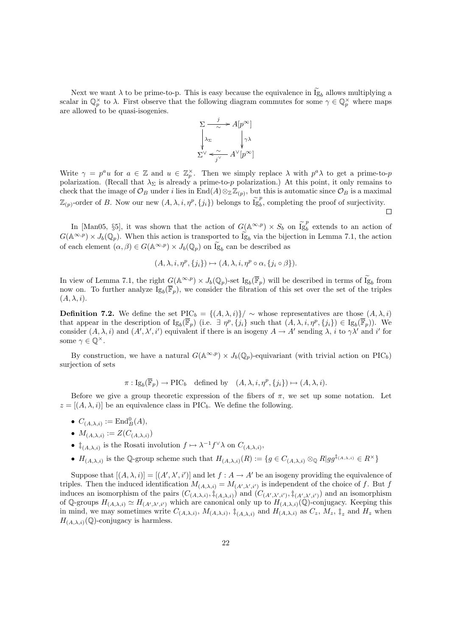Next we want  $\lambda$  to be prime-to-p. This is easy because the equivalence in Ig<sub>b</sub> allows multiplying a scalar in  $\mathbb{Q}_p^{\times}$  to  $\lambda$ . First observe that the following diagram commutes for some  $\gamma \in \mathbb{Q}_p^{\times}$  where maps are allowed to be quasi-isogenies.



Write  $\gamma = p^a u$  for  $a \in \mathbb{Z}$  and  $u \in \mathbb{Z}_p^{\times}$ . Then we simply replace  $\lambda$  with  $p^a \lambda$  to get a prime-to-p polarization. (Recall that  $\lambda_{\Sigma}$  is already a prime-to-p polarization.) At this point, it only remains to check that the image of  $\mathcal{O}_B$  under i lies in End $(A) \otimes_{\mathbb{Z}} \overline{\mathbb{Z}}_{(p)}$ , but this is automatic since  $\mathcal{O}_B$  is a maximal  $\mathbb{Z}_{(p)}$ -order of B. Now our new  $(A, \lambda, i, \eta^p, \{j_i\})$  belongs to  $\widetilde{\mathbf{I}}_{g}^p$  $b<sub>b</sub>$ , completing the proof of surjectivity.  $\Box$ 

In [Man05, §5], it was shown that the action of  $G(\mathbb{A}^{\infty,p}) \times S_b$  on  $\tilde{I}_{g}^{p}$  $b<sub>b</sub>$  extends to an action of  $G(\mathbb{A}^{\infty,p}) \times J_b(\mathbb{Q}_p)$ . When this action is transported to  $\widetilde{Ig}_b$  via the bijection in Lemma 7.1, the action of each element  $(\alpha, \beta) \in G(\mathbb{A}^{\infty, p}) \times J_b(\mathbb{Q}_p)$  on  $\widetilde{Ig}_b$  can be described as

$$
(A, \lambda, i, \eta^p, \{j_i\}) \mapsto (A, \lambda, i, \eta^p \circ \alpha, \{j_i \circ \beta\}).
$$

In view of Lemma 7.1, the right  $G(\mathbb{A}^{\infty,p}) \times J_b(\mathbb{Q}_p)$ -set  $\text{Ig}_b(\overline{\mathbb{F}}_p)$  will be described in terms of  $\widetilde{\text{Ig}}_b$  from now on. To further analyze  $I_{g_b}(\overline{F}_p)$ , we consider the fibration of this set over the set of the triples  $(A, \lambda, i).$ 

**Definition 7.2.** We define the set  $\text{PIC}_b = \{(A, \lambda, i)\}/\sim$  whose representatives are those  $(A, \lambda, i)$ that appear in the description of  $I_{g_b}(\overline{F}_p)$  (i.e.  $\exists \eta^p, \{\tilde{j}_i\}$  such that  $(A, \lambda, i, \eta^p, \{j_i\}) \in I_{g_b}(\overline{F}_p)$ ). We consider  $(A, \lambda, i)$  and  $(A', \lambda', i')$  equivalent if there is an isogeny  $A \to A'$  sending  $\lambda, i$  to  $\gamma \lambda'$  and i' for some  $\gamma \in \mathbb{Q}^{\times}$ .

By construction, we have a natural  $G(\mathbb{A}^{\infty,p}) \times J_b(\mathbb{Q}_p)$ -equivariant (with trivial action on PIC<sub>b</sub>) surjection of sets

 $\pi: \text{Ig}_b(\overline{\mathbb{F}}_p) \to \text{PIC}_b \text{ defined by } (A, \lambda, i, \eta^p, \{j_i\}) \mapsto (A, \lambda, i).$ 

Before we give a group theoretic expression of the fibers of  $\pi$ , we set up some notation. Let  $z = [(A, \lambda, i)]$  be an equivalence class in PIC<sub>b</sub>. We define the following.

- $C_{(A,\lambda,i)} := \text{End}_{B}^{0}(A),$
- $M_{(A,\lambda,i)} := Z(C_{(A,\lambda,i)})$
- $\ddagger_{(A,\lambda,i)}$  is the Rosati involution  $f \mapsto \lambda^{-1} f^{\vee} \lambda$  on  $C_{(A,\lambda,i)}$ ,
- $H_{(A,\lambda,i)}$  is the Q-group scheme such that  $H_{(A,\lambda,i)}(R) := \{g \in C_{(A,\lambda,i)} \otimes_{\mathbb{Q}} R | gg^{\dagger_{(A,\lambda,i)}} \in R^{\times} \}$

Suppose that  $[(A, \lambda, i)] = [(A', \lambda', i')]$  and let  $f : A \to A'$  be an isogeny providing the equivalence of triples. Then the induced identification  $M_{(A,\lambda,i)} = M_{(A',\lambda',i')}$  is independent of the choice of f. But f induces an isomorphism of the pairs  $(C_{(A,\lambda,i)},\ddagger_{(A,\lambda,i)})$  and  $(C_{(A',\lambda',i')},\ddagger_{(A',\lambda',i')})$  and an isomorphism of Q-groups  $H_{(A,\lambda,i)} \simeq H_{(A',\lambda',i')}$  which are canonical only up to  $H_{(A,\lambda,i)}(Q)$ -conjugacy. Keeping this in mind, we may sometimes write  $C_{(A,\lambda,i)}$ ,  $M_{(A,\lambda,i)}$ ,  $\ddagger_{(A,\lambda,i)}$  and  $H_{(A,\lambda,i)}$  as  $C_z$ ,  $M_z$ ,  $\ddagger_z$  and  $H_z$  when  $H_{(A,\lambda,i)}(\mathbb{Q})$ -conjugacy is harmless.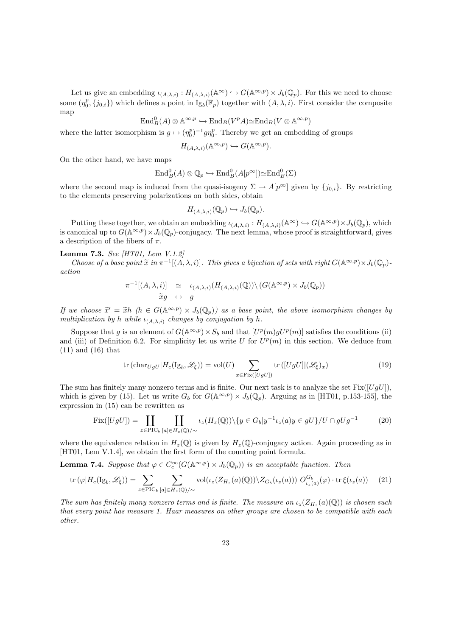Let us give an embedding  $\iota_{(A,\lambda,i)} : H_{(A,\lambda,i)}(\mathbb{A}^{\infty}) \hookrightarrow G(\mathbb{A}^{\infty,p}) \times J_b(\mathbb{Q}_p)$ . For this we need to choose some  $(\eta_0^p, \{j_{0,i}\})$  which defines a point in  $\text{Ig}_b(\overline{\mathbb{F}}_p)$  together with  $(A, \lambda, i)$ . First consider the composite map

$$
\operatorname{End}^0_B(A) \otimes \mathbb{A}^{\infty, p} \hookrightarrow \operatorname{End}_B(V^pA) \simeq \operatorname{End}_B(V \otimes \mathbb{A}^{\infty, p})
$$

where the latter isomorphism is  $g \mapsto (\eta_0^p)^{-1} g \eta_0^p$ . Thereby we get an embedding of groups

$$
H_{(A,\lambda,i)}(\mathbb{A}^{\infty,p}) \hookrightarrow G(\mathbb{A}^{\infty,p}).
$$

On the other hand, we have maps

$$
\operatorname{End}_B^0(A) \otimes \mathbb{Q}_p \hookrightarrow \operatorname{End}_B^0(A[p^\infty]) \simeq \operatorname{End}_B^0(\Sigma)
$$

where the second map is induced from the quasi-isogeny  $\Sigma \to A[p^{\infty}]$  given by  $\{j_{0,i}\}\$ . By restricting to the elements preserving polarizations on both sides, obtain

$$
H_{(A,\lambda,i)}(\mathbb{Q}_p)\hookrightarrow J_b(\mathbb{Q}_p).
$$

Putting these together, we obtain an embedding  $\iota_{(A,\lambda,i)} : H_{(A,\lambda,i)}(\mathbb{A}^{\infty}) \hookrightarrow G(\mathbb{A}^{\infty,p}) \times J_b(\mathbb{Q}_p)$ , which is canonical up to  $G(\mathbb{A}^{\infty,p}) \times J_b(\mathbb{Q}_p)$ -conjugacy. The next lemma, whose proof is straightforward, gives a description of the fibers of  $\pi$ .

#### Lemma 7.3. See [HT01, Lem V.1.2]

Choose of a base point  $\tilde{x}$  in  $\pi^{-1}[(\tilde{A}, \lambda, i)]$ . This gives a bijection of sets with right  $G(\mathbb{A}^{\infty, p}) \times J_b(\mathbb{Q}_p)$ action

$$
\pi^{-1}[(A,\lambda,i)] \simeq \iota_{(A,\lambda,i)}(H_{(A,\lambda,i)}(\mathbb{Q})) \setminus (G(\mathbb{A}^{\infty,p}) \times J_b(\mathbb{Q}_p))
$$
  

$$
\widetilde{x}g \leftrightarrow g
$$

If we choose  $\tilde{x}' = \tilde{x}h$  ( $h \in G(\mathbb{A}^{\infty,p}) \times J_b(\mathbb{Q}_p)$ ) as a base point, the above isomorphism changes by multiplication by h while  $\mu_k$ , changes by conjugation by h multiplication by h while  $\iota_{(A,\lambda,i)}$  changes by conjugation by h.

Suppose that g is an element of  $G(\mathbb{A}^{\infty,p}) \times S_b$  and that  $[U^p(m)gU^p(m)]$  satisfies the conditions (ii) and (iii) of Definition 6.2. For simplicity let us write U for  $U^p(m)$  in this section. We deduce from (11) and (16) that

$$
\operatorname{tr}(\operatorname{char}_{UgU}|H_c(\operatorname{Ig}_b, \mathscr{L}_{\xi})) = \operatorname{vol}(U) \sum_{x \in \operatorname{Fix}([UgU])} \operatorname{tr}([UgU]|(\mathscr{L}_{\xi})_x)
$$
(19)

The sum has finitely many nonzero terms and is finite. Our next task is to analyze the set  $Fix([UqU])$ , which is given by (15). Let us write  $G_b$  for  $G(\mathbb{A}^{\infty,p}) \times J_b(\mathbb{Q}_p)$ . Arguing as in [HT01, p.153-155], the expression in (15) can be rewritten as

$$
Fix([UgU]) = \coprod_{z \in \text{PIC}_b} \coprod_{[a] \in H_z(\mathbb{Q})/\sim} \iota_z(H_z(\mathbb{Q})) \setminus \{y \in G_b | y^{-1} \iota_z(a)y \in gU\} / U \cap gUg^{-1}
$$
(20)

where the equivalence relation in  $H_*(\mathbb{Q})$  is given by  $H_*(\mathbb{Q})$ -conjugacy action. Again proceeding as in [HT01, Lem V.1.4], we obtain the first form of the counting point formula.

**Lemma 7.4.** Suppose that  $\varphi \in C_c^{\infty}(G(\mathbb{A}^{\infty,p}) \times J_b(\mathbb{Q}_p))$  is an acceptable function. Then

$$
\operatorname{tr}\left(\varphi|H_c(\mathrm{Ig}_b,\mathscr{L}_\xi)\right) = \sum_{z \in \mathrm{PIC}_b} \sum_{[a] \in H_z(\mathbb{Q})/\sim} \mathrm{vol}(\iota_z(Z_{H_z}(a)(\mathbb{Q})) \setminus Z_{G_b}(\iota_z(a))) \ O_{\iota_z(a)}^{G_b}(\varphi) \cdot \operatorname{tr}\xi(\iota_z(a)) \tag{21}
$$

The sum has finitely many nonzero terms and is finite. The measure on  $\iota_z(Z_{H_z}(a)(\mathbb{Q}))$  is chosen such that every point has measure 1. Haar measures on other groups are chosen to be compatible with each other.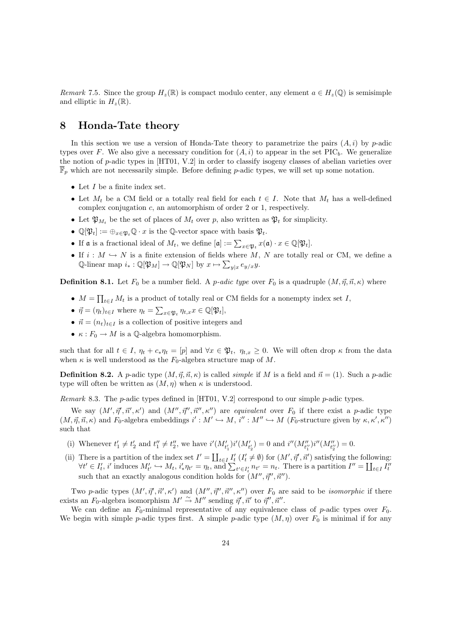Remark 7.5. Since the group  $H_z(\mathbb{R})$  is compact modulo center, any element  $a \in H_z(\mathbb{Q})$  is semisimple and elliptic in  $H_z(\mathbb{R})$ .

### 8 Honda-Tate theory

In this section we use a version of Honda-Tate theory to parametrize the pairs  $(A, i)$  by p-adic types over F. We also give a necessary condition for  $(A, i)$  to appear in the set PIC<sub>b</sub>. We generalize the notion of p-adic types in [HT01, V.2] in order to classify isogeny classes of abelian varieties over  $\overline{\mathbb{F}}_p$  which are not necessarily simple. Before defining p-adic types, we will set up some notation.

- Let  $I$  be a finite index set.
- Let  $M_t$  be a CM field or a totally real field for each  $t \in I$ . Note that  $M_t$  has a well-defined complex conjugation  $c$ , an automorphism of order 2 or 1, respectively.
- Let  $\mathfrak{P}_{M_t}$  be the set of places of  $M_t$  over p, also written as  $\mathfrak{P}_t$  for simplicity.
- $\mathbb{Q}[\mathfrak{P}_t] := \bigoplus_{x \in \mathfrak{P}_t} \mathbb{Q} \cdot x$  is the Q-vector space with basis  $\mathfrak{P}_t$ .
- If **a** is a fractional ideal of  $M_t$ , we define  $[\mathfrak{a}] := \sum_{x \in \mathfrak{P}_t} x(\mathfrak{a}) \cdot x \in \mathbb{Q}[\mathfrak{P}_t]$ .
- If  $i : M \hookrightarrow N$  is a finite extension of fields where M, N are totally real or CM, we define a  $\mathbb{Q}\text{-linear map } i_*: \mathbb{Q}[\mathfrak{P}_M] \to \mathbb{Q}[\mathfrak{P}_N]$  by  $x \mapsto \sum_{y|x} e_{y/x}y$ .

**Definition 8.1.** Let  $F_0$  be a number field. A *p-adic type* over  $F_0$  is a quadruple  $(M, \vec{\eta}, \vec{n}, \kappa)$  where

- $M = \prod_{t \in I} M_t$  is a product of totally real or CM fields for a nonempty index set I,
- $\vec{\eta} = (\eta_t)_{t \in I}$  where  $\eta_t = \sum_{x \in \mathfrak{P}_t} \eta_{t,x} x \in \mathbb{Q}[\mathfrak{P}_t],$
- $\vec{n} = (n_t)_{t \in I}$  is a collection of positive integers and
- $\kappa : F_0 \to M$  is a Q-algebra homomorphism.

such that for all  $t \in I$ ,  $\eta_t + c_* \eta_t = [p]$  and  $\forall x \in \mathfrak{P}_t$ ,  $\eta_{t,x} \geq 0$ . We will often drop  $\kappa$  from the data when  $\kappa$  is well understood as the  $F_0$ -algebra structure map of M.

**Definition 8.2.** A p-adic type  $(M, \vec{\eta}, \vec{n}, \kappa)$  is called *simple* if M is a field and  $\vec{n} = (1)$ . Such a p-adic type will often be written as  $(M, \eta)$  when  $\kappa$  is understood.

Remark 8.3. The p-adic types defined in [HT01, V.2] correspond to our simple p-adic types.

We say  $(M', \vec{\eta}', \vec{\kappa}', \kappa')$  and  $(M'', \vec{\eta}'', \vec{\kappa}'', \kappa'')$  are equivalent over  $F_0$  if there exist a p-adic type  $(M, \vec{\eta}, \vec{n}, \kappa)$  and  $F_0$ -algebra embeddings  $i': M' \hookrightarrow M$ ,  $i'': M'' \hookrightarrow M$  ( $F_0$ -structure given by  $\kappa, \kappa', \kappa''$ ) such that

- (i) Whenever  $t'_1 \neq t'_2$  and  $t''_1 \neq t''_2$ , we have  $i'(M'_{t'_1})i'(M'_{t'_2}) = 0$  and  $i''(M''_{t''_1})i''(M''_{t''_2}) = 0$ .
- (ii) There is a partition of the index set  $I' = \coprod_{t \in I} I'_t (I'_t \neq \emptyset)$  for  $(M', \vec{\eta}', \vec{\eta}')$  satisfying the following:  $\forall t' \in I'_t, i' \text{ induces } M'_{t'} \hookrightarrow M_t, i'_*\eta_{t'} = \eta_t, \text{ and } \sum_{t' \in I'_t} n_{t'} = n_t. \text{ There is a partition } I'' = \coprod_{t \in I} I''_t$ such that an exactly analogous condition holds for  $(M'', \vec{\eta}'', \vec{n}'')$ .

Two p-adic types  $(M', \vec{\eta}', \vec{\kappa}', \kappa')$  and  $(M'', \vec{\eta}'', \vec{\kappa}'', \kappa'')$  over  $F_0$  are said to be *isomorphic* if there exists an  $F_0$ -algebra isomorphism  $M' \stackrel{\sim}{\rightarrow} M''$  sending  $\vec{\eta}', \vec{n}'$  to  $\vec{\eta}'', \vec{n}''$ .

We can define an  $F_0$ -minimal representative of any equivalence class of p-adic types over  $F_0$ . We begin with simple p-adic types first. A simple p-adic type  $(M, \eta)$  over  $F_0$  is minimal if for any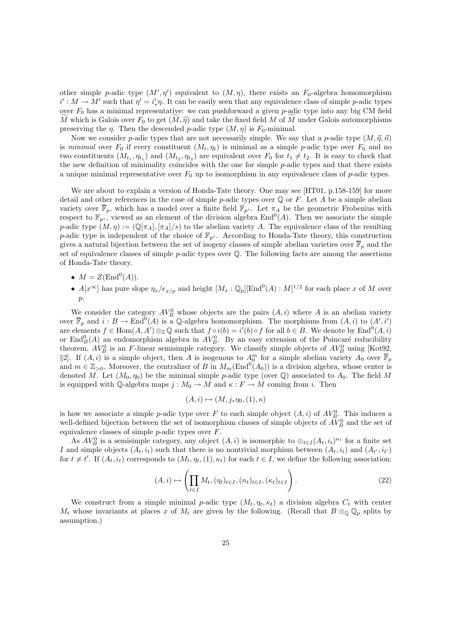other simple p-adic type  $(M', \eta')$  equivalent to  $(M, \eta)$ , there exists an  $F_0$ -algebra homomorphism  $i': M \to M'$  such that  $\eta' = i'_* \eta$ . It can be easily seen that any equivalence class of simple p-adic types over  $F_0$  has a minimal representative: we can pushforward a given p-adic type into any big CM field M which is Galois over  $F_0$  to get  $(M, \tilde{\eta})$  and take the fixed field M of M under Galois automorphisms preserving the *η*. Then the descended *p*-adic type  $(M, \eta)$  is  $F_0$ -minimal.

Now we consider p-adic types that are not necessarily simple. We say that a p-adic type  $(M, \vec{\eta}, \vec{n})$ is minimal over  $F_0$  if every constituent  $(M_t, \eta_t)$  is minimal as a simple p-adic type over  $F_0$  and no two constituents  $(M_{t_1}, \eta_{t_1})$  and  $(M_{t_2}, \eta_{t_2})$  are equivalent over  $F_0$  for  $t_1 \neq t_2$ . It is easy to check that the new definition of minimality coincides with the one for simple  $p$ -adic types and that there exists a unique minimal representative over  $F_0$  up to isomorphism in any equivalence class of p-adic types.

We are about to explain a version of Honda-Tate theory. One may see [HT01, p.158-159] for more detail and other references in the case of simple p-adic types over  $\mathbb Q$  or F. Let A be a simple abelian variety over  $\overline{\mathbb{F}}_p$ , which has a model over a finite field  $\mathbb{F}_{p^s}$ . Let  $\pi_A$  be the geometric Frobenius with respect to  $\mathbb{F}_{p^s}$ , viewed as an element of the division algebra End<sup>0</sup>(A). Then we associate the simple p-adic type  $(M, \eta) := (\mathbb{Q}[\pi_A], [\pi_A]/s)$  to the abelian variety A. The equivalence class of the resulting p-adic type is independent of the choice of  $\mathbb{F}_{p^s}$ . According to Honda-Tate theory, this construction gives a natural bijection between the set of isogeny classes of simple abelian varieties over  $\overline{\mathbb{F}}_p$  and the set of equivalence classes of simple p-adic types over  $\mathbb{Q}$ . The following facts are among the assertions of Honda-Tate theory.

- $M = Z(\text{End}^0(A)).$
- $A[x^{\infty}]$  has pure slope  $\eta_x/e_{x/p}$  and height  $[M_x : \mathbb{Q}_p][\text{End}^0(A) : M]^{1/2}$  for each place x of M over p.

We consider the category  $AV_B^0$  whose objects are the pairs  $(A, i)$  where A is an abelian variety over  $\overline{\mathbb{F}}_p$  and  $i : B \to \text{End}^0(A)$  is a Q-algebra homomorphism. The morphisms from  $(A, i)$  to  $(A', i')$ are elements  $f \in \text{Hom}(A, A') \otimes_{\mathbb{Z}} \mathbb{Q}$  such that  $f \circ i(b) = i'(b) \circ f$  for all  $b \in B$ . We denote by  $\text{End}^{0}(A, i)$ or  $\text{End}_{B}^{0}(A)$  an endomorphism algebra in  $AV_{B}^{0}$ . By an easy extension of the Poincaré reducibility theorem,  $AV_B^0$  is an F-linear semisimple category. We classify simple objects of  $AV_B^0$  using [Kot92, §2]. If  $(A, i)$  is a simple object, then A is isogenous to  $A_0^m$  for a simple abelian variety  $A_0$  over  $\overline{\mathbb{F}}_p$ and  $m \in \mathbb{Z}_{>0}$ . Moreover, the centralizer of B in  $M_m(\text{End}^{0}(A_0))$  is a division algebra, whose center is denoted M. Let  $(M_0, \eta_0)$  be the minimal simple p-adic type (over  $\mathbb Q$ ) associated to  $A_0$ . The field M is equipped with Q-algebra maps  $j : M_0 \to M$  and  $\kappa : F \to M$  coming from i. Then

$$
(A,i)\mapsto (M,j_*\eta_0,(1),\kappa)
$$

is how we associate a simple p-adic type over F to each simple object  $(A, i)$  of  $AV_{B}^{0}$ . This induces a well-defined bijection between the set of isomorphism classes of simple objects of  $AV_B^0$  and the set of equivalence classes of simple  $p$ -adic types over  $F$ .

As  $AV_B^0$  is a semisimple category, any object  $(A, i)$  is isomorphic to  $\bigoplus_{t \in I} (A_t, i_t)^{n_t}$  for a finite set I and simple objects  $(A_t, i_t)$  such that there is no nontrivial morphism between  $(A_t, i_t)$  and  $(A_{t'}, i_{t'})$ for  $t \neq t'$ . If  $(A_t, i_t)$  corresponds to  $(M_t, \eta_t, (1), \kappa_t)$  for each  $t \in I$ , we define the following association:

$$
(A,i) \mapsto \left(\prod_{t \in I} M_t, (\eta_t)_{t \in I}, (n_t)_{t \in I}, (\kappa_t)_{t \in I}\right).
$$
\n
$$
(22)
$$

We construct from a simple minimal p-adic type  $(M_t, \eta_t, \kappa_t)$  a division algebra  $C_t$  with center  $M_t$  whose invariants at places x of  $M_t$  are given by the following. (Recall that  $B \otimes_{\mathbb{Q}} \mathbb{Q}_p$  splits by assumption.)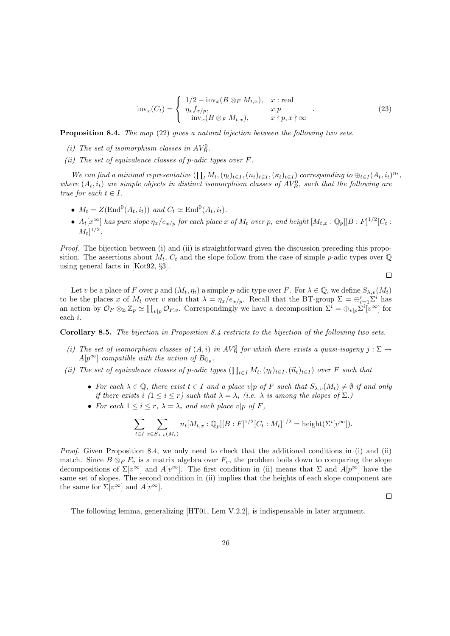$$
\text{inv}_x(C_t) = \begin{cases} 1/2 - \text{inv}_x(B \otimes_F M_{t,x}), & x : \text{real} \\ \eta_x f_{x/p}, & x | p \\ -\text{inv}_x(B \otimes_F M_{t,x}), & x | p, x \n\end{cases} \tag{23}
$$

Proposition 8.4. The map (22) gives a natural bijection between the following two sets.

- (i) The set of isomorphism classes in  $AV_B^0$ .
- (ii) The set of equivalence classes of p-adic types over  $F$ .

We can find a minimal representative  $(\prod_t M_t, (\eta_t)_{t\in I}, (n_t)_{t\in I}, (\kappa_t)_{t\in I})$  corresponding to  $\bigoplus_{t\in I} (A_t, i_t)^{n_t}$ , where  $(A_t, i_t)$  are simple objects in distinct isomorphism classes of  $AV_B^0$ , such that the following are true for each  $t \in I$ .

- $M_t = Z(\text{End}^0(A_t, i_t))$  and  $C_t \simeq \text{End}^0(A_t, i_t)$ .
- $A_t[x^{\infty}]$  has pure slope  $\eta_x/e_{x/p}$  for each place x of  $M_t$  over p, and height  $[M_{t,x}:\mathbb{Q}_p][B:F]^{1/2}[C_t:$  $[M_t]^{1/2}.$

Proof. The bijection between (i) and (ii) is straightforward given the discussion preceding this proposition. The assertions about  $M_t$ ,  $C_t$  and the slope follow from the case of simple p-adic types over  $\mathbb Q$ using general facts in [Kot92, §3].

$$
\Box
$$

Let v be a place of F over p and  $(M_t, \eta_t)$  a simple p-adic type over F. For  $\lambda \in \mathbb{Q}$ , we define  $S_{\lambda,v}(M_t)$ to be the places x of  $M_t$  over v such that  $\lambda = \eta_x/e_{x/p}$ . Recall that the BT-group  $\Sigma = \bigoplus_{i=1}^r \Sigma^i$  has an action by  $\mathcal{O}_F \otimes_{\mathbb{Z}} \mathbb{Z}_p \simeq \prod_{v|p} \mathcal{O}_{F,v}$ . Correspondingly we have a decomposition  $\Sigma^i = \bigoplus_{v|p} \Sigma^i \tilde{v}^{\infty}$  for each i.

Corollary 8.5. The bijection in Proposition 8.4 restricts to the bijection of the following two sets.

- (i) The set of isomorphism classes of  $(A, i)$  in  $AV_B^0$  for which there exists a quasi-isogeny  $j : \Sigma \to$  $A[p^{\infty}]$  compatible with the action of  $B_{\mathbb{Q}_p}$ .
- (ii) The set of equivalence classes of p-adic types  $(\prod_{t\in I} M_t, (\eta_t)_{t\in I}, (\vec{n}_t)_{t\in I})$  over F such that
	- For each  $\lambda \in \mathbb{Q}$ , there exist  $t \in I$  and a place v|p of F such that  $S_{\lambda,v}(M_t) \neq \emptyset$  if and only if there exists i  $(1 \leq i \leq r)$  such that  $\lambda = \lambda_i$  (i.e.  $\lambda$  is among the slopes of  $\Sigma$ .)
	- For each  $1 \leq i \leq r$ ,  $\lambda = \lambda_i$  and each place  $v|p$  of F,

$$
\sum_{t \in I} \sum_{x \in S_{\lambda,v}(M_t)} n_t[M_{t,x} : \mathbb{Q}_p][B : F]^{1/2}[C_t : M_t]^{1/2} = \text{height}(\Sigma^{i}[v^{\infty}]).
$$

Proof. Given Proposition 8.4, we only need to check that the additional conditions in (i) and (ii) match. Since  $B \otimes_F F_v$  is a matrix algebra over  $F_v$ , the problem boils down to comparing the slope decompositions of  $\Sigma[v^{\infty}]$  and  $A[v^{\infty}]$ . The first condition in (ii) means that  $\Sigma$  and  $A[p^{\infty}]$  have the same set of slopes. The second condition in (ii) implies that the heights of each slope component are the same for  $\Sigma[v^{\infty}]$  and  $A[v^{\infty}]$ .

 $\Box$ 

The following lemma, generalizing [HT01, Lem V.2.2], is indispensable in later argument.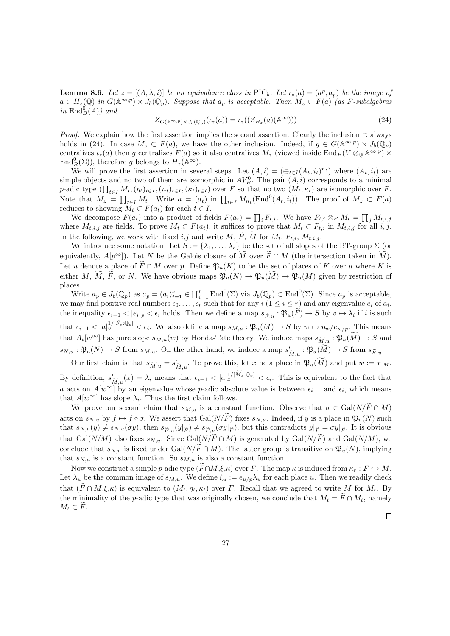**Lemma 8.6.** Let  $z = [(A, \lambda, i)]$  be an equivalence class in PIC<sub>b</sub>. Let  $\iota_z(a) = (a^p, a_p)$  be the image of  $a \in H_z(\mathbb{Q})$  in  $G(\mathbb{A}^{\infty,p}) \times J_b(\mathbb{Q}_p)$ . Suppose that  $a_p$  is acceptable. Then  $M_z \subset F(a)$  (as F-subalgebras in  $\text{End}_{B}^{0}(A)$ ) and

$$
Z_{G(\mathbb{A}^{\infty,p})\times J_b(\mathbb{Q}_p)}(\iota_z(a)) = \iota_z((Z_{H_z}(a)(\mathbb{A}^{\infty})))
$$
\n(24)

*Proof.* We explain how the first assertion implies the second assertion. Clearly the inclusion  $\supset$  always holds in (24). In case  $M_z \subset F(a)$ , we have the other inclusion. Indeed, if  $g \in G(\mathbb{A}^{\infty,p}) \times J_b(\mathbb{Q}_p)$ centralizes  $\iota_z(a)$  then g centralizes  $F(a)$  so it also centralizes  $M_z$  (viewed inside  $\text{End}_B(V \otimes_{\mathbb{Q}} \mathbb{A}^{\infty, p}) \times$  $\text{End}_{B}^{0}(\Sigma)$ , therefore g belongs to  $H_{z}(\mathbb{A}^{\infty})$ .

We will prove the first assertion in several steps. Let  $(A, i) = (\bigoplus_{t \in I} (A_t, i_t)^{n_t})$  where  $(A_t, i_t)$  are simple objects and no two of them are isomorphic in  $AV_B^0$ . The pair  $(A, i)$  corresponds to a minimal p-adic type  $(\prod_{t\in I} M_t, (\eta_t)_{t\in I}, (n_t)_{t\in I}, (\kappa_t)_{t\in I})$  over F so that no two  $(M_t, \kappa_t)$  are isomorphic over F. Note that  $M_z = \prod_{t \in I} M_t$ . Write  $a = (a_t)$  in  $\prod_{t \in I} M_{n_t}(\text{End}^0(A_t, i_t))$ . The proof of  $M_z \subset F(a)$ reduces to showing  $M_t \subset F(a_t)$  for each  $t \in I$ .

We decompose  $F(a_t)$  into a product of fields  $F(a_t) = \prod_i F_{t,i}$ . We have  $F_{t,i} \otimes_F M_t = \prod_j M_{t,i,j}$ where  $M_{t,i,j}$  are fields. To prove  $M_t \subset F(a_t)$ , it suffices to prove that  $M_t \subset F_{t,i}$  in  $M_{t,i,j}$  for all  $i, j$ . In the following, we work with fixed i,j and write M,  $\widetilde{F}$ ,  $\widetilde{M}$  for  $M_t$ ,  $F_{t,i}$ ,  $M_{t,i,j}$ .

We introduce some notation. Let  $S := {\lambda_1, \ldots, \lambda_r}$  be the set of all slopes of the BT-group  $\Sigma$  (or equivalently,  $A[p^{\infty}]$ ). Let N be the Galois closure of  $\widetilde{M}$  over  $\widetilde{F} \cap M$  (the intersection taken in  $\widetilde{M}$ ). Let u denote a place of  $\tilde{F} \cap M$  over p. Define  $\mathfrak{P}_u(K)$  to be the set of places of K over u where K is either M,  $\widetilde{M}$ ,  $\widetilde{F}$ , or N. We have obvious maps  $\mathfrak{P}_u(N) \to \mathfrak{P}_u(\widetilde{M}) \to \mathfrak{P}_u(M)$  given by restriction of places.

Write  $a_p \in J_b(\mathbb{Q}_p)$  as  $a_p = (a_i)_{i=1}^r \in \prod_{i=1}^r \text{End}^0(\Sigma)$  via  $J_b(\mathbb{Q}_p) \subset \text{End}^0(\Sigma)$ . Since  $a_p$  is acceptable, we may find positive real numbers  $\epsilon_0, \ldots, \epsilon_r$  such that for any  $i$   $(1 \leq i \leq r)$  and any eigenvalue  $e_i$  of  $a_i$ , the inequality  $\epsilon_{i-1} < |e_i|_p < \epsilon_i$  holds. Then we define a map  $s_{\widetilde{F},u} : \mathfrak{P}_u(F) \to S$  by  $v \mapsto \lambda_i$  if i is such that  $\epsilon_{i-1} < |a|_v^{1/[\widetilde{F}_v \cdot \mathbb{Q}_p]} < \epsilon_i$ . We also define a map  $s_{M,u} : \mathfrak{P}_u(M) \to S$  by  $w \mapsto \eta_w / e_{w/p}$ . This means that  $A_t[w^\infty]$  has pure slope  $s_{M,u}(w)$  by Honda-Tate theory. We induce maps  $s_{\widetilde{M},u}: \mathfrak{P}_u(\widetilde{M}) \to S$  and  $s_{N,u} : \mathfrak{P}_u(N) \to S$  from  $s_{M,u}$ . On the other hand, we induce a map  $s'_{\widetilde{M},u} : \mathfrak{P}_u(\widetilde{M}) \to S$  from  $s_{\widetilde{F},u}$ .

Our first claim is that  $s_{\widetilde{M},u} = s'_{\widetilde{M},u}$ . To prove this, let x be a place in  $\mathfrak{P}_u(\widetilde{M})$  and put  $w := x|_M$ . By definition,  $s'_{\widetilde{M},u}(x) = \lambda_i$  means that  $\epsilon_{i-1} < |a_x|^{1/[\widetilde{M}_x:\mathbb{Q}_p]} < \epsilon_i$ . This is equivalent to the fact that

a acts on  $A[w^{\infty}]$  by an eigenvalue whose p-adic absolute value is between  $\epsilon_{i-1}$  and  $\epsilon_i$ , which means that  $A[w^{\infty}]$  has slope  $\lambda_i$ . Thus the first claim follows.

We prove our second claim that  $s_{M,u}$  is a constant function. Observe that  $\sigma \in \text{Gal}(N/F \cap M)$ acts on  $s_{N,u}$  by  $f \mapsto f \circ \sigma$ . We assert that  $Gal(N/\widetilde{F})$  fixes  $s_{N,u}$ . Indeed, if y is a place in  $\mathfrak{P}_u(N)$  such that  $s_{N,u}(y) \neq s_{N,u}(\sigma y)$ , then  $s_{\tilde{F},u}(y|\tilde{F}) \neq s_{\tilde{F},u}(\sigma y|\tilde{F})$ , but this contradicts  $y|\tilde{F} = \sigma y|\tilde{F}$ . It is obvious that Gal( $N/M$ ) also fixes  $s_{N,u}$ . Since Gal( $N/\widetilde{F} \cap M$ ) is generated by Gal( $N/\widetilde{F}$ ) and Gal( $N/M$ ), we conclude that  $s_{N,u}$  is fixed under Gal( $N/F \cap M$ ). The latter group is transitive on  $\mathfrak{P}_u(N)$ , implying that  $s_{N,u}$  is a constant function. So  $s_{M,u}$  is also a constant function.

Now we construct a simple p-adic type  $(\widetilde{F}\cap M,\xi,\kappa)$  over F. The map  $\kappa$  is induced from  $\kappa_r : F \hookrightarrow M$ . Let  $\lambda_u$  be the common image of  $s_{M,u}$ . We define  $\xi_u := e_{u/p} \lambda_u$  for each place u. Then we readily check that  $(F \cap M,\xi,\kappa)$  is equivalent to  $(M_t, \eta_t, \kappa_t)$  over F. Recall that we agreed to write M for  $M_t$ . By the minimality of the p-adic type that was originally chosen, we conclude that  $M_t = \overline{F} \cap M_t$ , namely  $M_t \subset \widetilde{F}$ .

 $\Box$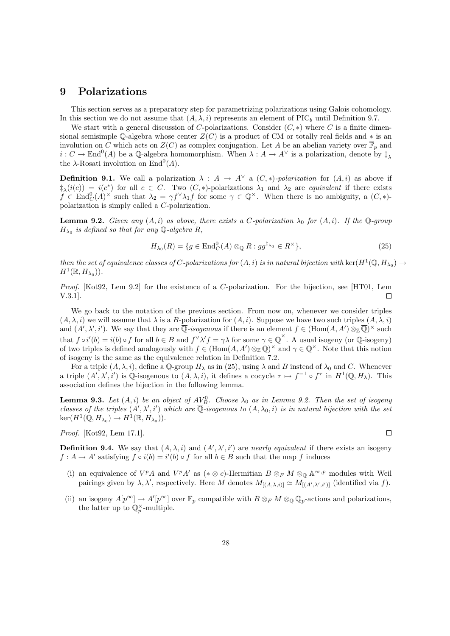#### 9 Polarizations

This section serves as a preparatory step for parametrizing polarizations using Galois cohomology. In this section we do not assume that  $(A, \lambda, i)$  represents an element of PIC<sub>b</sub> until Definition 9.7.

We start with a general discussion of C-polarizations. Consider  $(C, *)$  where C is a finite dimensional semisimple Q-algebra whose center  $Z(C)$  is a product of CM or totally real fields and  $*$  is an involution on C which acts on  $Z(C)$  as complex conjugation. Let A be an abelian variety over  $\overline{\mathbb{F}}_p$  and  $i: C \to \text{End}^0(A)$  be a Q-algebra homomorphism. When  $\lambda: A \to A^{\vee}$  is a polarization, denote by  $\ddagger_{\lambda}$ the  $\lambda$ -Rosati involution on End<sup>0</sup>(A).

**Definition 9.1.** We call a polarization  $\lambda : A \to A^{\vee}$  a  $(C, *)$ -polarization for  $(A, i)$  as above if  $\ddagger_{\lambda}(i(c)) = i(c^*)$  for all  $c \in C$ . Two  $(C, *)$ -polarizations  $\lambda_1$  and  $\lambda_2$  are equivalent if there exists  $f \in \text{End}_{C}^{0}(A)^{\times}$  such that  $\lambda_2 = \gamma f^{\vee} \lambda_1 f$  for some  $\gamma \in \mathbb{Q}^{\times}$ . When there is no ambiguity, a  $(C, *)$ polarization is simply called a C-polarization.

**Lemma 9.2.** Given any  $(A, i)$  as above, there exists a C-polarization  $\lambda_0$  for  $(A, i)$ . If the Q-group  $H_{\lambda_0}$  is defined so that for any Q-algebra R,

$$
H_{\lambda_0}(R) = \{ g \in \text{End}_{C}^{0}(A) \otimes_{\mathbb{Q}} R : g g^{\dagger_{\lambda_0}} \in R^{\times} \},\tag{25}
$$

then the set of equivalence classes of C-polarizations for  $(A, i)$  is in natural bijection with  $\ker(H^1(\mathbb{Q}, H_{\lambda_0}) \to$  $H^1(\mathbb{R},H_{\lambda_0}))$ .

Proof. [Kot92, Lem 9.2] for the existence of a C-polarization. For the bijection, see [HT01, Lem V.3.1]. П

We go back to the notation of the previous section. From now on, whenever we consider triples  $(A, \lambda, i)$  we will assume that  $\lambda$  is a B-polarization for  $(A, i)$ . Suppose we have two such triples  $(A, \lambda, i)$ and  $(A', \lambda', i')$ . We say that they are  $\overline{\mathbb{Q}}$ -isogenous if there is an element  $f \in (\text{Hom}(A, A') \otimes_{\mathbb{Z}} \overline{\mathbb{Q}})^{\times}$  such that  $f \circ i'(b) = i(b) \circ f$  for all  $b \in B$  and  $f \vee \lambda' f = \gamma \lambda$  for some  $\gamma \in \overline{\mathbb{Q}}^{\times}$ . A usual isogeny (or  $\mathbb{Q}$ -isogeny) of two triples is defined analogously with  $f \in (Hom(A, A') \otimes_{\mathbb{Z}} \mathbb{Q})^{\times}$  and  $\gamma \in \mathbb{Q}^{\times}$ . Note that this notion of isogeny is the same as the equivalence relation in Definition 7.2.

For a triple  $(A, \lambda, i)$ , define a Q-group  $H_\lambda$  as in (25), using  $\lambda$  and B instead of  $\lambda_0$  and C. Whenever a triple  $(A', \lambda', i')$  is  $\overline{\mathbb{Q}}$ -isogenous to  $(A, \lambda, i)$ , it defines a cocycle  $\tau \mapsto f^{-1} \circ f^{\tau}$  in  $H^1(\mathbb{Q}, H_\lambda)$ . This association defines the bijection in the following lemma.

**Lemma 9.3.** Let  $(A, i)$  be an object of  $A\underline{V}_{B}^{0}$ . Choose  $\lambda_{0}$  as in Lemma 9.2. Then the set of isogeny classes of the triples  $(A', \lambda', i')$  which are  $\overline{\mathbb{Q}}$ -isogenous to  $(A, \lambda_0, i)$  is in natural bijection with the set  $\ker(H^1(\mathbb{Q}, H_{\lambda_0}) \to H^1(\mathbb{R}, H_{\lambda_0})).$ 

Proof. [Kot92, Lem 17.1].

 $\Box$ 

**Definition 9.4.** We say that  $(A, \lambda, i)$  and  $(A', \lambda', i')$  are nearly equivalent if there exists an isogeny  $f: A \to A'$  satisfying  $f \circ i(b) = i'(b) \circ f$  for all  $b \in B$  such that the map f induces

- (i) an equivalence of  $V^pA$  and  $V^pA'$  as (\* ⊗ c)-Hermitian  $B \otimes_F M \otimes_{\mathbb{Q}} \mathbb{A}^{\infty,p}$  modules with Weil pairings given by  $\lambda, \lambda'$ , respectively. Here M denotes  $M_{[(A,\lambda,i)]} \simeq M_{[(A',\lambda',i')]}$  (identified via f).
- (ii) an isogeny  $A[p^{\infty}] \to A'[p^{\infty}]$  over  $\overline{\mathbb{F}}_p$  compatible with  $B \otimes_F M \otimes_{\mathbb{Q}} \mathbb{Q}_p$ -actions and polarizations, the latter up to  $\mathbb{Q}_p^{\times}$ -multiple.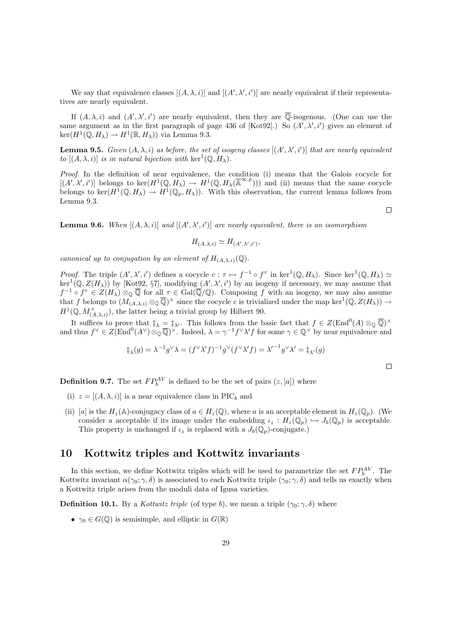We say that equivalence classes  $[(A, \lambda, i)]$  and  $[(A', \lambda', i')]$  are nearly equivalent if their representatives are nearly equivalent.

If  $(A, \lambda, i)$  and  $(A', \lambda', i')$  are nearly equivalent, then they are  $\overline{\mathbb{Q}}$ -isogenous. (One can use the same argument as in the first paragraph of page 436 of  $[Kot 92]$ .) So  $(A', \lambda', i')$  gives an element of  $\ker(H^1(\mathbb{Q}, H_\lambda) \to H^1(\mathbb{R}, H_\lambda))$  via Lemma 9.3.

**Lemma 9.5.** Given  $(A, \lambda, i)$  as before, the set of isogeny classes  $[(A', \lambda', i')]$  that are nearly equivalent to  $[(A, \lambda, i)]$  is in natural bijection with  $\ker^1(\mathbb{Q}, H_\lambda)$ .

Proof. In the definition of near equivalence, the condition (i) means that the Galois cocycle for  $[(A',\lambda',i')]$  belongs to ker $(H^1(\mathbb{Q},H_\lambda) \to H^1(\mathbb{Q},H_\lambda(\overline{\mathbb{A}}^{\infty,p})))$  and (ii) means that the same cocycle belongs to ker $(H^1(\mathbb{Q}, H_\lambda) \to H^1(\mathbb{Q}_p, H_\lambda))$ . With this observation, the current lemma follows from Lemma 9.3.

**Lemma 9.6.** When  $[(A, \lambda, i)]$  and  $[(A', \lambda', i')]$  are nearly equivalent, there is an isomorphism

$$
H_{(A,\lambda,i)} \simeq H_{(A',\lambda',i')},
$$

canonical up to conjugation by an element of  $H_{(A,\lambda,i)}(\mathbb{Q})$ .

*Proof.* The triple  $(A', \lambda', i')$  defines a cocycle  $c : \tau \mapsto f^{-1} \circ f^{\tau}$  in ker<sup>1</sup>( $\mathbb{Q}, H_{\lambda}$ ). Since ker<sup>1</sup>( $\mathbb{Q}, H_{\lambda}$ )  $\simeq$  $\ker^1(\mathbb{Q}, Z(H_\lambda))$  by [Kot92, §7], modifying  $(A', \lambda', i')$  by an isogeny if necessary, we may assume that  $f^{-1} \circ f^{\tau} \in Z(H_{\lambda}) \otimes_{\mathbb{Q}} \overline{\mathbb{Q}}$  for all  $\tau \in \text{Gal}(\overline{\mathbb{Q}}/\mathbb{Q})$ . Composing f with an isogeny, we may also assume that f belongs to  $(M_{(A,\lambda,i)} \otimes \mathbb{Q})^{\times}$  since the cocycle c is trivialized under the map ker<sup>1</sup> $(\mathbb{Q}, Z(H_{\lambda})) \to$  $H^1(\mathbb{Q}, M^{\times}_{(A,\lambda,i)})$ , the latter being a trivial group by Hilbert 90.

It suffices to prove that  $\ddagger_{\lambda} = \ddagger_{\lambda'}$ . This follows from the basic fact that  $f \in Z(\text{End}^0(A) \otimes_{\mathbb{Q}} \overline{\mathbb{Q}})^{\times}$ and thus  $f^{\vee} \in Z(\text{End}^{0}(A^{\vee})\otimes_{\mathbb{Q}}\overline{\mathbb{Q}})^{\times}$ . Indeed,  $\lambda = \gamma^{-1}f^{\vee}\lambda'f$  for some  $\gamma \in \mathbb{Q}^{\times}$  by near equivalence and

$$
\ddagger_{\lambda}(g) = \lambda^{-1} g^{\vee} \lambda = (f^{\vee} \lambda' f)^{-1} g^{\vee} (f^{\vee} \lambda' f) = \lambda'^{-1} g^{\vee} \lambda' = \ddagger_{\lambda'}(g)
$$

 $\Box$ 

 $\Box$ 

**Definition 9.7.** The set  $FP_b^{AV}$  is defined to be the set of pairs  $(z, [a])$  where

- (i)  $z = [(A, \lambda, i)]$  is a near equivalence class in PIC<sub>b</sub> and
- (ii) [a] is the  $H_z(\mathbb{A})$ -conjugacy class of  $a \in H_z(\mathbb{Q})$ , where a is an acceptable element in  $H_z(\mathbb{Q}_p)$ . (We consider a acceptable if its image under the embedding  $\iota_z : H_z(\mathbb{Q}_p) \hookrightarrow J_b(\mathbb{Q}_p)$  is acceptable. This property is unchanged if  $\iota_z$  is replaced with a  $J_b(\mathbb{Q}_p)$ -conjugate.)

#### 10 Kottwitz triples and Kottwitz invariants

In this section, we define Kottwitz triples which will be used to parametrize the set  $FP_b^{AV}$ . The Kottwitz invariant  $\alpha(\gamma_0; \gamma, \delta)$  is associated to each Kottwitz triple  $(\gamma_0; \gamma, \delta)$  and tells us exactly when a Kottwitz triple arises from the moduli data of Igusa varieties.

**Definition 10.1.** By a Kottwitz triple (of type b), we mean a triple  $(\gamma_0; \gamma, \delta)$  where

•  $\gamma_0 \in G(\mathbb{Q})$  is semisimple, and elliptic in  $G(\mathbb{R})$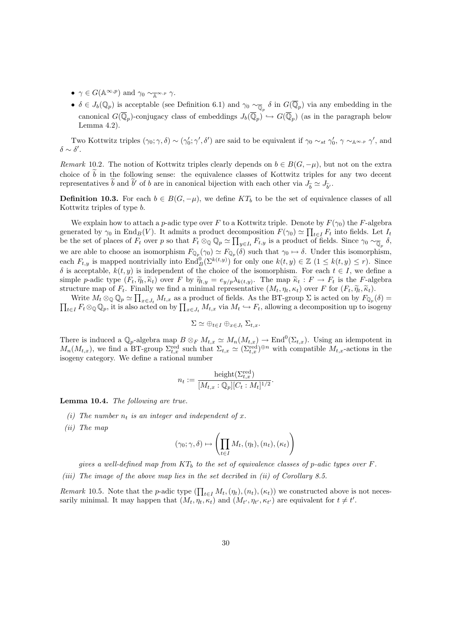- $\gamma \in G(\mathbb{A}^{\infty,p})$  and  $\gamma_0 \sim_{\mathbb{A}^{\infty,p}} \gamma$ .
- $\delta \in J_b(\mathbb{Q}_p)$  is acceptable (see Definition 6.1) and  $\gamma_0 \sim_{\overline{\mathbb{Q}}_p} \delta$  in  $G(\overline{\mathbb{Q}}_p)$  via any embedding in the canonical  $G(\overline{\mathbb{Q}}_p)$ -conjugacy class of embeddings  $J_b(\overline{\mathbb{Q}}_p) \hookrightarrow G(\overline{\mathbb{Q}}_p)$  (as in the paragraph below Lemma 4.2).

Two Kottwitz triples  $(\gamma_0; \gamma, \delta) \sim (\gamma'_0; \gamma', \delta')$  are said to be equivalent if  $\gamma_0 \sim_{st} \gamma'_0$ ,  $\gamma \sim_{\mathbb{A}} \sim_{\mathbb{A}} \gamma'$ , and  $\delta \sim \delta'.$ 

Remark 10.2. The notion of Kottwitz triples clearly depends on  $b \in B(G, -\mu)$ , but not on the extra choice of  $\overline{b}$  in the following sense: the equivalence classes of Kottwitz triples for any two decent representatives  $\tilde{b}$  and  $\tilde{b}'$  of b are in canonical bijection with each other via  $J_{\tilde{b}} \simeq J_{\tilde{b}'}$ .

**Definition 10.3.** For each  $b \in B(G, -\mu)$ , we define KT<sub>b</sub> to be the set of equivalence classes of all Kottwitz triples of type b.

We explain how to attach a p-adic type over F to a Kottwitz triple. Denote by  $F(\gamma_0)$  the F-algebra generated by  $\gamma_0$  in End<sub>B</sub>(V). It admits a product decomposition  $F(\gamma_0) \simeq \prod_{t \in I} F_t$  into fields. Let  $I_t$ be the set of places of  $F_t$  over p so that  $F_t \otimes_{\mathbb{Q}} \mathbb{Q}_p \simeq \prod_{y \in I_t} F_{t,y}$  is a product of fields. Since  $\gamma_0 \sim_{\overline{\mathbb{Q}}_p} \delta$ , we are able to choose an isomorphism  $F_{\mathbb{Q}_p}(\gamma_0) \simeq F_{\mathbb{Q}_p}(\delta)$  such that  $\gamma_0 \mapsto \delta$ . Under this isomorphism, each  $F_{t,y}$  is mapped nontrivially into  $\text{End}_{B}^{0}(\Sigma^{k(t,y)})$  for only one  $k(t,y) \in \mathbb{Z}$   $(1 \leq k(t,y) \leq r)$ . Since δ is acceptable,  $k(t, y)$  is independent of the choice of the isomorphism. For each  $t ∈ I$ , we define a simple p-adic type  $(F_t, \widetilde{\eta}_t, \widetilde{\kappa}_t)$  over F by  $\widetilde{\eta}_{t,y} = e_{y/p} \lambda_{k(t,y)}$ . The map  $\widetilde{\kappa}_t : F \to F_t$  is the F-algebra structure map of E. Finally we find a minimal representative  $(M, n, \kappa)$  over F for  $(F, \widetilde{\kappa}, \widet$ structure map of  $F_t$ . Finally we find a minimal representative  $(M_t, \eta_t, \kappa_t)$  over F for  $(F_t, \widetilde{\eta}_t, \widetilde{\kappa}_t)$ .

Write  $M_t \otimes_{\mathbb{Q}} \mathbb{Q}_p \simeq \prod_{x \in J_t} M_{t,x}$  as a product of fields. As the BT-group  $\Sigma$  is acted on by  $F_{\mathbb{Q}_p}(\delta) = \prod_{t \in I} F_t \otimes_{\mathbb{Q}} \mathbb{Q}_p$ , it is also acted on by  $\prod_{x \in I} M_{t,x}$  via  $M_t \hookrightarrow F_t$ , allowing a decom  $t_{t\in I} F_t \otimes_{\mathbb{Q}} \mathbb{Q}_p$ , it is also acted on by  $\prod_{x \in J_t} M_{t,x}$  via  $M_t \hookrightarrow F_t$ , allowing a decomposition up to isogeny

$$
\Sigma \simeq \oplus_{t \in I} \oplus_{x \in J_t} \Sigma_{t,x}.
$$

There is induced a  $\mathbb{Q}_p$ -algebra map  $B \otimes_F M_{t,x} \simeq M_n(M_{t,x}) \to \text{End}^0(\Sigma_{t,x})$ . Using an idempotent in  $M_n(M_{t,x})$ , we find a BT-group  $\Sigma_{t,x}^{\text{red}}$  such that  $\Sigma_{t,x} \simeq (\Sigma_{t,x}^{\text{red}})^{\oplus n}$  with compatible  $M_{t,x}$ -actions in the isogeny category. We define a rational number

$$
n_t := \frac{\text{height}(\Sigma_{t,x}^{\text{red}})}{[M_{t,x}:\mathbb{Q}_p][C_t:M_t]^{1/2}}
$$

.

Lemma 10.4. The following are true.

- (i) The number  $n_t$  is an integer and independent of x.
- (ii) The map

$$
(\gamma_0; \gamma, \delta) \mapsto \left( \prod_{t \in I} M_t, (\eta_t), (n_t), (\kappa_t) \right)
$$

gives a well-defined map from  $KT_b$  to the set of equivalence classes of p-adic types over F.

(iii) The image of the above map lies in the set decribed in (ii) of Corollary 8.5.

Remark 10.5. Note that the p-adic type  $(\prod_{t\in I} M_t, (\eta_t), (n_t), (\kappa_t))$  we constructed above is not necessarily minimal. It may happen that  $(M_t, \eta_t, \kappa_t)$  and  $(M_{t'}, \eta_{t'}, \kappa_{t'})$  are equivalent for  $t \neq t'$ .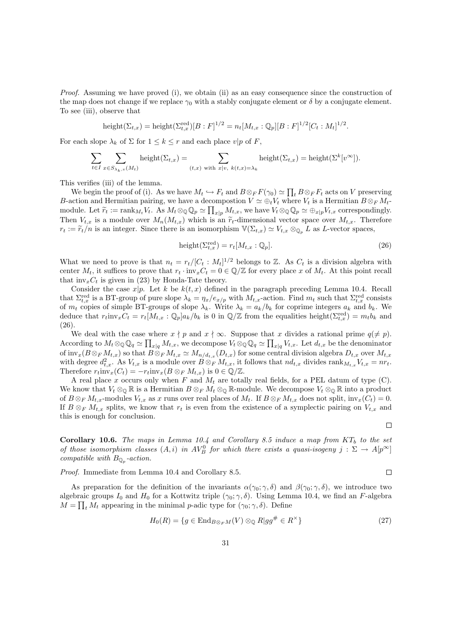Proof. Assuming we have proved (i), we obtain (ii) as an easy consequence since the construction of the map does not change if we replace  $\gamma_0$  with a stably conjugate element or  $\delta$  by a conjugate element. To see (iii), observe that

height
$$
(\Sigma_{t,x})
$$
 = height $(\Sigma_{t,x}^{\text{red}})[B : F]^{1/2} = n_t[M_{t,x} : \mathbb{Q}_p][B : F]^{1/2}[C_t : M_t]^{1/2}$ .

For each slope  $\lambda_k$  of  $\Sigma$  for  $1 \leq k \leq r$  and each place  $v|p$  of F,

$$
\sum_{t \in I} \sum_{x \in S_{\lambda_k, v}(M_t)} \text{height}(\Sigma_{t,x}) = \sum_{(t,x) \text{ with } x|v, k(t,x) = \lambda_k} \text{height}(\Sigma_{t,x}) = \text{height}(\Sigma^k[v^\infty]).
$$

This verifies (iii) of the lemma.

We begin the proof of (i). As we have  $M_t \hookrightarrow F_t$  and  $B \otimes_F F(\gamma_0) \simeq \prod_t B \otimes_F F_t$  acts on V preserving B-action and Hermitian pairing, we have a decompostion  $V \simeq \bigoplus_t V_t$  where  $V_t$  is a Hermitian  $B \otimes_F M_t$ module. Let  $\widetilde{r}_t := \text{rank}_{M_t} V_t$ . As  $M_t \otimes_{\mathbb{Q}} \mathbb{Q}_p \simeq \prod_{x|p} M_{t,x}$ , we have  $V_t \otimes_{\mathbb{Q}} \mathbb{Q}_p \simeq \oplus_{x|p} V_{t,x}$  correspondingly. Then  $V_{t,x}$  is a module over  $M_n(M_{t,x})$  which is an  $\widetilde{r}_t$ -dimensional vector space over  $M_{t,x}$ . Therefore  $r_t := \widetilde{r}_t/n$  is an integer. Since there is an isomorphism  $\mathbb{V}(\Sigma_{t,x}) \simeq V_{t,x} \otimes_{\mathbb{Q}_p} L$  as L-vector spaces,

$$
height(\Sigma_{t,x}^{\text{red}}) = r_t[M_{t,x} : \mathbb{Q}_p].
$$
\n(26)

What we need to prove is that  $n_t = r_t/[C_t : M_t]^{1/2}$  belongs to Z. As  $C_t$  is a division algebra with center  $M_t$ , it suffices to prove that  $r_t \cdot inv_xC_t = 0 \in \mathbb{Q}/\mathbb{Z}$  for every place x of  $M_t$ . At this point recall that  $inv_xC_t$  is given in (23) by Honda-Tate theory.

Consider the case  $x|p$ . Let k be  $k(t, x)$  defined in the paragraph preceding Lemma 10.4. Recall that  $\Sigma_{t,x}^{\text{red}}$  is a BT-group of pure slope  $\lambda_k = \eta_x/e_{x/p}$  with  $M_{t,x}$ -action. Find  $m_t$  such that  $\Sigma_{t,x}^{\text{red}}$  consists of  $m_t$  copies of simple BT-groups of slope  $\lambda_k$ . Write  $\lambda_k = a_k/b_k$  for coprime integers  $a_k$  and  $b_k$ . We deduce that  $r_t$ inv<sub>x</sub>C<sub>t</sub> =  $r_t$ [ $M_{t,x}$  : Q<sub>p</sub>] $a_k/b_k$  is 0 in Q/Z from the equalities height( $\Sigma_{t,x}^{\text{red}}$ ) =  $m_t b_k$  and (26).

We deal with the case where  $x \nmid p$  and  $x \nmid \infty$ . Suppose that x divides a rational prime  $q(\neq p)$ . According to  $M_t \otimes_{\mathbb{Q}} \mathbb{Q}_q \simeq \prod_{x|q} M_{t,x}$ , we decompose  $V_t \otimes_{\mathbb{Q}} \mathbb{Q}_q \simeq \prod_{x|q} V_{t,x}$ . Let  $d_{t,x}$  be the denominator of  $\text{inv}_x(B\otimes_F M_{t,x})$  so that  $B\otimes_F M_{t,x} \simeq M_{n/d_{t,x}}(D_{t,x})$  for some central division algebra  $D_{t,x}$  over  $M_{t,x}$ with degree  $d_{t,x}^2$ . As  $V_{t,x}$  is a module over  $B \otimes_F M_{t,x}$ , it follows that  $nd_{t,x}$  divides  $\text{rank}_{M_{t,x}} V_{t,x} = nr_t$ . Therefore  $r_t$ inv $_x(C_t) = -r_t$ inv $_x(B \otimes_F M_{t,x})$  is  $0 \in \mathbb{Q}/\mathbb{Z}$ .

A real place x occurs only when F and  $M_t$  are totally real fields, for a PEL datum of type (C). We know that  $V_t \otimes_{\mathbb{Q}} \mathbb{R}$  is a Hermitian  $B \otimes_F M_t \otimes_{\mathbb{Q}} \mathbb{R}$ -module. We decompose  $V_t \otimes_{\mathbb{Q}} \mathbb{R}$  into a product of  $B \otimes_F M_{t,x}$ -modules  $V_{t,x}$  as x runs over real places of  $M_t$ . If  $B \otimes_F M_{t,x}$  does not split,  $inv_x(C_t) = 0$ . If  $B \otimes_F M_{t,x}$  splits, we know that  $r_t$  is even from the existence of a symplectic pairing on  $V_{t,x}$  and this is enough for conclusion.

**Corollary 10.6.** The maps in Lemma 10.4 and Corollary 8.5 induce a map from  $KT_b$  to the set of those isomorphism classes  $(A, i)$  in  $AV_B^0$  for which there exists a quasi-isogeny  $j : \Sigma \to A[p^\infty]$ compatible with  $B_{\mathbb{Q}_p}$ -action.

Proof. Immediate from Lemma 10.4 and Corollary 8.5.

As preparation for the definition of the invariants  $\alpha(\gamma_0; \gamma, \delta)$  and  $\beta(\gamma_0; \gamma, \delta)$ , we introduce two algebraic groups  $I_0$  and  $H_0$  for a Kottwitz triple  $(\gamma_0; \gamma, \delta)$ . Using Lemma 10.4, we find an F-algebra  $M = \prod_t M_t$  appearing in the minimal p-adic type for  $(\gamma_0; \gamma, \delta)$ . Define

$$
H_0(R) = \{ g \in \text{End}_{B \otimes_F M}(V) \otimes_{\mathbb{Q}} R | g g^{\#} \in R^{\times} \}
$$
\n
$$
(27)
$$

 $\Box$ 

 $\Box$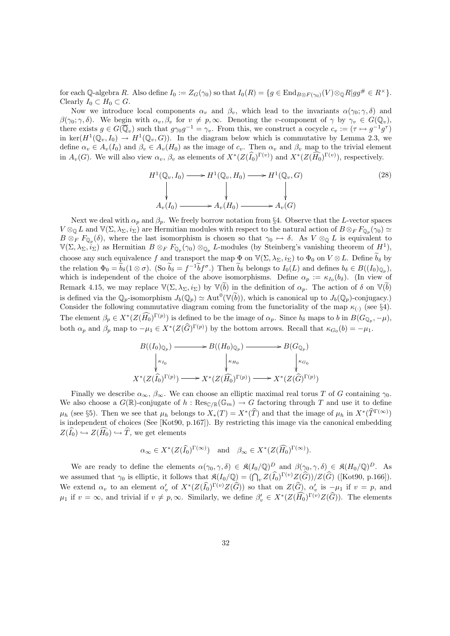for each Q-algebra R. Also define  $I_0 := Z_G(\gamma_0)$  so that  $I_0(R) = \{g \in \text{End}_{B \otimes F(\gamma_0)}(V) \otimes_{\mathbb{Q}} R | g g^{\#} \in R^{\times} \}.$ Clearly  $I_0 \subset H_0 \subset G$ .

Now we introduce local components  $\alpha_v$  and  $\beta_v$ , which lead to the invariants  $\alpha(\gamma_0; \gamma, \delta)$  and  $\beta(\gamma_0;\gamma,\delta)$ . We begin with  $\alpha_v,\beta_v$  for  $v \neq p,\infty$ . Denoting the v-component of  $\gamma$  by  $\gamma_v \in G(\mathbb{Q}_v)$ , there exists  $g \in G(\overline{\mathbb{Q}}_v)$  such that  $g\gamma_0 g^{-1} = \gamma_v$ . From this, we construct a cocycle  $c_v := (\tau \mapsto g^{-1}g^{\tau})$ in ker $(H^1(\mathbb{Q}_v, I_0) \to H^1(\mathbb{Q}_v, G))$ . In the diagram below which is commutative by Lemma 2.3, we define  $\alpha_v \in A_v(I_0)$  and  $\beta_v \in A_v(H_0)$  as the image of  $c_v$ . Then  $\alpha_v$  and  $\beta_v$  map to the trivial element in  $A_v(G)$ . We will also view  $\alpha_v$ ,  $\beta_v$  as elements of  $X^*(Z(\widehat{I_0})^{\Gamma(v)})$  and  $X^*(Z(\widehat{H_0})^{\Gamma(v)})$ , respectively.

$$
H^{1}(\mathbb{Q}_{v}, I_{0}) \longrightarrow H^{1}(\mathbb{Q}_{v}, H_{0}) \longrightarrow H^{1}(\mathbb{Q}_{v}, G)
$$
\n
$$
\downarrow \qquad \qquad \downarrow \qquad \qquad \downarrow
$$
\n
$$
A_{v}(I_{0}) \longrightarrow A_{v}(H_{0}) \longrightarrow A_{v}(G)
$$
\n
$$
(28)
$$

Next we deal with  $\alpha_p$  and  $\beta_p$ . We freely borrow notation from §4. Observe that the L-vector spaces  $V \otimes_{\mathbb{Q}} L$  and  $\mathbb{V}(\Sigma, \lambda_{\Sigma}, i_{\Sigma})$  are Hermitian modules with respect to the natural action of  $B \otimes_F F_{\mathbb{Q}_p}(\gamma_0) \simeq$  $B \otimes_F F_{\mathbb{Q}_p}(\delta)$ , where the last isomorphism is chosen so that  $\gamma_0 \mapsto \delta$ . As  $V \otimes_{\mathbb{Q}} L$  is equivalent to  $\mathbb{V}(\Sigma,\lambda_{\Sigma},i_{\Sigma})$  as Hermitian  $B \otimes_F F_{\mathbb{Q}_p}(\gamma_0) \otimes_{\mathbb{Q}_p} L$ -modules (by Steinberg's vanishing theorem of  $H^1$ ), choose any such equivalence f and transport the map  $\Phi$  on  $\mathbb{V}(\Sigma, \lambda_{\Sigma}, i_{\Sigma})$  to  $\Phi_0$  on  $V \otimes L$ . Define  $b_{\delta}$  by the relation  $\Phi_0 = b_\delta (1 \otimes \sigma)$ . (So  $b_\delta = f^{-1} b f^\sigma$ .) Then  $b_\delta$  belongs to  $I_0(L)$  and defines  $b_\delta \in B((I_0)_{\mathbb{Q}_p})$ , which is independent of the choice of the above isomorphisms. Define  $\alpha_p := \kappa_{I_0}(b_\delta)$ . (In view of Remark 4.15, we may replace  $\mathbb{V}(\Sigma, \lambda_{\Sigma}, i_{\Sigma})$  by  $\mathbb{V}(\widetilde{b})$  in the definition of  $\alpha_p$ . The action of  $\delta$  on  $\mathbb{V}(\widetilde{b})$ is defined via the  $\mathbb{Q}_p$ -isomorphism  $J_b(\mathbb{Q}_p) \simeq \text{Aut}^0(\mathbb{V}(\widetilde{b}))$ , which is canonical up to  $J_b(\mathbb{Q}_p)$ -conjugacy. Consider the following commutative diagram coming from the functoriality of the map  $\kappa_{(\cdot)}$  (see §4). The element  $\beta_p \in X^*(Z(\widehat{H_0})^{\Gamma(p)})$  is defined to be the image of  $\alpha_p$ . Since  $b_{\delta}$  maps to b in  $B(G_{\mathbb{Q}_p}, -\mu)$ , both  $\alpha_p$  and  $\beta_p$  map to  $-\mu_1 \in X^*(Z(\widehat{G})^{\Gamma(p)})$  by the bottom arrows. Recall that  $\kappa_{G_0}(b) = -\mu_1$ .

$$
B((I_0)_{\mathbb{Q}_p}) \longrightarrow B((H_0)_{\mathbb{Q}_p}) \longrightarrow B(G_{\mathbb{Q}_p})
$$
  
\n
$$
\downarrow \kappa_{I_0} \qquad \qquad \downarrow \kappa_{H_0} \qquad \qquad \downarrow \kappa_{G_0}
$$
  
\n
$$
X^*(Z(\widehat{I_0})^{\Gamma(p)}) \longrightarrow X^*(Z(\widehat{H_0})^{\Gamma(p)}) \longrightarrow X^*(Z(\widehat{G})^{\Gamma(p)})
$$

Finally we describe  $\alpha_{\infty}, \beta_{\infty}$ . We can choose an elliptic maximal real torus T of G containing  $\gamma_0$ . We also choose a  $G(\mathbb{R})$ -conjugate of  $h : \text{Res}_{\mathbb{C}/\mathbb{R}}(\mathbb{G}_m) \to G$  factoring through T and use it to define  $\mu_h$  (see §5). Then we see that  $\mu_h$  belongs to  $X_*(T) = X^*(\widehat{T})$  and that the image of  $\mu_h$  in  $X^*(\widehat{T}^{\Gamma(\infty)})$ is independent of choices (See [Kot90, p.167]). By restricting this image via the canonical embedding  $Z(\widehat{I}_0) \hookrightarrow Z(\widehat{H_0}) \hookrightarrow \widehat{T}$ , we get elements

$$
\alpha_{\infty} \in X^*(Z(\widehat{I_0})^{\Gamma(\infty)})
$$
 and  $\beta_{\infty} \in X^*(Z(\widehat{H_0})^{\Gamma(\infty)}).$ 

We are ready to define the elements  $\alpha(\gamma_0, \gamma, \delta) \in \mathfrak{K}(I_0/\mathbb{Q})^D$  and  $\beta(\gamma_0, \gamma, \delta) \in \mathfrak{K}(H_0/\mathbb{Q})^D$ . As we assumed that  $\gamma_0$  is elliptic, it follows that  $\mathfrak{K}(I_0/\mathbb{Q}) = (\bigcap_v Z(\widehat{I}_0)^{\Gamma(v)}Z(\widehat{G}))/Z(\widehat{G})$  ([Kot90, p.166]). We extend  $\alpha_v$  to an element  $\alpha'_v$  of  $X^*(Z(\widehat{I_0})^{\Gamma(v)}Z(\widehat{G}))$  so that on  $Z(\widehat{G}), \alpha'_v$  is  $-\mu_1$  if  $v = p$ , and  $\mu_1$  if  $v = \infty$ , and trivial if  $v \neq p, \infty$ . Similarly, we define  $\beta'_v \in X^*(Z(\widehat{H_0})^{\Gamma(v)}Z(\widehat{G}))$ . The elements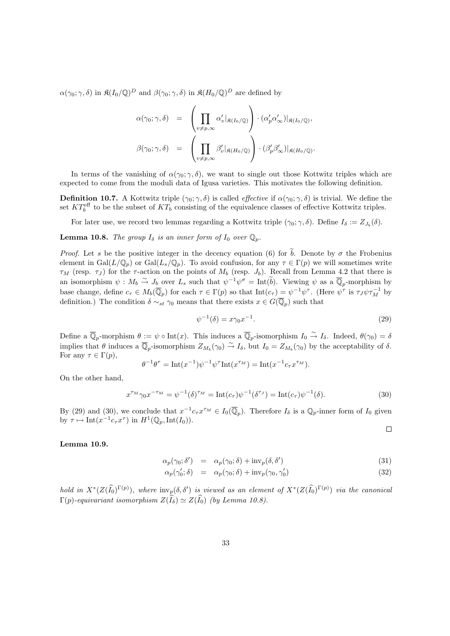$\alpha(\gamma_0; \gamma, \delta)$  in  $\mathfrak{K}(I_0/\mathbb{Q})^D$  and  $\beta(\gamma_0; \gamma, \delta)$  in  $\mathfrak{K}(H_0/\mathbb{Q})^D$  are defined by

$$
\alpha(\gamma_0; \gamma, \delta) = \left( \prod_{v \neq p, \infty} \alpha'_v |_{\mathfrak{K}(I_0/\mathbb{Q})} \right) \cdot (\alpha'_p \alpha'_{\infty}) |_{\mathfrak{K}(I_0/\mathbb{Q})},
$$

$$
\beta(\gamma_0; \gamma, \delta) = \left( \prod_{v \neq p, \infty} \beta'_v |_{\mathfrak{K}(H_0/\mathbb{Q})} \right) \cdot (\beta'_p \beta'_{\infty}) |_{\mathfrak{K}(H_0/\mathbb{Q})}.
$$

In terms of the vanishing of  $\alpha(\gamma_0; \gamma, \delta)$ , we want to single out those Kottwitz triples which are expected to come from the moduli data of Igusa varieties. This motivates the following definition.

**Definition 10.7.** A Kottwitz triple  $(\gamma_0; \gamma, \delta)$  is called *effective* if  $\alpha(\gamma_0; \gamma, \delta)$  is trivial. We define the set  $KT_b^{\text{eff}}$  to be the subset of  $KT_b$  consisting of the equivalence classes of effective Kottwitz triples.

For later use, we record two lemmas regarding a Kottwitz triple  $(\gamma_0; \gamma, \delta)$ . Define  $I_{\delta} := Z_{J_b}(\delta)$ .

**Lemma 10.8.** The group  $I_{\delta}$  is an inner form of  $I_0$  over  $\mathbb{Q}_p$ .

*Proof.* Let s be the positive integer in the decency equation (6) for  $\tilde{b}$ . Denote by  $\sigma$  the Frobenius element in  $Gal(L/\mathbb{Q}_p)$  or  $Gal(L_s/\mathbb{Q}_p)$ . To avoid confusion, for any  $\tau \in \Gamma(p)$  we will sometimes write  $\tau_M$  (resp.  $\tau_J$ ) for the  $\tau$ -action on the points of  $M_b$  (resp.  $J_b$ ). Recall from Lemma 4.2 that there is an isomorphism  $\psi : M_b \stackrel{\sim}{\to} J_b$  over  $L_s$  such that  $\psi^{-1}\psi^{\sigma} = \text{Int}(\tilde{b})$ . Viewing  $\psi$  as a  $\overline{\mathbb{Q}}_p$ -morphism by base change, define  $c_{\tau} \in M_b(\overline{\mathbb{Q}}_p)$  for each  $\tau \in \Gamma(p)$  so that  $\text{Int}(c_{\tau}) = \psi^{-1}\psi^{\tau}$ . (Here  $\psi^{\tau}$  is  $\tau_J\psi\tau_M^{-1}$  by definition.) The condition  $\delta \sim_{st} \gamma_0$  means that there exists  $x \in G(\overline{\mathbb{Q}}_p)$  such that

$$
\psi^{-1}(\delta) = x\gamma_0 x^{-1}.\tag{29}
$$

 $\Box$ 

Define a  $\overline{\mathbb{Q}}_p$ -morphism  $\theta := \psi \circ \text{Int}(x)$ . This induces a  $\overline{\mathbb{Q}}_p$ -isomorphism  $I_0 \overset{\sim}{\to} I_\delta$ . Indeed,  $\theta(\gamma_0) = \delta$ implies that  $\theta$  induces a  $\overline{\mathbb{Q}}_p$ -isomorphism  $Z_{M_b}(\gamma_0) \stackrel{\sim}{\to} I_\delta$ , but  $I_0 = Z_{M_b}(\gamma_0)$  by the acceptability of  $\delta$ . For any  $\tau \in \Gamma(p)$ ,

$$
\theta^{-1}\theta^{\tau} = \mathrm{Int}(x^{-1})\psi^{-1}\psi^{\tau}\mathrm{Int}(x^{\tau_M}) = \mathrm{Int}(x^{-1}c_{\tau}x^{\tau_M}).
$$

On the other hand,

$$
x^{\tau_M} \gamma_0 x^{-\tau_M} = \psi^{-1}(\delta)^{\tau_M} = \text{Int}(c_{\tau}) \psi^{-1}(\delta^{\tau_J}) = \text{Int}(c_{\tau}) \psi^{-1}(\delta). \tag{30}
$$

By (29) and (30), we conclude that  $x^{-1}c_\tau x^{\tau_M} \in I_0(\overline{\mathbb{Q}}_p)$ . Therefore  $I_\delta$  is a  $\mathbb{Q}_p$ -inner form of  $I_0$  given by  $\tau \mapsto \mathrm{Int}(x^{-1}c_\tau x^\tau)$  in  $H^1(\mathbb{Q}_p, \mathrm{Int}(I_0)).$ 

#### Lemma 10.9.

$$
\alpha_p(\gamma_0; \delta') = \alpha_p(\gamma_0; \delta) + \text{inv}_p(\delta, \delta')
$$
\n(31)

$$
\alpha_p(\gamma'_0; \delta) = \alpha_p(\gamma_0; \delta) + \text{inv}_p(\gamma_0, \gamma'_0)
$$
\n(32)

hold in  $X^*(Z(\widehat{I_0})^{\Gamma(p)})$ , where  $\text{inv}_p(\delta, \delta')$  is viewed as an element of  $X^*(Z(\widehat{I_0})^{\Gamma(p)})$  via the canonical  $\Gamma(p)$ -equivariant isomorphism  $Z(\widehat{I}_{\delta}) \simeq Z(\widehat{I}_{0})$  (by Lemma 10.8).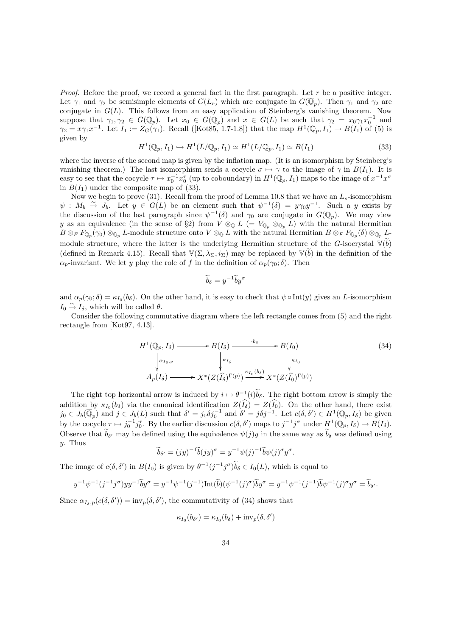*Proof.* Before the proof, we record a general fact in the first paragraph. Let r be a positive integer. Let  $\gamma_1$  and  $\gamma_2$  be semisimple elements of  $G(L_r)$  which are conjugate in  $G(\overline{\mathbb{Q}}_p)$ . Then  $\gamma_1$  and  $\gamma_2$  are conjugate in  $G(L)$ . This follows from an easy application of Steinberg's vanishing theorem. Now suppose that  $\gamma_1, \gamma_2 \in G(\mathbb{Q}_p)$ . Let  $x_0 \in G(\overline{\mathbb{Q}}_p)$  and  $x \in G(L)$  be such that  $\gamma_2 = x_0 \gamma_1 x_0^{-1}$  and  $\gamma_2 = x \gamma_1 x^{-1}$ . Let  $I_1 := Z_G(\gamma_1)$ . Recall ([Kot85, 1.7-1.8]) that the map  $H^1(\mathbb{Q}_p, I_1) \to B(I_1)$  of (5) is given by

$$
H^1(\mathbb{Q}_p, I_1) \hookrightarrow H^1(\overline{L}/\mathbb{Q}_p, I_1) \simeq H^1(L/\mathbb{Q}_p, I_1) \simeq B(I_1)
$$
\n(33)

where the inverse of the second map is given by the inflation map. (It is an isomorphism by Steinberg's vanishing theorem.) The last isomorphism sends a cocycle  $\sigma \mapsto \gamma$  to the image of  $\gamma$  in  $B(I_1)$ . It is easy to see that the cocycle  $\tau \mapsto x_0^{-1} x_0^{\tau}$  (up to coboundary) in  $H^1(\mathbb{Q}_p, I_1)$  maps to the image of  $x^{-1} x^{\sigma}$ in  $B(I_1)$  under the composite map of (33).

Now we begin to prove (31). Recall from the proof of Lemma 10.8 that we have an  $L_s$ -isomorphism  $\psi : M_b \stackrel{\sim}{\to} J_b$ . Let  $y \in G(L)$  be an element such that  $\psi^{-1}(\delta) = y \gamma_0 y^{-1}$ . Such a y exists by the discussion of the last paragraph since  $\psi^{-1}(\delta)$  and  $\gamma_0$  are conjugate in  $G(\overline{\mathbb{Q}}_p)$ . We may view y as an equivalence (in the sense of §2) from  $V \otimes_{\mathbb{Q}} L$  (=  $V_{\mathbb{Q}_p} \otimes_{\mathbb{Q}_p} L$ ) with the natural Hermitian  $B\otimes_F F_{\mathbb{Q}_p}(\gamma_0)\otimes_{\mathbb{Q}_p} L$ -module structure onto  $V\otimes_{\mathbb{Q}} L$  with the natural Hermitian  $B\otimes_F F_{\mathbb{Q}_p}(\delta)\otimes_{\mathbb{Q}_p} L$ module structure, where the latter is the underlying Hermitian structure of the G-isocrystal  $\mathbb{V}(\widetilde{b})$ (defined in Remark 4.15). Recall that  $\mathbb{V}(\Sigma, \lambda_{\Sigma}, i_{\Sigma})$  may be replaced by  $\mathbb{V}(b)$  in the definition of the  $\alpha_p$ -invariant. We let y play the role of f in the definition of  $\alpha_p(\gamma_0;\delta)$ . Then

$$
\widetilde{b}_{\delta} = y^{-1} \widetilde{b} y^{\sigma}
$$

and  $\alpha_p(\gamma_0;\delta) = \kappa_{I_0}(b_\delta)$ . On the other hand, it is easy to check that  $\psi \circ \text{Int}(y)$  gives an L-isomorphism  $I_0 \stackrel{\sim}{\rightarrow} I_\delta$ , which will be called  $\theta$ .

Consider the following commutative diagram where the left rectangle comes from (5) and the right rectangle from [Kot97, 4.13].

$$
H^{1}(\mathbb{Q}_{p}, I_{\delta}) \longrightarrow B(I_{\delta}) \longrightarrow b_{\delta} \longrightarrow B(I_{0})
$$
\n
$$
\downarrow \alpha_{I_{\delta}, p} \qquad \qquad \downarrow \kappa_{I_{\delta}} \qquad \qquad \downarrow \kappa_{I_{0}}
$$
\n
$$
A_{p}(I_{\delta}) \longrightarrow X^{*}(Z(\widehat{I_{\delta}})^{\Gamma(p)}) \xrightarrow{\kappa_{I_{0}}(b_{\delta})} X^{*}(Z(\widehat{I_{0}})^{\Gamma(p)})
$$
\n
$$
(34)
$$

The right top horizontal arrow is induced by  $i \mapsto \theta^{-1}(i)b_\delta$ . The right bottom arrow is simply the addition by  $\kappa_{I_0}(b_\delta)$  via the canonical identification  $Z(I_\delta) = Z(I_0)$ . On the other hand, there exist  $j_0 \in J_b(\overline{\mathbb{Q}}_p)$  and  $j \in J_b(L)$  such that  $\delta' = j_0 \delta j_0^{-1}$  and  $\delta' = j_0 \delta j^{-1}$ . Let  $c(\delta, \delta') \in H^1(\mathbb{Q}_p, I_\delta)$  be given by the cocycle  $\tau \mapsto j_0^{-1} j_0^{\tau}$ . By the earlier discussion  $c(\delta, \delta')$  maps to  $j^{-1} j^{\sigma}$  under  $H^1(\mathbb{Q}_p, I_{\delta}) \to B(I_{\delta})$ . Observe that  $b_{\delta'}$  may be defined using the equivalence  $\psi(j)y$  in the same way as  $b_{\delta}$  was defined using  $y$ . Thus

$$
\widetilde{b}_{\delta'} = (jy)^{-1}\widetilde{b}(jy)^{\sigma} = y^{-1}\psi(j)^{-1}\widetilde{b}\psi(j)^{\sigma}y^{\sigma}.
$$

The image of  $c(\delta, \delta')$  in  $B(I_0)$  is given by  $\theta^{-1}(j^{-1}j^{\sigma})\tilde{b}_{\delta} \in I_0(L)$ , which is equal to

$$
y^{-1}\psi^{-1}(j^{-1}j^{\sigma})yy^{-1}\widetilde{b}y^{\sigma} = y^{-1}\psi^{-1}(j^{-1})\text{Int}(\widetilde{b})(\psi^{-1}(j)^{\sigma})\widetilde{b}y^{\sigma} = y^{-1}\psi^{-1}(j^{-1})\widetilde{b}\psi^{-1}(j)^{\sigma}y^{\sigma} = \widetilde{b}_{\delta'}.
$$

Since  $\alpha_{I_{\delta},p}(c(\delta,\delta')) = \text{inv}_{p}(\delta,\delta')$ , the commutativity of (34) shows that

$$
\kappa_{I_0}(b_{\delta'}) = \kappa_{I_0}(b_{\delta}) + \mathrm{inv}_p(\delta, \delta')
$$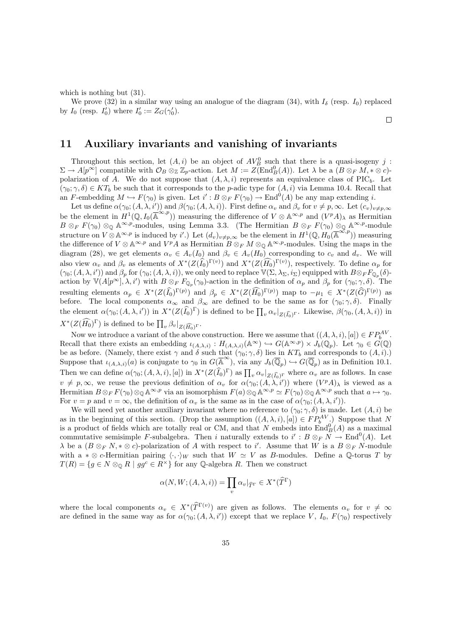which is nothing but  $(31)$ .

We prove (32) in a similar way using an analogue of the diagram (34), with  $I_{\delta}$  (resp.  $I_0$ ) replaced by  $I_0$  (resp.  $I'_0$ ) where  $I'_0 := Z_G(\gamma'_0)$ .  $\Box$ 

### 11 Auxiliary invariants and vanishing of invariants

Throughout this section, let  $(A, i)$  be an object of  $AV_B^0$  such that there is a quasi-isogeny j:  $\Sigma \to A[p^{\infty}]$  compatible with  $\mathcal{O}_B \otimes_{\mathbb{Z}} \mathbb{Z}_p$ -action. Let  $M := \widetilde{Z(\text{End}_B^0(A))}$ . Let  $\lambda$  be a  $(B \otimes_F M, * \otimes c)$ polarization of A. We do not suppose that  $(A, \lambda, i)$  represents an equivalence class of PIC<sub>b</sub>. Let  $(\gamma_0; \gamma, \delta) \in KT_b$  be such that it corresponds to the p-adic type for  $(A, i)$  via Lemma 10.4. Recall that an F-embedding  $M \hookrightarrow F(\gamma_0)$  is given. Let  $i' : B \otimes_F F(\gamma_0) \to \text{End}^0(A)$  be any map extending i.

Let us define  $\alpha(\gamma_0; (A, \lambda, i'))$  and  $\beta(\gamma_0; (A, \lambda, i))$ . First define  $\alpha_v$  and  $\beta_v$  for  $v \neq p, \infty$ . Let  $(c_v)_{v \neq p, \infty}$ be the element in  $H^1(\mathbb{Q}, I_0(\overline{\mathbb{A}}^{\infty, p}))$  measuring the difference of  $V \otimes \mathbb{A}^{\infty, p}$  and  $(V^pA)_{\lambda}$  as Hermitian  $B \otimes_F F(\gamma_0) \otimes_{\mathbb{Q}} A^{\infty,p}$ -modules, using Lemma 3.3. (The Hermitian  $B \otimes_F F(\gamma_0) \otimes_{\mathbb{Q}} A^{\infty,p}$ -module structure on  $V \otimes \mathbb{A}^{\infty,p}$  is induced by i'.) Let  $(d_v)_{v \neq p,\infty}$  be the element in  $H^1(\mathbb{Q}, H_0(\mathbb{A}^{\infty,p}))$  measuring the difference of  $V \otimes A^{\infty,p}$  and  $V^pA$  as Hermitian  $B \otimes_F M \otimes_{\mathbb{Q}} A^{\infty,p}$ -modules. Using the maps in the diagram (28), we get elements  $\alpha_v \in A_v(I_0)$  and  $\beta_v \in A_v(H_0)$  corresponding to  $c_v$  and  $d_v$ . We will also view  $\alpha_v$  and  $\beta_v$  as elements of  $X^*(Z(\widehat{I_0})^{\Gamma(v)})$  and  $X^*(Z(\widehat{H_0})^{\Gamma(v)})$ , respectively. To define  $\alpha_p$  for  $(\gamma_0; (A, \lambda, i'))$  and  $\beta_p$  for  $(\gamma_0; (A, \lambda, i))$ , we only need to replace  $\mathbb{V}(\Sigma, \lambda_\Sigma, i_\Sigma)$  equipped with  $B \otimes_F F_{\mathbb{Q}_p}(\delta)$ action by  $\mathbb{V}(A[p^{\infty}], \lambda, i')$  with  $B \otimes_F F_{\mathbb{Q}_p}(\gamma_0)$ -action in the definition of  $\alpha_p$  and  $\beta_p$  for  $(\gamma_0; \gamma, \delta)$ . The resulting elements  $\alpha_p \in X^*(Z(\widehat{I_0})^{\Gamma(p)})$  and  $\beta_p \in X^*(Z(\widehat{H_0})^{\Gamma(p)})$  map to  $-\mu_1 \in X^*(Z(\widehat{G})^{\Gamma(p)})$  as before. The local components  $\alpha_{\infty}$  and  $\beta_{\infty}$  are defined to be the same as for  $(\gamma_0; \gamma, \delta)$ . Finally the element  $\alpha(\gamma_0; (A, \lambda, i'))$  in  $X^*(Z(\widehat{I_0})^{\Gamma})$  is defined to be  $\prod_v \alpha_v|_{Z(\widehat{I_0})^{\Gamma}}$ . Likewise,  $\beta(\gamma_0, (A, \lambda, i))$  in  $X^*(Z(\widehat{H_0})^{\Gamma})$  is defined to be  $\prod_v \beta_v|_{Z(\widehat{H_0})^{\Gamma}}$ .

Now we introduce a variant of the above construction. Here we assume that  $((A, \lambda, i), [a]) \in FP_b^{AV}$ . Recall that there exists an embedding  $\iota_{(A,\lambda,i)} : H_{(A,\lambda,i)}(\mathbb{A}^{\infty}) \hookrightarrow G(\mathbb{A}^{\infty,p}) \times J_b(\mathbb{Q}_p)$ . Let  $\gamma_0 \in G(\mathbb{Q})$ be as before. (Namely, there exist  $\gamma$  and  $\delta$  such that  $(\gamma_0; \gamma, \delta)$  lies in  $KT_b$  and corresponds to  $(A, i)$ .) Suppose that  $\iota_{(A,\lambda,i)}(a)$  is conjugate to  $\gamma_0$  in  $G(\overline{\mathbb{A}}^{\infty})$ , via any  $J_b(\overline{\mathbb{Q}}_p) \hookrightarrow G(\overline{\mathbb{Q}}_p)$  as in Definition 10.1. Then we can define  $\alpha(\gamma_0; (A, \lambda, i), [a])$  in  $X^*(Z(\widehat{I}_0)^{\Gamma})$  as  $\prod_v \alpha_v|_{Z(\widehat{I}_0)^{\Gamma}}$  where  $\alpha_v$  are as follows. In case  $v \neq p, \infty$ , we reuse the previous definition of  $\alpha_v$  for  $\alpha(\gamma_0; (A, \lambda, i'))$  where  $(V^p A)_{\lambda}$  is viewed as a Hermitian  $B \otimes_F F(\gamma_0) \otimes_{\mathbb{Q}} \mathbb{A}^{\infty,p}$  via an isomorphism  $F(a) \otimes_{\mathbb{Q}} \mathbb{A}^{\infty,p} \simeq F(\gamma_0) \otimes_{\mathbb{Q}} \mathbb{A}^{\infty,p}$  such that  $a \mapsto \gamma_0$ . For  $v = p$  and  $v = \infty$ , the definition of  $\alpha_v$  is the same as in the case of  $\alpha(\gamma_0; (A, \lambda, i'))$ .

We will need yet another auxiliary invariant where no reference to  $(\gamma_0; \gamma, \delta)$  is made. Let  $(A, i)$  be as in the beginning of this section. (Drop the assumption  $((A, \lambda, i), [a]) \in FP_{b}^{AV}$ .) Suppose that N is a product of fields which are totally real or CM, and that N embeds into  $\text{End}_{B}^{0}(A)$  as a maximal commutative semisimple F-subalgebra. Then i naturally extends to  $i': B \otimes_F N \to \text{End}^0(A)$ . Let  $\lambda$  be a  $(B\otimes_F N, * \otimes c)$ -polarization of A with respect to i'. Assume that W is a  $B\otimes_F N$ -module with a  $* \otimes c$ -Hermitian pairing  $\langle \cdot, \cdot \rangle_W$  such that  $W \simeq V$  as B-modules. Define a Q-torus T by  $T(R) = \{g \in N \otimes_{\mathbb{Q}} R \mid gg^c \in R^{\times}\}\$  for any Q-algebra R. Then we construct

$$
\alpha(N, W; (A, \lambda, i)) = \prod_{v} \alpha_{v} |_{\widehat{T}^{\Gamma}} \in X^{*}(\widehat{T}^{\Gamma})
$$

where the local components  $\alpha_v \in X^*(\widehat{T}^{\Gamma(v)})$  are given as follows. The elements  $\alpha_v$  for  $v \neq \infty$ are defined in the same way as for  $\alpha(\gamma_0; (A, \lambda, i'))$  except that we replace V,  $I_0$ ,  $F(\gamma_0)$  respectively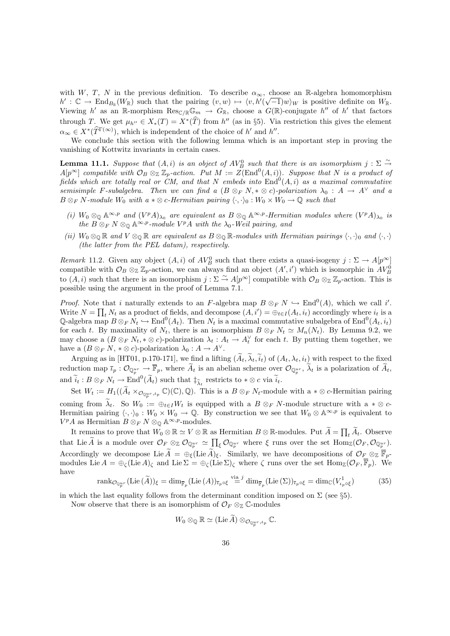with W, T, N in the previous definition. To describe  $\alpha_{\infty}$ , choose an R-algebra homomorphism  $h': \mathbb{C} \to \text{End}_{B_{\mathbb{R}}}(W_{\mathbb{R}})$  such that the pairing  $(v, w) \mapsto \langle v, h'(\sqrt{-1})w \rangle_W$  is positive definite on  $W_{\mathbb{R}}$ . Viewing h' as an R-morphism  $\text{Res}_{\mathbb{C}/\mathbb{R}}\mathbb{G}_m \to G_{\mathbb{R}}$ , choose a  $G(\mathbb{R})$ -conjugate h'' of h' that factors through T. We get  $\mu_{h''} \in X_*(T) = X^*(\widehat{T})$  from  $h''$  (as in §5). Via restriction this gives the element  $\alpha_{\infty} \in X^*(\widehat{T}^{\Gamma(\infty)})$ , which is independent of the choice of h' and h''.

We conclude this section with the following lemma which is an important step in proving the vanishing of Kottwitz invariants in certain cases.

**Lemma 11.1.** Suppose that  $(A, i)$  is an object of  $AV_B^0$  such that there is an isomorphism  $j : \Sigma \overset{\sim}{\rightarrow}$  $A[p^{\infty}]$  compatible with  $\mathcal{O}_B \otimes_{\mathbb{Z}} \mathbb{Z}_p$ -action. Put  $M := \tilde{Z}(\text{End}^0(A,i))$ . Suppose that N is a product of fields which are totally real or CM, and that N embeds into  $\text{End}^0(A,i)$  as a maximal commutative semisimple F-subalgebra. Then we can find a  $(B \otimes_F N, * \otimes c)$ -polarization  $\lambda_0 : A \to A^{\vee}$  and a  $B \otimes_F N$ -module  $W_0$  with  $a * \otimes c$ -Hermitian pairing  $\langle \cdot, \cdot \rangle_0 : W_0 \times W_0 \to \mathbb{Q}$  such that

- (i)  $W_0 \otimes_{\mathbb{Q}} \mathbb{A}^{\infty,p}$  and  $(V^p A)_{\lambda_0}$  are equivalent as  $B \otimes_{\mathbb{Q}} \mathbb{A}^{\infty,p}$ -Hermitian modules where  $(V^p A)_{\lambda_0}$  is the  $B \otimes_F N \otimes_{\mathbb{Q}} \mathbb{A}^{\infty,p}$ -module  $V^pA$  with the  $\lambda_0$ -Weil pairing, and
- (ii)  $W_0 \otimes_{\mathbb{Q}} \mathbb{R}$  and  $V \otimes_{\mathbb{Q}} \mathbb{R}$  are equivalent as  $B \otimes_{\mathbb{Q}} \mathbb{R}$ -modules with Hermitian pairings  $\langle \cdot, \cdot \rangle_0$  and  $\langle \cdot, \cdot \rangle$ (the latter from the PEL datum), respectively.

Remark 11.2. Given any object  $(A, i)$  of  $AV_B^0$  such that there exists a quasi-isogeny  $j : \Sigma \to A[p^\infty]$ compatible with  $\mathcal{O}_B \otimes_{\mathbb{Z}} \mathbb{Z}_p$ -action, we can always find an object  $(A', i')$  which is isomorphic in  $AV_B^0$ to  $(A, i)$  such that there is an isomorphism  $j : \Sigma \overset{\sim}{\to} A[p^{\infty}]$  compatible with  $\mathcal{O}_B \otimes_{\mathbb{Z}} \mathbb{Z}_p$ -action. This is possible using the argument in the proof of Lemma 7.1.

*Proof.* Note that i naturally extends to an F-algebra map  $B \otimes_F N \hookrightarrow \text{End}^0(A)$ , which we call i'. Write  $N = \prod_t N_t$  as a product of fields, and decompose  $(A, i') = \bigoplus_{t \in I} (A_t, i_t)$  accordingly where  $i_t$  is a Q-algebra map  $B \otimes_F N_t \hookrightarrow \text{End}^0(A_t)$ . Then  $N_t$  is a maximal commutative subalgebra of  $\text{End}^0(A_t, i_t)$ for each t. By maximality of  $N_t$ , there is an isomorphism  $B \otimes_F N_t \simeq M_n(N_t)$ . By Lemma 9.2, we may choose a  $(B \otimes_F N_t, * \otimes c)$ -polarization  $\lambda_t : A_t \to A_t^{\vee}$  for each t. By putting them together, we have a  $(B \otimes_F N, * \otimes c)$ -polarization  $\lambda_0 : A \to A^{\vee}$ .

Arguing as in [HT01, p.170-171], we find a lifting  $(\widetilde{A}_t, \widetilde{\lambda}_t, \widetilde{i}_t)$  of  $(A_t, \lambda_t, i_t)$  with respect to the fixed reduction map  $\bar{\iota}_p : \mathcal{O}_{\mathbb{Q}_p^{ur}} \to \overline{\mathbb{F}}_p$ , where  $\widetilde{A}_t$  is an abelian scheme over  $\mathcal{O}_{\mathbb{Q}_p^{ur}}$ ,  $\widetilde{\lambda}_t$  is a polarization of  $\widetilde{A}_t$ , and  $\widetilde{i}_t : B \otimes_F N_t \to \text{End}^0(\widetilde{A}_t)$  such that  $\ddagger_{\widetilde{\lambda}_t}$  restricts to  $*\otimes c$  via  $\widetilde{i}_t$ .

Set  $W_t := H_1((\widetilde{A}_t \times_{\mathcal{O}_{\mathbb{Q}_p^{ur}}, \iota_p} \mathbb{C})(\mathbb{C}), \mathbb{Q})$ . This is a  $B \otimes_F N_t$ -module with a  $* \otimes c$ -Hermitian pairing coming from  $\tilde{\lambda}_t$ . So  $W_0 := \bigoplus_{t \in I} W_t$  is equipped with a B  $\otimes_F N$ -module structure with a  $*\otimes c$ -Hermitian pairing  $\langle \cdot, \cdot \rangle_0 : W_0 \times W_0 \to \mathbb{Q}$ . By construction we see that  $W_0 \otimes \mathbb{A}^{\infty, p}$  is equivalent to  $V^pA$  as Hermitian  $B \otimes_F N \otimes_{\mathbb{Q}} \mathbb{A}^{\infty,p}$ -modules.

It remains to prove that  $W_0 \otimes \mathbb{R} \simeq V \otimes \mathbb{R}$  as Hermitian  $B \otimes \mathbb{R}$ -modules. Put  $\widetilde{A} = \prod_t \widetilde{A}_t$ . Observe that Lie A is a module over  $\mathcal{O}_F \otimes_{\mathbb{Z}} \mathcal{O}_{\mathbb{Q}_p^{ur}} \simeq \prod_{\xi} \mathcal{O}_{\mathbb{Q}_p^{ur}}$  where  $\xi$  runs over the set  $\text{Hom}_{\mathbb{Z}}(\mathcal{O}_F, \mathcal{O}_{\mathbb{Q}_p^{ur}})$ . Accordingly we decompose Lie  $\widetilde{A} = \bigoplus_{\xi} (\text{Lie } \widetilde{A})_{\xi}$ . Similarly, we have decompositions of  $\mathcal{O}_F \otimes_{\mathbb{Z}} \overline{\mathbb{F}}_p$ modules Lie  $A = \bigoplus_{\zeta} (\text{Lie }A)_{\zeta}$  and Lie  $\Sigma = \bigoplus_{\zeta} (\text{Lie }S)_{\zeta}$  where  $\zeta$  runs over the set  $\text{Hom}_{\mathbb{Z}}(\mathcal{O}_F, \overline{\mathbb{F}}_p)$ . We have

$$
\operatorname{rank}_{\mathcal{O}_{\mathbb{Q}_p^{ur}}} (\operatorname{Lie}(\widetilde{A}))_\xi = \dim_{\overline{\mathbb{F}}_p} (\operatorname{Lie}(A))_{\overline{\iota}_p \circ \xi} \stackrel{\text{via } j}{=} \dim_{\overline{\mathbb{F}}_p} (\operatorname{Lie}(\Sigma))_{\overline{\iota}_p \circ \xi} = \dim_{\mathbb{C}} (V^1_{\iota_p \circ \xi}) \tag{35}
$$

in which the last equality follows from the determinant condition imposed on  $\Sigma$  (see §5).

Now observe that there is an isomorphism of  $\mathcal{O}_F \otimes_{\mathbb{Z}} \mathbb{C}$ -modules

$$
W_0 \otimes_{\mathbb{Q}} \mathbb{R} \simeq (\mathrm{Lie} \,\widetilde{A}) \otimes_{\mathcal{O}_{\mathbb{Q}_p^{ur},\ell_p}} \mathbb{C}.
$$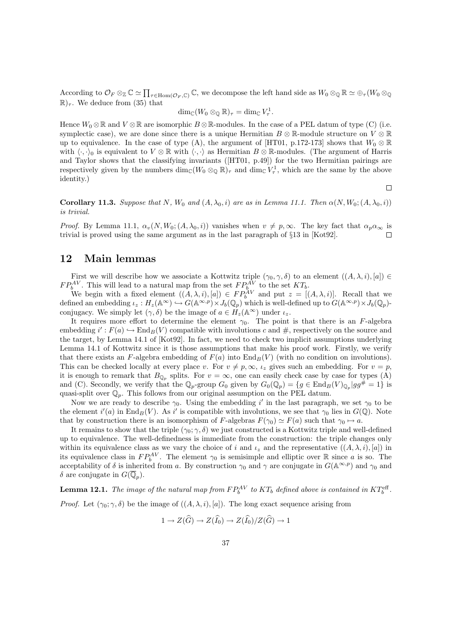According to  $\mathcal{O}_F \otimes_{\mathbb{Z}} \mathbb{C} \simeq \prod_{\tau \in \text{Hom}(\mathcal{O}_F, \mathbb{C})} \mathbb{C}$ , we decompose the left hand side as  $W_0 \otimes_{\mathbb{Q}} \mathbb{R} \simeq \bigoplus_{\tau} (W_0 \otimes_{\mathbb{Q}} \mathbb{C} \simeq \mathbb{C}^2)$  $\mathbb{R}_7$ . We deduce from (35) that

$$
\dim_{\mathbb{C}}(W_0\otimes_{\mathbb{Q}}\mathbb{R})_{\tau}=\dim_{\mathbb{C}}V_{\tau}^1.
$$

Hence  $W_0 \otimes \mathbb{R}$  and  $V \otimes \mathbb{R}$  are isomorphic  $B \otimes \mathbb{R}$ -modules. In the case of a PEL datum of type (C) (i.e. symplectic case), we are done since there is a unique Hermitian  $B \otimes \mathbb{R}$ -module structure on  $V \otimes \mathbb{R}$ up to equivalence. In the case of type (A), the argument of [HT01, p.172-173] shows that  $W_0 \otimes \mathbb{R}$ with  $\langle \cdot, \cdot \rangle_0$  is equivalent to  $V \otimes \mathbb{R}$  with  $\langle \cdot, \cdot \rangle$  as Hermitian  $B \otimes \mathbb{R}$ -modules. (The argument of Harris and Taylor shows that the classifying invariants ([HT01, p.49]) for the two Hermitian pairings are respectively given by the numbers  $\dim_{\mathbb{C}}(W_0 \otimes_{\mathbb{Q}} \mathbb{R})_\tau$  and  $\dim_{\mathbb{C}} V_\tau^1$ , which are the same by the above identity.)

**Corollary 11.3.** Suppose that N, W<sub>0</sub> and  $(A, \lambda_0, i)$  are as in Lemma 11.1. Then  $\alpha(N, W_0; (A, \lambda_0, i))$ is trivial.

 $\Box$ 

*Proof.* By Lemma 11.1,  $\alpha_v(N, W_0; (A, \lambda_0, i))$  vanishes when  $v \neq p, \infty$ . The key fact that  $\alpha_p \alpha_\infty$  is trivial is proved using the same argument as in the last paragraph of §13 in [Kot92].

#### 12 Main lemmas

First we will describe how we associate a Kottwitz triple  $(\gamma_0, \gamma, \delta)$  to an element  $((A, \lambda, i), [a]) \in$  $FP_b^{AV}$ . This will lead to a natural map from the set  $FP_{b}^{AV}$  to the set  $KT_b$ .

We begin with a fixed element  $((A, \lambda, i), [a]) \in FP_b^{AV}$  and put  $z = [(A, \lambda, i)]$ . Recall that we defined an embedding  $\iota_z : H_z(\mathbb{A}^{\infty}) \hookrightarrow G(\mathbb{A}^{\infty,p}) \times J_b(\mathbb{Q}_p)$  which is well-defined up to  $G(\mathbb{A}^{\infty,p}) \times J_b(\mathbb{Q}_p)$ conjugacy. We simply let  $(\gamma, \delta)$  be the image of  $a \in H_z(\mathbb{A}^\infty)$  under  $\iota_z$ .

It requires more effort to determine the element  $\gamma_0$ . The point is that there is an F-algebra embedding  $i' : F(a) \hookrightarrow \text{End}_B(V)$  compatible with involutions c and #, respectively on the source and the target, by Lemma 14.1 of [Kot92]. In fact, we need to check two implicit assumptions underlying Lemma 14.1 of Kottwitz since it is those assumptions that make his proof work. Firstly, we verify that there exists an F-algebra embedding of  $F(a)$  into  $\text{End}_B(V)$  (with no condition on involutions). This can be checked locally at every place v. For  $v \neq p, \infty$ ,  $\iota_z$  gives such an embedding. For  $v = p$ , it is enough to remark that  $B_{\mathbb{Q}_p}$  splits. For  $v = \infty$ , one can easily check case by case for types (A) and (C). Secondly, we verify that the  $\mathbb{Q}_p$ -group  $G_0$  given by  $G_0(\mathbb{Q}_p) = \{g \in \text{End}_B(V)_{\mathbb{Q}_p} | gg^{\#} = 1\}$  is quasi-split over  $\mathbb{Q}_p$ . This follows from our original assumption on the PEL datum.

Now we are ready to describe  $\gamma_0$ . Using the embedding i' in the last paragraph, we set  $\gamma_0$  to be the element  $i'(a)$  in  $\text{End}_B(V)$ . As i' is compatible with involutions, we see that  $\gamma_0$  lies in  $G(\mathbb{Q})$ . Note that by construction there is an isomorphism of F-algebras  $F(\gamma_0) \simeq F(a)$  such that  $\gamma_0 \mapsto a$ .

It remains to show that the triple  $(\gamma_0; \gamma, \delta)$  we just constructed is a Kottwitz triple and well-defined up to equivalence. The well-definedness is immediate from the construction: the triple changes only within its equivalence class as we vary the choice of i and  $i_z$  and the representative  $((A, \lambda, i), [a])$  in its equivalence class in  $FP_b^{AV}$ . The element  $\gamma_0$  is semisimple and elliptic over R since a is so. The acceptability of  $\delta$  is inherited from a. By construction  $\gamma_0$  and  $\gamma$  are conjugate in  $G(\mathbb{A}^{\infty,p})$  and  $\gamma_0$  and δ are conjugate in  $G(\overline{\mathbb{Q}}_p)$ .

**Lemma 12.1.** The image of the natural map from  $FP^{AV}_{b}$  to  $KT_{b}$  defined above is contained in  $KT^{\text{eff}}_{b}$ . *Proof.* Let  $(\gamma_0; \gamma, \delta)$  be the image of  $((A, \lambda, i), [a])$ . The long exact sequence arising from

$$
1 \to Z(\widehat{G}) \to Z(\widehat{I_0}) \to Z(\widehat{I_0})/Z(\widehat{G}) \to 1
$$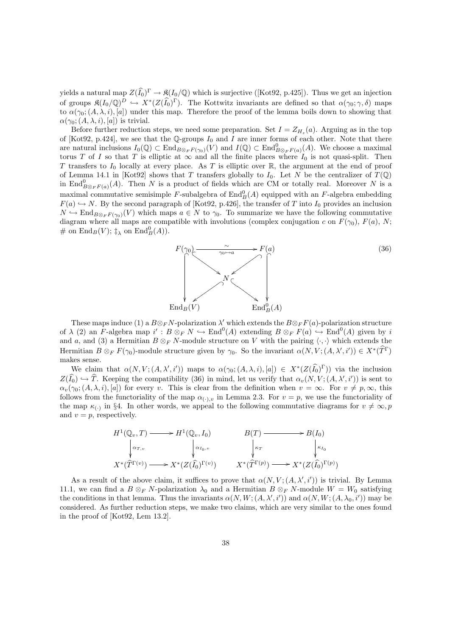yields a natural map  $Z(\widehat{I}_0)^{\Gamma} \to \mathfrak{K}(I_0/\mathbb{Q})$  which is surjective ([Kot92, p.425]). Thus we get an injection of groups  $\mathfrak{K}(I_0/\mathbb{Q})^D \hookrightarrow X^*(Z(\widehat{I_0})^{\Gamma})$ . The Kottwitz invariants are defined so that  $\alpha(\gamma_0;\gamma,\delta)$  maps to  $\alpha(\gamma_0; (A, \lambda, i), [a])$  under this map. Therefore the proof of the lemma boils down to showing that  $\alpha(\gamma_0; (A, \lambda, i), [a])$  is trivial.

Before further reduction steps, we need some preparation. Set  $I = Z_{H_z}(a)$ . Arguing as in the top of [Kot92, p.424], we see that the Q-groups  $I_0$  and I are inner forms of each other. Note that there are natural inclusions  $I_0(\mathbb{Q}) \subset \text{End}_{B \otimes_F F(\gamma_0)}(V)$  and  $I(\mathbb{Q}) \subset \text{End}_{B \otimes_F F(a)}^0(A)$ . We choose a maximal torus T of I so that T is elliptic at  $\infty$  and all the finite places where  $I_0$  is not quasi-split. Then T transfers to  $I_0$  locally at every place. As T is elliptic over  $\mathbb{R}$ , the argument at the end of proof of Lemma 14.1 in [Kot92] shows that T transfers globally to  $I_0$ . Let N be the centralizer of  $T(\mathbb{Q})$ in End $_{B\otimes_F F(a)}^{0}(A)$ . Then N is a product of fields which are CM or totally real. Moreover N is a maximal commutative semisimple F-subalgebra of  $\text{End}_{B}^{0}(A)$  equipped with an F-algebra embedding  $F(a) \hookrightarrow N$ . By the second paragraph of [Kot92, p.426], the transfer of T into I<sub>0</sub> provides an inclusion  $N \hookrightarrow \text{End}_{B\otimes_F F(\gamma_0)}(V)$  which maps  $a \in N$  to  $\gamma_0$ . To summarize we have the following commutative diagram where all maps are compatible with involutions (complex conjugation c on  $F(\gamma_0)$ ,  $F(a)$ , N; # on  $\text{End}_B(V)$ ;  $\ddagger_\lambda$  on  $\text{End}_B^0(A)$ ).



These maps induce (1) a  $B \otimes_F N$ -polarization  $\lambda'$  which extends the  $B \otimes_F F(a)$ -polarization structure of  $\lambda$  (2) an F-algebra map  $i' : B \otimes_F N \hookrightarrow \text{End}^0(A)$  extending  $B \otimes_F F(a) \hookrightarrow \text{End}^0(A)$  given by i and a, and (3) a Hermitian  $B \otimes_F N$ -module structure on V with the pairing  $\langle \cdot, \cdot \rangle$  which extends the Hermitian  $B \otimes_F F(\gamma_0)$ -module structure given by  $\gamma_0$ . So the invariant  $\alpha(N, V; (A, \lambda', i')) \in X^*(\widehat{T}^{\Gamma})$ makes sense.

We claim that  $\alpha(N, V; (A, \lambda', i'))$  maps to  $\alpha(\gamma_0; (A, \lambda, i), [a]) \in X^*(Z(\widehat{I_0})^{\Gamma}))$  via the inclusion  $Z(\widehat{I}_0) \hookrightarrow \widehat{T}$ . Keeping the compatibility (36) in mind, let us verify that  $\alpha_v(N, V; (A, \lambda', i'))$  is sent to  $\alpha_v(\gamma_0;(A,\lambda,i),[a])$  for every v. This is clear from the definition when  $v = \infty$ . For  $v \neq p, \infty$ , this follows from the functoriality of the map  $\alpha_{(\cdot),v}$  in Lemma 2.3. For  $v = p$ , we use the functoriality of the map  $\kappa_{(\cdot)}$  in §4. In other words, we appeal to the following commutative diagrams for  $v \neq \infty, p$ and  $v = p$ , respectively.

$$
H^1(\mathbb{Q}_v, T) \longrightarrow H^1(\mathbb{Q}_v, I_0) \longrightarrow H^1(\mathbb{Q}_v, I_0) \longrightarrow H^1(\mathbb{Q}_v, I_0) \longrightarrow H^1(\mathbb{Q}_v, I_0) \longrightarrow H^1(\mathbb{Q}_v, I_0) \longrightarrow H^1(\mathbb{Q}_v, I_0) \longrightarrow H^1(\mathbb{Q}_v, I_0) \longrightarrow H^1(\mathbb{Q}_v, I_0) \longrightarrow H^1(\mathbb{Q}_v, I_0) \longrightarrow H^1(\mathbb{Q}_v, I_0) \longrightarrow H^1(\mathbb{Q}_v, I_0) \longrightarrow H^1(\mathbb{Q}_v, I_0) \longrightarrow H^1(\mathbb{Q}_v, I_0) \longrightarrow H^1(\mathbb{Q}_v, I_0) \longrightarrow H^1(\mathbb{Q}_v, I_0) \longrightarrow H^1(\mathbb{Q}_v, I_0) \longrightarrow H^1(\mathbb{Q}_v, I_0) \longrightarrow H^1(\mathbb{Q}_v, I_0) \longrightarrow H^1(\mathbb{Q}_v, I_0) \longrightarrow H^1(\mathbb{Q}_v, I_0) \longrightarrow H^1(\mathbb{Q}_v, I_0) \longrightarrow H^1(\mathbb{Q}_v, I_0) \longrightarrow H^1(\mathbb{Q}_v, I_0) \longrightarrow H^1(\mathbb{Q}_v, I_0) \longrightarrow H^1(\mathbb{Q}_v, I_0) \longrightarrow H^1(\mathbb{Q}_v, I_0) \longrightarrow H^1(\mathbb{Q}_v, I_0) \longrightarrow H^1(\mathbb{Q}_v, I_0) \longrightarrow H^1(\mathbb{Q}_v, I_0) \longrightarrow H^1(\mathbb{Q}_v, I_0) \longrightarrow H^1(\mathbb{Q}_v, I_0) \longrightarrow H^1(\mathbb{Q}_v, I_0) \longrightarrow H^1(\mathbb{Q}_v, I_0) \longrightarrow H^1(\mathbb{Q}_v, I_0) \longrightarrow H^1(\mathbb{Q}_v, I_0) \longrightarrow H^1(\mathbb{Q}_v, I_0) \longrightarrow H^1(\mathbb{Q}_v, I_0) \longrightarrow H^1(\mathbb{Q}_v, I_0) \longrightarrow H^1(\mathbb{Q}_v, I_0) \longrightarrow H^1(\mathbb{Q}_v, I_0) \longrightarrow H^1(\mathbb{Q}_v, I_0) \longrightarrow H^1(\mathbb{Q}_v, I_0) \longrightarrow H^1(\mathbb{Q}_v, I_0) \longrightarrow H^1(\mathbb{Q}_v, I_
$$

As a result of the above claim, it suffices to prove that  $\alpha(N, V; (A, \lambda', i'))$  is trivial. By Lemma 11.1, we can find a  $B \otimes_F N$ -polarization  $\lambda_0$  and a Hermitian  $B \otimes_F N$ -module  $W = W_0$  satisfying the conditions in that lemma. Thus the invariants  $\alpha(N, W; (A, \lambda', i'))$  and  $\alpha(N, W; (A, \lambda_0, i'))$  may be considered. As further reduction steps, we make two claims, which are very similar to the ones found in the proof of [Kot92, Lem 13.2].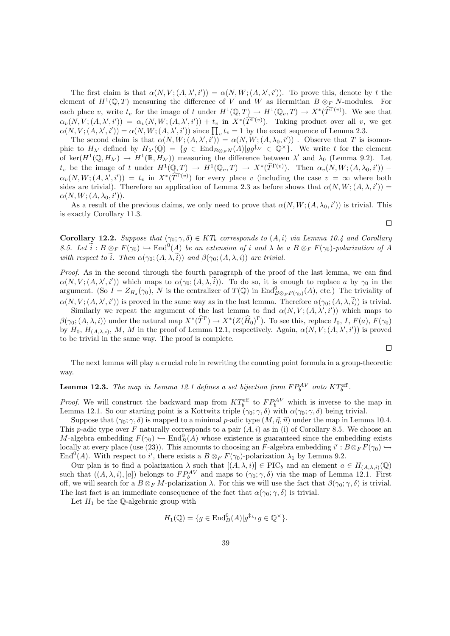The first claim is that  $\alpha(N, V; (A, \lambda', i')) = \alpha(N, W; (A, \lambda', i'))$ . To prove this, denote by t the element of  $H^1(\mathbb{Q}, T)$  measuring the difference of V and W as Hermitian  $B \otimes_F N$ -modules. For each place v, write  $t_v$  for the image of t under  $H^1(\mathbb{Q}, T) \to H^1(\mathbb{Q}_v, T) \to X^*(\widehat{T}^{\Gamma(v)})$ . We see that  $\alpha_v(N, V; (A, \lambda', i')) = \alpha_v(N, W; (A, \lambda', i')) + t_v$  in  $X^*(\widehat{T}^{\Gamma(v)})$ . Taking product over all v, we get  $\alpha(N, V; (A, \lambda', i')) = \alpha(N, W; (A, \lambda', i'))$  since  $\prod_{v} t_v = 1$  by the exact sequence of Lemma 2.3.

The second claim is that  $\alpha(N, W; (A, \lambda', i')) = \alpha(N, W; (A, \lambda_0, i'))$ . Observe that T is isomorphic to  $H_{\lambda'}$  defined by  $H_{\lambda'}(\mathbb{Q}) = \{g \in \text{End}_{B\otimes_F N}(A)|gg^{\ddagger_{\lambda'}} \in \mathbb{Q}^\times\}.$  We write t for the element of ker $(H^1(\mathbb{Q}, H_{\lambda'}) \to H^1(\mathbb{R}, H_{\lambda'})$  measuring the difference between  $\lambda'$  and  $\lambda_0$  (Lemma 9.2). Let  $t_v$  be the image of t under  $H^1(\mathbb{Q}, T) \to H^1(\mathbb{Q}_v, T) \to X^*(\widehat{T}^{\Gamma(v)})$ . Then  $\alpha_v(N, W; (A, \lambda_0, i'))$  $\alpha_v(N, W; (A, \lambda', i')) = t_v$  in  $X^*(\widehat{T}^{\Gamma(v)})$  for every place v (including the case  $v = \infty$  where both sides are trivial). Therefore an application of Lemma 2.3 as before shows that  $\alpha(N, W; (A, \lambda, i'))$  $\alpha(N, W; (A, \lambda_0, i')).$ 

As a result of the previous claims, we only need to prove that  $\alpha(N, W; (A, \lambda_0, i'))$  is trivial. This is exactly Corollary 11.3.

 $\Box$ 

**Corollary 12.2.** Suppose that  $(\gamma_0; \gamma, \delta) \in KT_b$  corresponds to  $(A, i)$  via Lemma 10.4 and Corollary 8.5. Let  $\tilde{i}: B \otimes_F F(\gamma_0) \hookrightarrow \text{End}^0(A)$  be an extension of i and  $\lambda$  be a  $B \otimes_F F(\gamma_0)$ -polarization of A with respect to  $\tilde{i}$ . Then  $\alpha(\gamma_0; (A, \lambda, \tilde{i}))$  and  $\beta(\gamma_0; (A, \lambda, i))$  are trivial.

Proof. As in the second through the fourth paragraph of the proof of the last lemma, we can find  $\alpha(N, V; (A, \lambda', i'))$  which maps to  $\alpha(\gamma_0; (A, \lambda, i))$ . To do so, it is enough to replace a by  $\gamma_0$  in the argument. (So  $I = Z_{H_z}(\gamma_0)$ , N is the centralizer of  $T(\mathbb{Q})$  in  $\text{End}_{B \otimes_F F(\gamma_0)}^0(A)$ , etc.) The triviality of  $\alpha(N, V; (A, \lambda', i'))$  is proved in the same way as in the last lemma. Therefore  $\alpha(\gamma_0; (A, \lambda, i))$  is trivial.

Similarly we repeat the argument of the last lemma to find  $\alpha(N, V; (A, \lambda', i'))$  which maps to  $\beta(\gamma_0; (A, \lambda, i))$  under the natural map  $X^*(\widehat{T}^{\Gamma}) \to X^*(Z(\widehat{H}_0)^{\Gamma})$ . To see this, replace  $I_0, I, F(a), F(\gamma_0)$ by  $H_0$ ,  $H_{(A,\lambda,i)}$ , M, M in the proof of Lemma 12.1, respectively. Again,  $\alpha(N, V; (A, \lambda', i'))$  is proved to be trivial in the same way. The proof is complete.

 $\Box$ 

The next lemma will play a crucial role in rewriting the counting point formula in a group-theoretic way.

**Lemma 12.3.** The map in Lemma 12.1 defines a set bijection from  $FP_b^{AV}$  onto  $KT_b^{\text{eff}}$ .

*Proof.* We will construct the backward map from  $KT_b^{\text{eff}}$  to  $FP_b^{AV}$  which is inverse to the map in Lemma 12.1. So our starting point is a Kottwitz triple  $(\gamma_0; \gamma, \delta)$  with  $\alpha(\gamma_0; \gamma, \delta)$  being trivial.

Suppose that  $(\gamma_0; \gamma, \delta)$  is mapped to a minimal p-adic type  $(M, \vec{\eta}, \vec{n})$  under the map in Lemma 10.4. This p-adic type over F naturally corresponds to a pair  $(A, i)$  as in (i) of Corollary 8.5. We choose an M-algebra embedding  $F(\gamma_0) \hookrightarrow \text{End}_{B}^{0}(A)$  whose existence is guaranteed since the embedding exists locally at every place (use (23)). This amounts to choosing an F-algebra embedding  $i': B \otimes_F F(\gamma_0) \hookrightarrow$ End<sup>0</sup>(A). With respect to i', there exists a  $B \otimes_F F(\gamma_0)$ -polarization  $\lambda_1$  by Lemma 9.2.

Our plan is to find a polarization  $\lambda$  such that  $[(A, \lambda, i)] \in \text{PIC}_b$  and an element  $a \in H_{(A, \lambda, i)}(\mathbb{Q})$ such that  $((A, \lambda, i), [a])$  belongs to  $FP_b^{AV}$  and maps to  $(\gamma_0; \gamma, \delta)$  via the map of Lemma 12.1. First off, we will search for a  $B \otimes_F M$ -polarization  $\lambda$ . For this we will use the fact that  $\beta(\gamma_0; \gamma, \delta)$  is trivial. The last fact is an immediate consequence of the fact that  $\alpha(\gamma_0; \gamma, \delta)$  is trivial.

Let  $H_1$  be the Q-algebraic group with

$$
H_1(\mathbb{Q}) = \{ g \in \text{End}_B^0(A) | g^{\ddagger_{\lambda_1}} g \in \mathbb{Q}^\times \}.
$$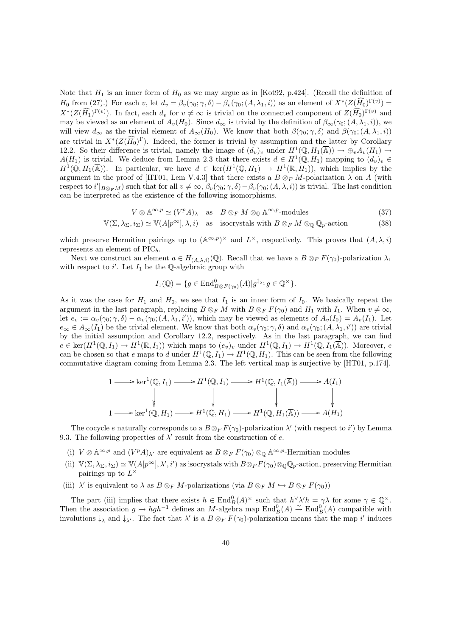Note that  $H_1$  is an inner form of  $H_0$  as we may argue as in [Kot92, p.424]. (Recall the definition of  $H_0$  from (27).) For each v, let  $d_v = \beta_v(\gamma_0; \gamma, \delta) - \beta_v(\gamma_0; (A, \lambda_1, i))$  as an element of  $X^*(Z(\widehat{H_0})^{\Gamma(v)}) =$  $X^*(Z(\widehat{H_1})^{\Gamma(v)})$ . In fact, each  $d_v$  for  $v \neq \infty$  is trivial on the connected component of  $Z(\widehat{H_0})^{\Gamma(v)}$  and may be viewed as an element of  $A_v(H_0)$ . Since  $d_{\infty}$  is trivial by the definition of  $\beta_{\infty}(\gamma_0; (A, \lambda_1, i))$ , we will view  $d_{\infty}$  as the trivial element of  $A_{\infty}(H_0)$ . We know that both  $\beta(\gamma_0; \gamma, \delta)$  and  $\beta(\gamma_0; (A, \lambda_1, i))$ are trivial in  $X^*(Z(\widehat{H_0})^{\Gamma})$ . Indeed, the former is trivial by assumption and the latter by Corollary 12.2. So their difference is trivial, namely the image of  $(d_v)_v$  under  $H^1(\mathbb{Q}, H_1(\overline{\mathbb{A}})) \to \bigoplus_v A_v(H_1) \to$  $A(H_1)$  is trivial. We deduce from Lemma 2.3 that there exists  $d \in H^1(\mathbb{Q}, H_1)$  mapping to  $(d_v)_v \in$  $H^1(\mathbb{Q}, H_1(\overline{\mathbb{A}}))$ . In particular, we have  $d \in \text{ker}(H^1(\mathbb{Q}, H_1) \to H^1(\mathbb{R}, H_1)),$  which implies by the argument in the proof of [HT01, Lem V.4.3] that there exists a  $B \otimes_F M$ -polarization  $\lambda$  on A (with respect to  $i'|_{B\otimes_F M}$  such that for all  $v \neq \infty$ ,  $\beta_v(\gamma_0; \gamma, \delta) - \beta_v(\gamma_0; (A, \lambda, i))$  is trivial. The last condition can be interpreted as the existence of the following isomorphisms.

$$
V \otimes \mathbb{A}^{\infty, p} \simeq (V^p A)_{\lambda} \quad \text{as} \quad B \otimes_F M \otimes_{\mathbb{Q}} \mathbb{A}^{\infty, p} \text{-modules} \tag{37}
$$

$$
\mathbb{V}(\Sigma, \lambda_{\Sigma}, i_{\Sigma}) \simeq \mathbb{V}(A[p^{\infty}], \lambda, i) \quad \text{as} \quad \text{isocrystals with } B \otimes_F M \otimes_{\mathbb{Q}} \mathbb{Q}_p \text{-action} \tag{38}
$$

which preserve Hermitian pairings up to  $(\mathbb{A}^{\infty,p})^{\times}$  and  $L^{\times}$ , respectively. This proves that  $(A, \lambda, i)$ represents an element of  $\text{PIC}_b$ .

Next we construct an element  $a \in H_{(A,\lambda,i)}(\mathbb{Q})$ . Recall that we have a  $B \otimes_F F(\gamma_0)$ -polarization  $\lambda_1$ with respect to i'. Let  $I_1$  be the Q-algebraic group with

$$
I_1(\mathbb{Q}) = \{ g \in \text{End}_{B \otimes F(\gamma_0)}^0(A) | g^{\ddagger_{\lambda_1}} g \in \mathbb{Q}^{\times} \}.
$$

As it was the case for  $H_1$  and  $H_0$ , we see that  $I_1$  is an inner form of  $I_0$ . We basically repeat the argument in the last paragraph, replacing  $B \otimes_F M$  with  $B \otimes_F F(\gamma_0)$  and  $H_1$  with  $I_1$ . When  $v \neq \infty$ , let  $e_v := \alpha_v(\gamma_0; \gamma, \delta) - \alpha_v(\gamma_0; (A, \lambda_1, i'))$ , which may be viewed as elements of  $A_v(I_0) = A_v(I_1)$ . Let  $e_{\infty} \in A_{\infty}(I_1)$  be the trivial element. We know that both  $\alpha_v(\gamma_0; \gamma, \delta)$  and  $\alpha_v(\gamma_0; (A, \lambda_1, i'))$  are trivial by the initial assumption and Corollary 12.2, respectively. As in the last paragraph, we can find  $e \in \text{ker}(H^1(\mathbb{Q},I_1) \to H^1(\mathbb{R},I_1))$  which maps to  $(e_v)_v$  under  $H^1(\mathbb{Q},I_1) \to H^1(\mathbb{Q},I_1(\overline{\mathbb{A}}))$ . Moreover, e can be chosen so that e maps to d under  $H^1(\mathbb{Q}, I_1) \to H^1(\mathbb{Q}, H_1)$ . This can be seen from the following commutative diagram coming from Lemma 2.3. The left vertical map is surjective by [HT01, p.174].

$$
1 \longrightarrow \ker^1(\mathbb{Q}, I_1) \longrightarrow H^1(\mathbb{Q}, I_1) \longrightarrow H^1(\mathbb{Q}, I_1(\overline{\mathbb{A}})) \longrightarrow A(I_1)
$$
  
\n
$$
\downarrow \qquad \qquad \downarrow \qquad \qquad \downarrow \qquad \qquad \downarrow
$$
  
\n
$$
1 \longrightarrow \ker^1(\mathbb{Q}, H_1) \longrightarrow H^1(\mathbb{Q}, H_1) \longrightarrow H^1(\mathbb{Q}, H_1(\overline{\mathbb{A}})) \longrightarrow A(H_1)
$$

The cocycle e naturally corresponds to a  $B \otimes_F F(\gamma_0)$ -polarization  $\lambda'$  (with respect to i') by Lemma 9.3. The following properties of  $\lambda'$  result from the construction of e.

- (i)  $V \otimes \mathbb{A}^{\infty,p}$  and  $(V^pA)_{\lambda'}$  are equivalent as  $B \otimes_F F(\gamma_0) \otimes_{\mathbb{Q}} \mathbb{A}^{\infty,p}$ -Hermitian modules
- (ii)  $\mathbb{V}(\Sigma, \lambda_{\Sigma}, i_{\Sigma}) \simeq \mathbb{V}(A[p^{\infty}], \lambda', i')$  as isocrystals with  $B \otimes_F F(\gamma_0) \otimes_{\mathbb{Q}} \mathbb{Q}_p$ -action, preserving Hermitian pairings up to  $L^{\times}$
- (iii)  $\lambda'$  is equivalent to  $\lambda$  as  $B \otimes_F M$ -polarizations (via  $B \otimes_F M \hookrightarrow B \otimes_F F(\gamma_0)$ )

The part (iii) implies that there exists  $h \in \text{End}_{B}^{0}(A)^{\times}$  such that  $h^{\vee}\lambda' h = \gamma\lambda$  for some  $\gamma \in \mathbb{Q}^{\times}$ . Then the association  $g \mapsto hgh^{-1}$  defines an M-algebra map  $\text{End}_B^0(A) \stackrel{\sim}{\to} \text{End}_B^0(A)$  compatible with involutions  $\ddagger_{\lambda}$  and  $\ddagger_{\lambda'}$ . The fact that  $\lambda'$  is a  $B \otimes_F F(\gamma_0)$ -polarization means that the map i' induces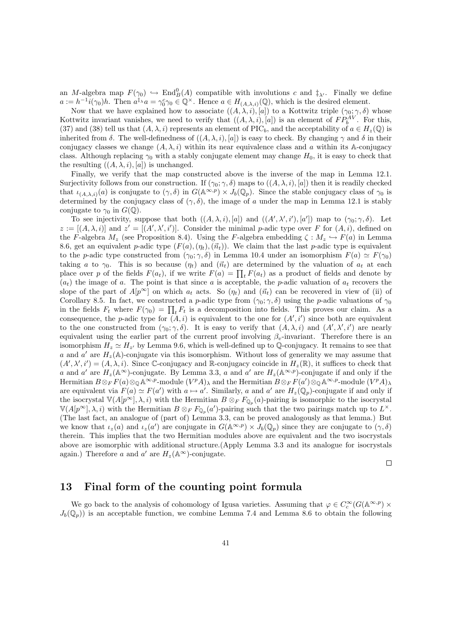an M-algebra map  $F(\gamma_0) \hookrightarrow \text{End}_{B}^{0}(A)$  compatible with involutions c and  $\ddagger_{\lambda'}$ . Finally we define  $a := h^{-1}i(\gamma_0)h$ . Then  $a^{\ddagger_{\lambda}}a = \gamma_0^c\gamma_0 \in \mathbb{Q}^{\times}$ . Hence  $a \in H_{(A,\lambda,i)}(\mathbb{Q})$ , which is the desired element.

Now that we have explained how to associate  $((A, \lambda, i), [a])$  to a Kottwitz triple  $(\gamma_0, \gamma, \delta)$  whose Kottwitz invariant vanishes, we need to verify that  $((A, \lambda, i), [a])$  is an element of  $FP_b^{AV}$ . For this, (37) and (38) tell us that  $(A, \lambda, i)$  represents an element of PIC<sub>b</sub>, and the acceptability of  $a \in H_z(\mathbb{Q})$  is inherited from δ. The well-definedness of  $((A, \lambda, i), [a])$  is easy to check. By changing  $\gamma$  and δ in their conjugacy classes we change  $(A, \lambda, i)$  within its near equivalence class and a within its A-conjugacy class. Although replacing  $\gamma_0$  with a stably conjugate element may change  $H_0$ , it is easy to check that the resulting  $((A, \lambda, i), [a])$  is unchanged.

Finally, we verify that the map constructed above is the inverse of the map in Lemma 12.1. Surjectivity follows from our construction. If  $(\gamma_0; \gamma, \delta)$  maps to  $((A, \lambda, i), [a])$  then it is readily checked that  $\iota_{(A,\lambda,i)}(a)$  is conjugate to  $(\gamma,\delta)$  in  $G(\mathbb{A}^{\infty,p}) \times J_b(\mathbb{Q}_p)$ . Since the stable conjugacy class of  $\gamma_0$  is determined by the conjugacy class of  $(\gamma, \delta)$ , the image of a under the map in Lemma 12.1 is stably conjugate to  $\gamma_0$  in  $G(\mathbb{Q})$ .

To see injectivity, suppose that both  $((A, \lambda, i), [a])$  and  $((A', \lambda', i'), [a'])$  map to  $(\gamma_0; \gamma, \delta)$ . Let  $z := [(A, \lambda, i)]$  and  $z' = [(A', \lambda', i')]$ . Consider the minimal p-adic type over F for  $(A, i)$ , defined on the F-algebra  $M_z$  (see Proposition 8.4). Using the F-algebra embedding  $\zeta : M_z \hookrightarrow F(a)$  in Lemma 8.6, get an equivalent p-adic type  $(F(a), (\eta_t), (\vec{n}_t))$ . We claim that the last p-adic type is equivalent to the p-adic type constructed from  $(\gamma_0; \gamma, \delta)$  in Lemma 10.4 under an isomorphism  $F(a) \simeq F(\gamma_0)$ taking a to  $\gamma_0$ . This is so because  $(\eta_t)$  and  $(\vec{n}_t)$  are determined by the valuation of  $a_t$  at each place over p of the fields  $F(a_t)$ , if we write  $F(a) = \prod_t F(a_t)$  as a product of fields and denote by  $(a_t)$  the image of a. The point is that since a is acceptable, the p-adic valuation of  $a_t$  recovers the slope of the part of  $A[p^{\infty}]$  on which  $a_t$  acts. So  $(\eta_t)$  and  $(\vec{n}_t)$  can be recovered in view of (ii) of Corollary 8.5. In fact, we constructed a p-adic type from  $(\gamma_0; \gamma, \delta)$  using the p-adic valuations of  $\gamma_0$ in the fields  $F_t$  where  $F(\gamma_0) = \prod_t F_t$  is a decomposition into fields. This proves our claim. As a consequence, the *p*-adic type for  $(A, i)$  is equivalent to the one for  $(A', i')$  since both are equivalent to the one constructed from  $(\gamma_0; \gamma, \delta)$ . It is easy to verify that  $(A, \lambda, i)$  and  $(A', \lambda', i')$  are nearly equivalent using the earlier part of the current proof involving  $\beta_n$ -invariant. Therefore there is an isomorphism  $H_z \simeq H_{z'}$  by Lemma 9.6, which is well-defined up to Q-conjugacy. It remains to see that a and a' are  $H_z(\mathbb{A})$ -conjugate via this isomorphism. Without loss of generality we may assume that  $(A', \lambda', i') = (A, \lambda, i)$ . Since C-conjugacy and R-conjugacy coincide in  $H_z(\mathbb{R})$ , it suffices to check that a and a' are  $H_z(\mathbb{A}^{\infty})$ -conjugate. By Lemma 3.3, a and a' are  $H_z(\mathbb{A}^{\infty,p})$ -conjugate if and only if the Hermitian  $B \otimes_F F(a) \otimes_{\mathbb{Q}} \mathbb{A}^{\infty,p}$ -module  $(V^p A)_{\lambda}$  and the Hermitian  $B \otimes_F F(a') \otimes_{\mathbb{Q}} \mathbb{A}^{\infty,p}$ -module  $(V^p A)_{\lambda}$ are equivalent via  $F(a) \simeq F(a')$  with  $a \mapsto a'$ . Similarly, a and a' are  $H_z(\mathbb{Q}_p)$ -conjugate if and only if the isocrystal  $\mathbb{V}(A[p^{\infty}], \lambda, i)$  with the Hermitian  $B \otimes_F F_{\mathbb{Q}_p}(a)$ -pairing is isomorphic to the isocrystal  $\mathbb{V}(A[p^{\infty}], \lambda, i)$  with the Hermitian  $B \otimes_F F_{\mathbb{Q}_p}(a')$ -pairing such that the two pairings match up to  $L^{\times}$ . (The last fact, an analogue of (part of) Lemma 3.3, can be proved analogously as that lemma.) But we know that  $\iota_z(a)$  and  $\iota_z(a')$  are conjugate in  $G(\mathbb{A}^{\infty,p}) \times J_b(\mathbb{Q}_p)$  since they are conjugate to  $(\gamma, \delta)$ therein. This implies that the two Hermitian modules above are equivalent and the two isocrystals above are isomorphic with additional structure.(Apply Lemma 3.3 and its analogue for isocrystals again.) Therefore a and a' are  $H_z(\mathbb{A}^{\infty})$ -conjugate.

 $\Box$ 

#### 13 Final form of the counting point formula

We go back to the analysis of cohomology of Igusa varieties. Assuming that  $\varphi \in C_c^{\infty}(G(\mathbb{A}^{\infty,p}) \times$  $J_b(\mathbb{Q}_p)$  is an acceptable function, we combine Lemma 7.4 and Lemma 8.6 to obtain the following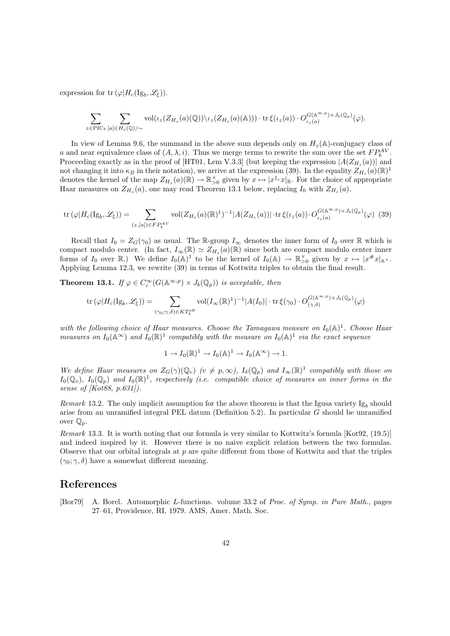expression for  $\text{tr}(\varphi|H_c(\text{Ig}_b,\mathscr{L}_\xi)).$ 

$$
\sum_{z \in \mathrm{PIC}_b} \sum_{[a] \in H_z(\mathbb{Q})/\sim} \mathrm{vol}(\iota_z(Z_{H_z}(a)(\mathbb{Q})) \setminus \iota_z(Z_{H_z}(a)(\mathbb{A}))) \cdot \mathrm{tr} \, \xi(\iota_z(a)) \cdot O_{\iota_z(a)}^{G(\mathbb{A}^{\infty, p}) \times J_b(\mathbb{Q}_p)}(\varphi).
$$

In view of Lemma 9.6, the summand in the above sum depends only on  $H_z(\mathbb{A})$ -conjugacy class of a and near equivalence class of  $(A, \lambda, i)$ . Thus we merge terms to rewrite the sum over the set  $FP_b^{AV}$ . Proceeding exactly as in the proof of [HT01, Lem V.3.3] (but keeping the expression  $|A(Z_{H_z}(a))|$  and not changing it into  $\kappa_B$  in their notation), we arrive at the expression (39). In the equality  $Z_{H_z}(a)(\mathbb{R})^1$ denotes the kernel of the map  $Z_{H_z}(a)(\mathbb{R}) \to \mathbb{R}_{>0}^{\times}$  given by  $x \mapsto |x^{\ddagger_z}x|_{\mathbb{R}}$ . For the choice of appropriate Haar measures on  $Z_{H_z}(a)$ , one may read Theorem 13.1 below, replacing  $I_0$  with  $Z_{H_z}(a)$ .

$$
\operatorname{tr}\left(\varphi\middle|H_c(\operatorname{Ig}_b,\mathscr{L}_\xi)\right) = \sum_{(z,[a]) \in FP_b^{AV}} \operatorname{vol}(Z_{H_z}(a)(\mathbb{R})^1)^{-1} |A(Z_{H_z}(a))| \cdot \operatorname{tr}\xi(\iota_z(a)) \cdot O_{\iota_z(a)}^{G(\mathbb{A}^{\infty,p}) \times J_b(\mathbb{Q}_p)}(\varphi) \tag{39}
$$

Recall that  $I_0 = Z_G(\gamma_0)$  as usual. The R-group  $I_\infty$  denotes the inner form of  $I_0$  over R which is compact modulo center. (In fact,  $I_{\infty}(\mathbb{R}) \simeq Z_{H_z}(a)(\mathbb{R})$  since both are compact modulo center inner forms of  $I_0$  over  $\mathbb{R}$ .) We define  $I_0(\mathbb{A})^1$  to be the kernel of  $I_0(\mathbb{A}) \to \mathbb{R}_{>0}^\times$  given by  $x \mapsto |x \# x|_{\mathbb{A}^\times}$ . Applying Lemma 12.3, we rewrite (39) in terms of Kottwitz triples to obtain the final result.

**Theorem 13.1.** If  $\varphi \in C_c^{\infty}(G(\mathbb{A}^{\infty,p}) \times J_b(\mathbb{Q}_p))$  is acceptable, then

$$
\mathrm{tr}\left(\varphi|H_c(\mathrm{Ig}_b,\mathscr{L}_\xi)\right) = \sum_{(\gamma_0;\gamma,\delta)\in KT_\mathrm{b}^{\mathrm{eff}}}\mathrm{vol}(I_\infty(\mathbb{R})^1)^{-1}|A(I_0)|\cdot \mathrm{tr}\,\xi(\gamma_0)\cdot O_{(\gamma,\delta)}^{G(\mathbb{A}^{\infty,p})\times J_b(\mathbb{Q}_p)}(\varphi)
$$

with the following choice of Haar measures. Choose the Tamagawa measure on  $I_0(\mathbb{A})^1$ . Choose Haar measures on  $I_0(\mathbb{A}^{\infty})$  and  $I_0(\mathbb{R})^1$  compatibly with the measure on  $I_0(\mathbb{A})^1$  via the exact sequence

$$
1 \to I_0(\mathbb{R})^1 \to I_0(\mathbb{A})^1 \to I_0(\mathbb{A}^{\infty}) \to 1.
$$

We define Haar measures on  $Z_G(\gamma)(\mathbb{Q}_v)$  ( $v \neq p, \infty$ ),  $I_{\delta}(\mathbb{Q}_p)$  and  $I_{\infty}(\mathbb{R})^1$  compatibly with those on  $I_0(\mathbb{Q}_v)$ ,  $I_0(\mathbb{Q}_p)$  and  $I_0(\mathbb{R})^1$ , respectively (i.e. compatible choice of measures on inner forms in the sense of [Kot88, p.631]).

Remark 13.2. The only implicit assumption for the above theorem is that the Igusa variety  $Ig_b$  should arise from an unramified integral PEL datum (Definition 5.2). In particular G should be unramified over  $\mathbb{Q}_p$ .

Remark 13.3. It is worth noting that our formula is very similar to Kottwitz's formula [Kot92, (19.5)] and indeed inspired by it. However there is no naive explicit relation between the two formulas. Observe that our orbital integrals at  $p$  are quite different from those of Kottwitz and that the triples  $(\gamma_0; \gamma, \delta)$  have a somewhat different meaning.

## References

[Bor79] A. Borel. Automorphic L-functions. volume 33.2 of Proc. of Symp. in Pure Math., pages 27–61, Providence, RI, 1979. AMS, Amer. Math. Soc.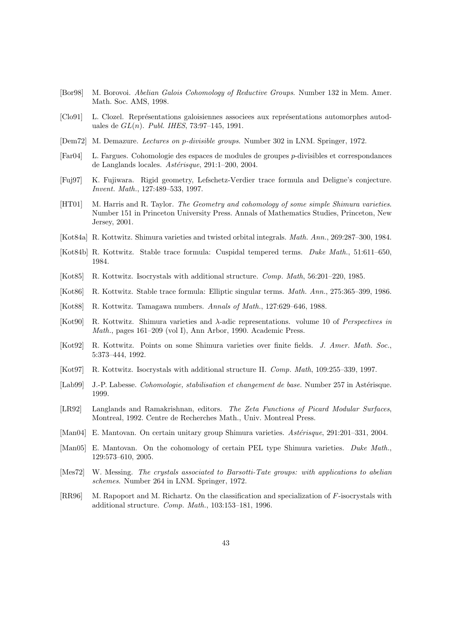- [Bor98] M. Borovoi. Abelian Galois Cohomology of Reductive Groups. Number 132 in Mem. Amer. Math. Soc. AMS, 1998.
- [Clo91] L. Clozel. Représentations galoisiennes associees aux représentations automorphes autoduales de  $GL(n)$ . Publ. IHES, 73:97-145, 1991.
- [Dem72] M. Demazure. Lectures on p-divisible groups. Number 302 in LNM. Springer, 1972.
- [Far04] L. Fargues. Cohomologie des espaces de modules de groupes p-divisibles et correspondances de Langlands locales. Astérisque, 291:1–200, 2004.
- [Fuj97] K. Fujiwara. Rigid geometry, Lefschetz-Verdier trace formula and Deligne's conjecture. Invent. Math., 127:489–533, 1997.
- [HT01] M. Harris and R. Taylor. The Geometry and cohomology of some simple Shimura varieties. Number 151 in Princeton University Press. Annals of Mathematics Studies, Princeton, New Jersey, 2001.
- [Kot84a] R. Kottwitz. Shimura varieties and twisted orbital integrals. Math. Ann., 269:287–300, 1984.
- [Kot84b] R. Kottwitz. Stable trace formula: Cuspidal tempered terms. Duke Math., 51:611–650, 1984.
- [Kot85] R. Kottwitz. Isocrystals with additional structure. Comp. Math, 56:201–220, 1985.
- [Kot86] R. Kottwitz. Stable trace formula: Elliptic singular terms. Math. Ann., 275:365–399, 1986.
- [Kot88] R. Kottwitz. Tamagawa numbers. Annals of Math., 127:629–646, 1988.
- [Kot90] R. Kottwitz. Shimura varieties and λ-adic representations. volume 10 of Perspectives in Math., pages 161–209 (vol I), Ann Arbor, 1990. Academic Press.
- [Kot92] R. Kottwitz. Points on some Shimura varieties over finite fields. J. Amer. Math. Soc., 5:373–444, 1992.
- [Kot97] R. Kottwitz. Isocrystals with additional structure II. Comp. Math, 109:255–339, 1997.
- [Lab99] J.-P. Labesse. *Cohomologie, stabilisation et changement de base*. Number 257 in Astérisque. 1999.
- [LR92] Langlands and Ramakrishnan, editors. The Zeta Functions of Picard Modular Surfaces, Montreal, 1992. Centre de Recherches Math., Univ. Montreal Press.
- [Man04] E. Mantovan. On certain unitary group Shimura varieties. Astérisque, 291:201-331, 2004.
- [Man05] E. Mantovan. On the cohomology of certain PEL type Shimura varieties. Duke Math., 129:573–610, 2005.
- [Mes72] W. Messing. The crystals associated to Barsotti-Tate groups: with applications to abelian schemes. Number 264 in LNM. Springer, 1972.
- [RR96] M. Rapoport and M. Richartz. On the classification and specialization of F-isocrystals with additional structure. Comp. Math., 103:153–181, 1996.